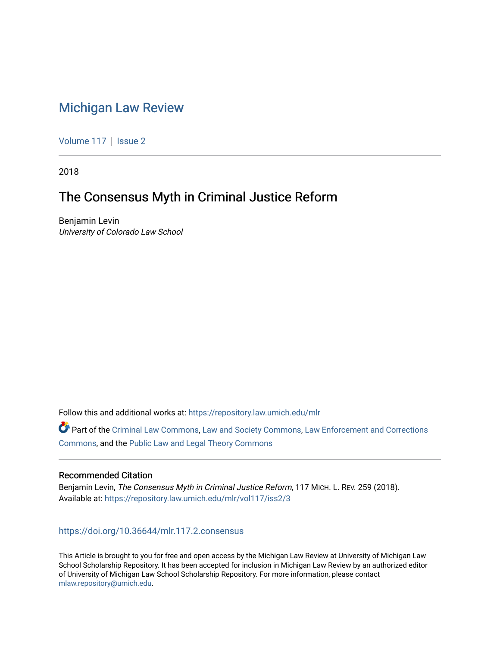# [Michigan Law Review](https://repository.law.umich.edu/mlr)

[Volume 117](https://repository.law.umich.edu/mlr/vol117) | [Issue 2](https://repository.law.umich.edu/mlr/vol117/iss2)

2018

# The Consensus Myth in Criminal Justice Reform

Benjamin Levin University of Colorado Law School

Follow this and additional works at: [https://repository.law.umich.edu/mlr](https://repository.law.umich.edu/mlr?utm_source=repository.law.umich.edu%2Fmlr%2Fvol117%2Fiss2%2F3&utm_medium=PDF&utm_campaign=PDFCoverPages) 

Part of the [Criminal Law Commons,](http://network.bepress.com/hgg/discipline/912?utm_source=repository.law.umich.edu%2Fmlr%2Fvol117%2Fiss2%2F3&utm_medium=PDF&utm_campaign=PDFCoverPages) [Law and Society Commons](http://network.bepress.com/hgg/discipline/853?utm_source=repository.law.umich.edu%2Fmlr%2Fvol117%2Fiss2%2F3&utm_medium=PDF&utm_campaign=PDFCoverPages), [Law Enforcement and Corrections](http://network.bepress.com/hgg/discipline/854?utm_source=repository.law.umich.edu%2Fmlr%2Fvol117%2Fiss2%2F3&utm_medium=PDF&utm_campaign=PDFCoverPages) [Commons](http://network.bepress.com/hgg/discipline/854?utm_source=repository.law.umich.edu%2Fmlr%2Fvol117%2Fiss2%2F3&utm_medium=PDF&utm_campaign=PDFCoverPages), and the [Public Law and Legal Theory Commons](http://network.bepress.com/hgg/discipline/871?utm_source=repository.law.umich.edu%2Fmlr%2Fvol117%2Fiss2%2F3&utm_medium=PDF&utm_campaign=PDFCoverPages) 

# Recommended Citation

Benjamin Levin, The Consensus Myth in Criminal Justice Reform, 117 MICH. L. REV. 259 (2018). Available at: [https://repository.law.umich.edu/mlr/vol117/iss2/3](https://repository.law.umich.edu/mlr/vol117/iss2/3?utm_source=repository.law.umich.edu%2Fmlr%2Fvol117%2Fiss2%2F3&utm_medium=PDF&utm_campaign=PDFCoverPages) 

<https://doi.org/10.36644/mlr.117.2.consensus>

This Article is brought to you for free and open access by the Michigan Law Review at University of Michigan Law School Scholarship Repository. It has been accepted for inclusion in Michigan Law Review by an authorized editor of University of Michigan Law School Scholarship Repository. For more information, please contact [mlaw.repository@umich.edu.](mailto:mlaw.repository@umich.edu)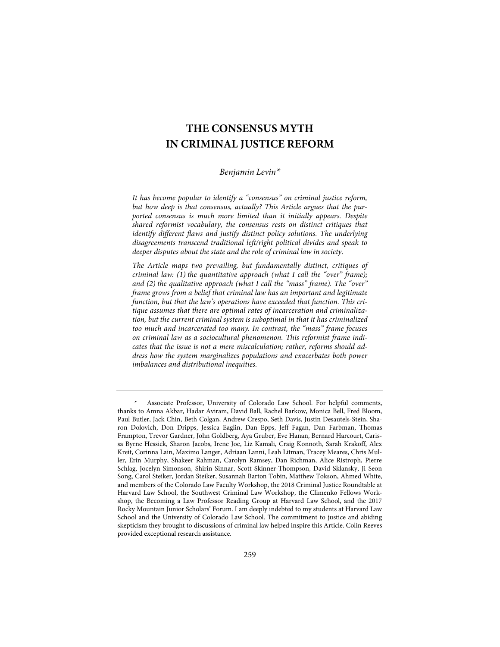# **THE CONSENSUS MYTH IN CRIMINAL JUSTICE REFORM**

# *Benjamin Levin\**

*It has become popular to identify a "consensus" on criminal justice reform, but how deep is that consensus, actually? This Article argues that the purported consensus is much more limited than it initially appears. Despite shared reformist vocabulary, the consensus rests on distinct critiques that*  identify different flaws and justify distinct policy solutions. The underlying *disagreements transcend traditional left/right political divides and speak to deeper disputes about the state and the role of criminal law in society.* 

*The Article maps two prevailing, but fundamentally distinct, critiques of criminal law: (1) the quantitative approach (what I call the "over" frame); and (2) the qualitative approach (what I call the "mass" frame). The "over" frame grows from a belief that criminal law has an important and legitimate function, but that the law's operations have exceeded that function. This critique assumes that there are optimal rates of incarceration and criminalization, but the current criminal system is suboptimal in that it has criminalized too much and incarcerated too many. In contrast, the "mass" frame focuses on criminal law as a sociocultural phenomenon. This reformist frame indicates that the issue is not a mere miscalculation; rather, reforms should address how the system marginalizes populations and exacerbates both power imbalances and distributional inequities.*

<sup>\*</sup> Associate Professor, University of Colorado Law School. For helpful comments, thanks to Amna Akbar, Hadar Aviram, David Ball, Rachel Barkow, Monica Bell, Fred Bloom, Paul Butler, Jack Chin, Beth Colgan, Andrew Crespo, Seth Davis, Justin Desautels-Stein, Sharon Dolovich, Don Dripps, Jessica Eaglin, Dan Epps, Jeff Fagan, Dan Farbman, Thomas Frampton, Trevor Gardner, John Goldberg, Aya Gruber, Eve Hanan, Bernard Harcourt, Carissa Byrne Hessick, Sharon Jacobs, Irene Joe, Liz Kamali, Craig Konnoth, Sarah Krakoff, Alex Kreit, Corinna Lain, Maximo Langer, Adriaan Lanni, Leah Litman, Tracey Meares, Chris Muller, Erin Murphy, Shakeer Rahman, Carolyn Ramsey, Dan Richman, Alice Ristroph, Pierre Schlag, Jocelyn Simonson, Shirin Sinnar, Scott Skinner-Thompson, David Sklansky, Ji Seon Song, Carol Steiker, Jordan Steiker, Susannah Barton Tobin, Matthew Tokson, Ahmed White, and members of the Colorado Law Faculty Workshop, the 2018 Criminal Justice Roundtable at Harvard Law School, the Southwest Criminal Law Workshop, the Climenko Fellows Workshop, the Becoming a Law Professor Reading Group at Harvard Law School, and the 2017 Rocky Mountain Junior Scholars' Forum. I am deeply indebted to my students at Harvard Law School and the University of Colorado Law School. The commitment to justice and abiding skepticism they brought to discussions of criminal law helped inspire this Article. Colin Reeves provided exceptional research assistance.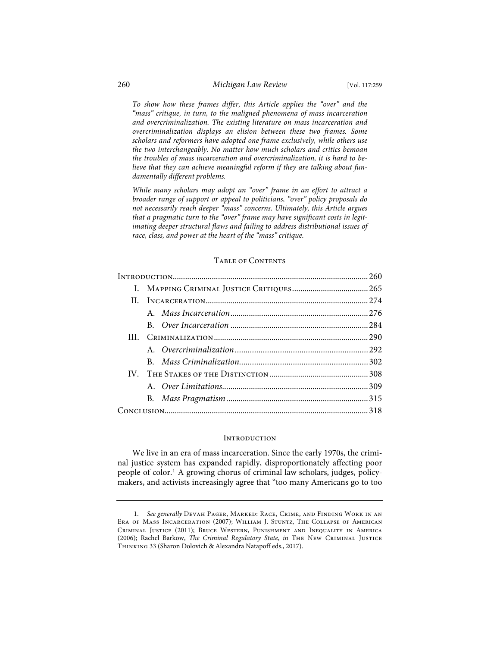*To show how these frames differ, this Article applies the "over" and the "mass" critique, in turn, to the maligned phenomena of mass incarceration and overcriminalization. The existing literature on mass incarceration and overcriminalization displays an elision between these two frames. Some scholars and reformers have adopted one frame exclusively, while others use the two interchangeably. No matter how much scholars and critics bemoan the troubles of mass incarceration and overcriminalization, it is hard to believe that they can achieve meaningful reform if they are talking about fundamentally different problems.* 

*While many scholars may adopt an "over" frame in an effort to attract a broader range of support or appeal to politicians, "over" policy proposals do not necessarily reach deeper "mass" concerns. Ultimately, this Article argues that a pragmatic turn to the "over" frame may have significant costs in legitimating deeper structural flaws and failing to address distributional issues of race, class, and power at the heart of the "mass" critique.*

# TABLE OF CONTENTS

| $\Pi$ .  |  |  |
|----------|--|--|
|          |  |  |
|          |  |  |
|          |  |  |
|          |  |  |
|          |  |  |
| $IV_{-}$ |  |  |
|          |  |  |
|          |  |  |
|          |  |  |

# **INTRODUCTION**

We live in an era of mass incarceration. Since the early 1970s, the criminal justice system has expanded rapidly, disproportionately affecting poor people of color.<sup>1</sup> A growing chorus of criminal law scholars, judges, policymakers, and activists increasingly agree that "too many Americans go to too

<sup>1.</sup> *See generally* Devah Pager, Marked: Race, Crime, and Finding Work in an Era of Mass Incarceration (2007); William J. Stuntz, The Collapse of American Criminal Justice (2011); Bruce Western, Punishment and Inequality in America (2006); Rachel Barkow, *The Criminal Regulatory State*, *in* The New Criminal Justice Thinking 33 (Sharon Dolovich & Alexandra Natapoff eds., 2017).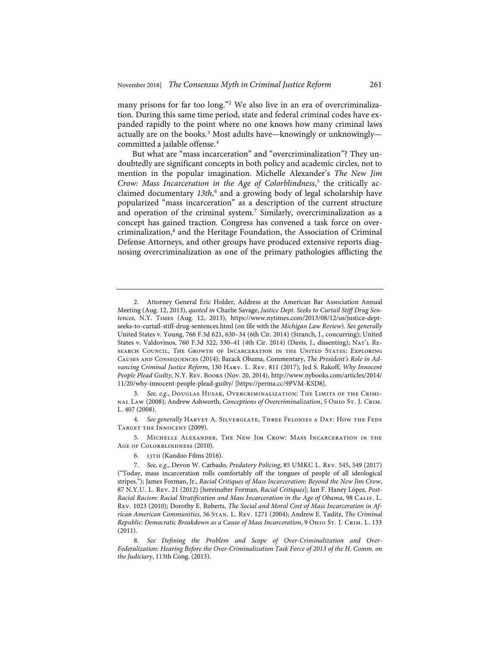many prisons for far too long."<sup>2</sup> We also live in an era of overcriminalization. During this same time period, state and federal criminal codes have expanded rapidly to the point where no one knows how many criminal laws actually are on the books.<sup>3</sup> Most adults have—knowingly or unknowingly committed a jailable offense.<sup>4</sup>

But what are "mass incarceration" and "overcriminalization"? They undoubtedly are significant concepts in both policy and academic circles, not to mention in the popular imagination. Michelle Alexander's *The New Jim Crow: Mass Incarceration in the Age of Colorblindness*, <sup>5</sup> the critically acclaimed documentary *13th*, <sup>6</sup> and a growing body of legal scholarship have popularized "mass incarceration" as a description of the current structure and operation of the criminal system.<sup>7</sup> Similarly, overcriminalization as a concept has gained traction. Congress has convened a task force on overcriminalization,<sup>8</sup> and the Heritage Foundation, the Association of Criminal Defense Attorneys, and other groups have produced extensive reports diagnosing overcriminalization as one of the primary pathologies afflicting the

4. *See generally* Harvey A. Silverglate, Three Felonies a Day: How the Feds Target the Innocent (2009).

5. Michelle Alexander, The New Jim Crow: Mass Incarceration in the Age of Colorblindness (2010).

<sup>2.</sup> Attorney General Eric Holder, Address at the American Bar Association Annual Meeting (Aug. 12, 2013), *quoted in* Charlie Savage, *Justice Dept. Seeks to Curtail Stiff Drug Sentences*, N.Y. Times (Aug. 12, 2013), https://www.nytimes.com/2013/08/12/us/justice-deptseeks-to-curtail-stiff-drug-sentences.html (on file with the *Michigan Law Review*). *See generally* United States v. Young, 766 F.3d 621, 630–34 (6th Cir. 2014) (Stranch, J., concurring); United States v. Valdovinos, 760 F.3d 322, 330–41 (4th Cir. 2014) (Davis, J., dissenting); Nat'l Research Council, The Growth of Incarceration in the United States: Exploring Causes and Consequences (2014); Barack Obama, Commentary, *The President's Role in Advancing Criminal Justice Reform*, 130 Harv. L. Rev. 811 (2017); Jed S. Rakoff, *Why Innocent People Plead Guilty*, N.Y. Rev. Books (Nov. 20, 2014), http://www.nybooks.com/articles/2014/ 11/20/why-innocent-people-plead-guilty/ [https://perma.cc/9PVM-KSD8].

<sup>3.</sup> *See, e.g.*, Douglas Husak, Overcriminalization: The Limits of the Criminal Law (2008); Andrew Ashworth, *Conceptions of Overcriminalization*, 5 Ohio St. J. Crim. L. 407 (2008).

<sup>6.</sup> 13th (Kandoo Films 2016).

<sup>7.</sup> *See, e.g.*, Devon W. Carbado, *Predatory Policing*, 85 UMKC L. Rev. 545, 549 (2017) ("Today, mass incarceration rolls comfortably off the tongues of people of all ideological stripes."); James Forman, Jr., *Racial Critiques of Mass Incarceration: Beyond the New Jim Crow*, 87 N.Y.U. L. Rev. 21 (2012) [hereinafter Forman, *Racial Critiques*]; Ian F. Haney López, *Post-Racial Racism: Racial Stratification and Mass Incarceration in the Age of Obama*, 98 Calif. L. Rev. 1023 (2010); Dorothy E. Roberts, *The Social and Moral Cost of Mass Incarceration in African American Communities*, 56 Stan. L. Rev. 1271 (2004); Andrew E. Taslitz, *The Criminal Republic: Democratic Breakdown as a Cause of Mass Incarceration*, 9 Ohio St. J. Crim. L. 133 (2011).

<sup>8.</sup> *See Defining the Problem and Scope of Over-Criminalization and Over-Federalization: Hearing Before the Over-Criminalization Task Force of 2013 of the H. Comm. on the Judiciary*, 113th Cong. (2013).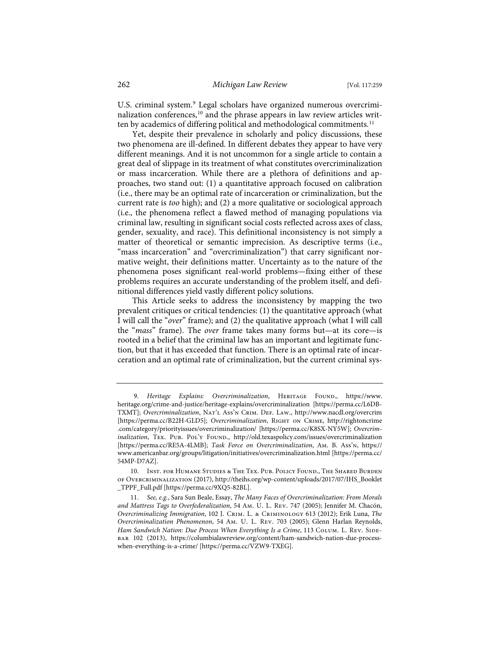U.S. criminal system.<sup>9</sup> Legal scholars have organized numerous overcriminalization conferences,<sup>10</sup> and the phrase appears in law review articles written by academics of differing political and methodological commitments.<sup>11</sup>

Yet, despite their prevalence in scholarly and policy discussions, these two phenomena are ill-defined. In different debates they appear to have very different meanings. And it is not uncommon for a single article to contain a great deal of slippage in its treatment of what constitutes overcriminalization or mass incarceration. While there are a plethora of definitions and approaches, two stand out: (1) a quantitative approach focused on calibration (i.e., there may be an optimal rate of incarceration or criminalization, but the current rate is *too* high); and (2) a more qualitative or sociological approach (i.e., the phenomena reflect a flawed method of managing populations via criminal law, resulting in significant social costs reflected across axes of class, gender, sexuality, and race). This definitional inconsistency is not simply a matter of theoretical or semantic imprecision. As descriptive terms (i.e., "mass incarceration" and "overcriminalization") that carry significant normative weight, their definitions matter. Uncertainty as to the nature of the phenomena poses significant real-world problems—fixing either of these problems requires an accurate understanding of the problem itself, and definitional differences yield vastly different policy solutions.

This Article seeks to address the inconsistency by mapping the two prevalent critiques or critical tendencies: (1) the quantitative approach (what I will call the "*over*" frame); and (2) the qualitative approach (what I will call the "*mass*" frame). The *over* frame takes many forms but—at its core—is rooted in a belief that the criminal law has an important and legitimate function, but that it has exceeded that function. There is an optimal rate of incarceration and an optimal rate of criminalization, but the current criminal sys-

<sup>9.</sup> *Heritage Explains: Overcriminalization*, HERITAGE FOUND., https://www. heritage.org/crime-and-justice/heritage-explains/overcriminalization [https://perma.cc/L6DB-TXMT]; *Overcriminalization*, Nat'l Ass'n Crim. Def. Law., http://www.nacdl.org/overcrim [https://perma.cc/B22H-GLD5]; *Overcriminalization*, Right on Crime, http://rightoncrime .com/category/priorityissues/overcriminalization/ [https://perma.cc/K8SX-NY5W]; *Overcrim*inalization, TEX. PUB. POL'Y FOUND., http://old.texaspolicy.com/issues/overcriminalization [https://perma.cc/RE5A-4LMB]; *Task Force on Overcriminalization*, Am. B. Ass'n, https:// www.americanbar.org/groups/litigation/initiatives/overcriminalization.html [https://perma.cc/ 54MP-D7AZ].

<sup>10.</sup> Inst. for Humane Studies & The Tex. Pub. Policy Found., The Shared Burden of Overcriminalization (2017), http://theihs.org/wp-content/uploads/2017/07/IHS\_Booklet \_TPPF\_Full.pdf [https://perma.cc/9XQ5-82BL].

<sup>11.</sup> *See, e.g.*, Sara Sun Beale, Essay, *The Many Faces of Overcriminalization: From Morals and Mattress Tags to Overfederalization*, 54 Am. U. L. Rev. 747 (2005); Jennifer M. Chacón, *Overcriminalizing Immigration*, 102 J. Crim. L. & Criminology 613 (2012); Erik Luna, *The Overcriminalization Phenomenon*, 54 Am. U. L. Rev. 703 (2005); Glenn Harlan Reynolds, *Ham Sandwich Nation: Due Process When Everything Is a Crime, 113 COLUM. L. REV. SIDE*bar 102 (2013), https://columbialawreview.org/content/ham-sandwich-nation-due-processwhen-everything-is-a-crime/ [https://perma.cc/VZW9-TXEG].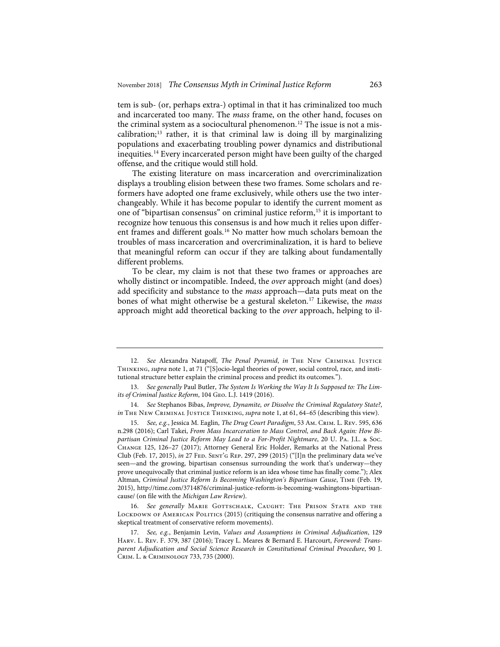tem is sub- (or, perhaps extra-) optimal in that it has criminalized too much and incarcerated too many. The *mass* frame, on the other hand, focuses on the criminal system as a sociocultural phenomenon.<sup>12</sup> The issue is not a miscalibration;13 rather, it is that criminal law is doing ill by marginalizing populations and exacerbating troubling power dynamics and distributional inequities.14 Every incarcerated person might have been guilty of the charged offense, and the critique would still hold.

The existing literature on mass incarceration and overcriminalization displays a troubling elision between these two frames. Some scholars and reformers have adopted one frame exclusively, while others use the two interchangeably. While it has become popular to identify the current moment as one of "bipartisan consensus" on criminal justice reform,15 it is important to recognize how tenuous this consensus is and how much it relies upon different frames and different goals.<sup>16</sup> No matter how much scholars bemoan the troubles of mass incarceration and overcriminalization, it is hard to believe that meaningful reform can occur if they are talking about fundamentally different problems.

To be clear, my claim is not that these two frames or approaches are wholly distinct or incompatible. Indeed, the *over* approach might (and does) add specificity and substance to the *mass* approach—data puts meat on the bones of what might otherwise be a gestural skeleton.17 Likewise, the *mass* approach might add theoretical backing to the *over* approach, helping to il-

<sup>12.</sup> *See* Alexandra Natapoff, *The Penal Pyramid*, *in* The New Criminal Justice Thinking, *supra* note 1, at 71 ("[S]ocio-legal theories of power, social control, race, and institutional structure better explain the criminal process and predict its outcomes.").

<sup>13.</sup> *See generally* Paul Butler, *The System Is Working the Way It Is Supposed to: The Limits of Criminal Justice Reform*, 104 Geo. L.J. 1419 (2016).

<sup>14.</sup> *See* Stephanos Bibas, *Improve, Dynamite, or Dissolve the Criminal Regulatory State?*, *in* THE NEW CRIMINAL JUSTICE THINKING, *supra* note 1, at 61, 64-65 (describing this view).

<sup>15.</sup> *See, e.g.*, Jessica M. Eaglin, *The Drug Court Paradigm*, 53 Am. Crim. L. Rev. 595, 636 n.298 (2016); Carl Takei, *From Mass Incarceration to Mass Control, and Back Again: How Bipartisan Criminal Justice Reform May Lead to a For-Profit Nightmare*, 20 U. Pa. J.L. & Soc. Change 125, 126–27 (2017); Attorney General Eric Holder, Remarks at the National Press Club (Feb. 17, 2015), *in* 27 Fed. Sent'g Rep. 297, 299 (2015) ("[I]n the preliminary data we've seen—and the growing, bipartisan consensus surrounding the work that's underway—they prove unequivocally that criminal justice reform is an idea whose time has finally come."); Alex Altman, *Criminal Justice Reform Is Becoming Washington's Bipartisan Cause*, Time (Feb. 19, 2015), http://time.com/3714876/criminal-justice-reform-is-becoming-washingtons-bipartisancause/ (on file with the *Michigan Law Review*).

<sup>16.</sup> See generally MARIE GOTTSCHALK, CAUGHT: THE PRISON STATE AND THE LOCKDOWN OF AMERICAN POLITICS (2015) (critiquing the consensus narrative and offering a skeptical treatment of conservative reform movements).

<sup>17.</sup> *See, e.g.*, Benjamin Levin, *Values and Assumptions in Criminal Adjudication*, 129 Harv. L. Rev. F. 379, 387 (2016); Tracey L. Meares & Bernard E. Harcourt, *Foreword: Transparent Adjudication and Social Science Research in Constitutional Criminal Procedure*, 90 J. Crim. L. & Criminology 733, 735 (2000).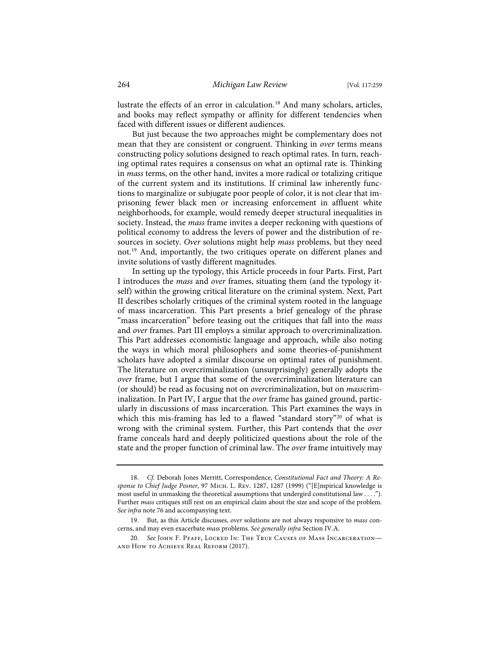lustrate the effects of an error in calculation.<sup>18</sup> And many scholars, articles, and books may reflect sympathy or affinity for different tendencies when faced with different issues or different audiences.

But just because the two approaches might be complementary does not mean that they are consistent or congruent. Thinking in *over* terms means constructing policy solutions designed to reach optimal rates. In turn, reaching optimal rates requires a consensus on what an optimal rate is. Thinking in *mass* terms, on the other hand, invites a more radical or totalizing critique of the current system and its institutions. If criminal law inherently functions to marginalize or subjugate poor people of color, it is not clear that imprisoning fewer black men or increasing enforcement in affluent white neighborhoods, for example, would remedy deeper structural inequalities in society. Instead, the *mass* frame invites a deeper reckoning with questions of political economy to address the levers of power and the distribution of resources in society. *Over* solutions might help *mass* problems, but they need not.<sup>19</sup> And, importantly, the two critiques operate on different planes and invite solutions of vastly different magnitudes.

In setting up the typology, this Article proceeds in four Parts. First, Part I introduces the *mass* and *over* frames, situating them (and the typology itself) within the growing critical literature on the criminal system. Next, Part II describes scholarly critiques of the criminal system rooted in the language of mass incarceration. This Part presents a brief genealogy of the phrase "mass incarceration" before teasing out the critiques that fall into the *mass* and *over* frames. Part III employs a similar approach to overcriminalization. This Part addresses economistic language and approach, while also noting the ways in which moral philosophers and some theories-of-punishment scholars have adopted a similar discourse on optimal rates of punishment. The literature on overcriminalization (unsurprisingly) generally adopts the *over* frame, but I argue that some of the overcriminalization literature can (or should) be read as focusing not on *over*criminalization, but on *mass*criminalization. In Part IV, I argue that the *over* frame has gained ground, particularly in discussions of mass incarceration. This Part examines the ways in which this mis-framing has led to a flawed "standard story"<sup>20</sup> of what is wrong with the criminal system. Further, this Part contends that the *over* frame conceals hard and deeply politicized questions about the role of the state and the proper function of criminal law. The *over* frame intuitively may

<sup>18.</sup> *Cf.* Deborah Jones Merritt, Correspondence, *Constitutional Fact and Theory: A Response to Chief Judge Posner*, 97 Mich. L. Rev. 1287, 1287 (1999) ("[E]mpirical knowledge is most useful in unmasking the theoretical assumptions that undergird constitutional law . . . ."). Further *mass* critiques still rest on an empirical claim about the size and scope of the problem. *See infra* note 76 and accompanying text.

<sup>19.</sup> But, as this Article discusses, *over* solutions are not always responsive to *mass* concerns, and may even exacerbate *mass* problems. *See generally infra* Section IV.A.

<sup>20.</sup> *See* John F. Pfaff, Locked In: The True Causes of Mass Incarceration and How to Achieve Real Reform (2017).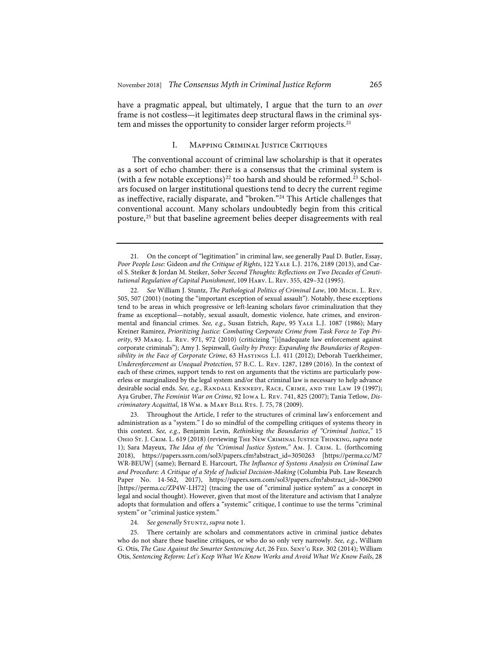have a pragmatic appeal, but ultimately, I argue that the turn to an *over* frame is not costless—it legitimates deep structural flaws in the criminal system and misses the opportunity to consider larger reform projects.<sup>21</sup>

# I. Mapping Criminal Justice Critiques

The conventional account of criminal law scholarship is that it operates as a sort of echo chamber: there is a consensus that the criminal system is (with a few notable exceptions)<sup>22</sup> too harsh and should be reformed.<sup>23</sup> Scholars focused on larger institutional questions tend to decry the current regime as ineffective, racially disparate, and "broken."24 This Article challenges that conventional account. Many scholars undoubtedly begin from this critical posture,25 but that baseline agreement belies deeper disagreements with real

22. *See* William J. Stuntz, *The Pathological Politics of Criminal Law*, 100 Mich. L. Rev. 505, 507 (2001) (noting the "important exception of sexual assault"). Notably, these exceptions tend to be areas in which progressive or left-leaning scholars favor criminalization that they frame as exceptional—notably, sexual assault, domestic violence, hate crimes, and environmental and financial crimes. *See, e.g.*, Susan Estrich, *Rape*, 95 Yale L.J. 1087 (1986); Mary Kreiner Ramirez, *Prioritizing Justice: Combating Corporate Crime from Task Force to Top Priority*, 93 Marq. L. Rev. 971, 972 (2010) (criticizing "[i]nadequate law enforcement against corporate criminals"); Amy J. Sepinwall, *Guilty by Proxy: Expanding the Boundaries of Responsibility in the Face of Corporate Crime*, 63 Hastings L.J. 411 (2012); Deborah Tuerkheimer, *Underenforcement as Unequal Protection*, 57 B.C. L. Rev. 1287, 1289 (2016). In the context of each of these crimes, support tends to rest on arguments that the victims are particularly powerless or marginalized by the legal system and/or that criminal law is necessary to help advance desirable social ends. *See, e.g.*, RANDALL KENNEDY, RACE, CRIME, AND THE LAW 19 (1997); Aya Gruber, *The Feminist War on Crime*, 92 Iowa L. Rev. 741, 825 (2007); Tania Tetlow, *Discriminatory Acquittal*, 18 Wm. & MARY BILL RTS. J. 75, 78 (2009).

23. Throughout the Article, I refer to the structures of criminal law's enforcement and administration as a "system." I do so mindful of the compelling critiques of systems theory in this context. *See, e.g.*, Benjamin Levin, *Rethinking the Boundaries of "Criminal Justice*,*"* 15 Ohio St. J. Crim. L. 619 (2018) (reviewing The New Criminal Justice Thinking, *supra* note 1); Sara Mayeux, *The Idea of the "Criminal Justice System*,*"* Am. J. Crim. L. (forthcoming 2018), https://papers.ssrn.com/sol3/papers.cfm?abstract\_id=3050263 [https://perma.cc/M7 WR-BEUW] (same); Bernard E. Harcourt, *The Influence of Systems Analysis on Criminal Law and Procedure: A Critique of a Style of Judicial Decision-Making* (Columbia Pub. Law Research Paper No. 14-562, 2017), https://papers.ssrn.com/sol3/papers.cfm?abstract\_id=3062900 [https://perma.cc/ZP4W-LH72] (tracing the use of "criminal justice system" as a concept in legal and social thought). However, given that most of the literature and activism that I analyze adopts that formulation and offers a "systemic" critique, I continue to use the terms "criminal system" or "criminal justice system."

24. See generally STUNTZ, *supra* note 1.

25. There certainly are scholars and commentators active in criminal justice debates who do not share these baseline critiques, or who do so only very narrowly. *See, e.g.*, William G. Otis, *The Case Against the Smarter Sentencing Act*, 26 Fed. Sent'g Rep. 302 (2014); William Otis, *Sentencing Reform: Let's Keep What We Know Works and Avoid What We Know Fails*, 28

<sup>21.</sup> On the concept of "legitimation" in criminal law, see generally Paul D. Butler, Essay, *Poor People Lose:* Gideon *and the Critique of Rights*, 122 Yale L.J. 2176, 2189 (2013), and Carol S. Steiker & Jordan M. Steiker, *Sober Second Thoughts: Reflections on Two Decades of Constitutional Regulation of Capital Punishment*, 109 Harv. L. Rev. 355, 429–32 (1995).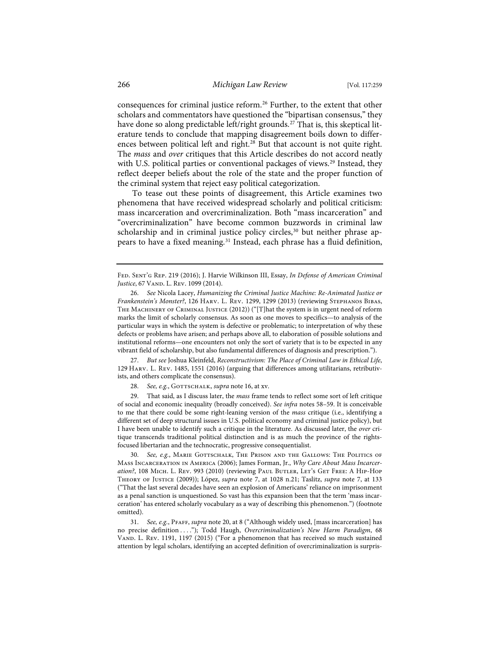consequences for criminal justice reform.<sup>26</sup> Further, to the extent that other scholars and commentators have questioned the "bipartisan consensus," they have done so along predictable left/right grounds.<sup>27</sup> That is, this skeptical literature tends to conclude that mapping disagreement boils down to differences between political left and right.<sup>28</sup> But that account is not quite right. The *mass* and *over* critiques that this Article describes do not accord neatly with U.S. political parties or conventional packages of views.<sup>29</sup> Instead, they reflect deeper beliefs about the role of the state and the proper function of the criminal system that reject easy political categorization.

To tease out these points of disagreement, this Article examines two phenomena that have received widespread scholarly and political criticism: mass incarceration and overcriminalization. Both "mass incarceration" and "overcriminalization" have become common buzzwords in criminal law scholarship and in criminal justice policy circles,<sup>30</sup> but neither phrase appears to have a fixed meaning.<sup>31</sup> Instead, each phrase has a fluid definition,

27. *But see* Joshua Kleinfeld, *Reconstructivism: The Place of Criminal Law in Ethical Life*, 129 Harv. L. Rev. 1485, 1551 (2016) (arguing that differences among utilitarians, retributivists, and others complicate the consensus).

28. See, e.g., GOTTSCHALK, *supra* note 16, at xv.

29. That said, as I discuss later, the *mass* frame tends to reflect some sort of left critique of social and economic inequality (broadly conceived). *See infra* notes 58–59. It is conceivable to me that there could be some right-leaning version of the *mass* critique (i.e., identifying a different set of deep structural issues in U.S. political economy and criminal justice policy), but I have been unable to identify such a critique in the literature. As discussed later, the *over* critique transcends traditional political distinction and is as much the province of the rightsfocused libertarian and the technocratic, progressive consequentialist.

30. *See, e.g.*, Marie Gottschalk, The Prison and the Gallows: The Politics of Mass Incarceration in America (2006); James Forman, Jr., *Why Care About Mass Incarceration*?, 108 MICH. L. Rev. 993 (2010) (reviewing PAUL BUTLER, LET'S GET FREE: A HIP-HOP Theory of Justice (2009)); López, *supra* note 7, at 1028 n.21; Taslitz, *supra* note 7, at 133 ("That the last several decades have seen an explosion of Americans' reliance on imprisonment as a penal sanction is unquestioned. So vast has this expansion been that the term 'mass incarceration' has entered scholarly vocabulary as a way of describing this phenomenon.") (footnote omitted).

31. *See, e.g.*, Pfaff, *supra* note 20, at 8 ("Although widely used, [mass incarceration] has no precise definition . . . ."); Todd Haugh, *Overcriminalization's New Harm Paradigm*, 68 VAND. L. REV. 1191, 1197 (2015) ("For a phenomenon that has received so much sustained attention by legal scholars, identifying an accepted definition of overcriminalization is surpris-

Fed. Sent'g Rep. 219 (2016); J. Harvie Wilkinson III, Essay, *In Defense of American Criminal Justice*, 67 VAND. L. REV. 1099 (2014).

<sup>26.</sup> *See* Nicola Lacey, *Humanizing the Criminal Justice Machine: Re-Animated Justice or Frankenstein's Monster?*, 126 Harv. L. Rev. 1299, 1299 (2013) (reviewing Stephanos Bibas, The Machinery of Criminal Justice (2012)) ("[T]hat the system is in urgent need of reform marks the limit of scholarly consensus. As soon as one moves to specifics—to analysis of the particular ways in which the system is defective or problematic; to interpretation of why these defects or problems have arisen; and perhaps above all, to elaboration of possible solutions and institutional reforms—one encounters not only the sort of variety that is to be expected in any vibrant field of scholarship, but also fundamental differences of diagnosis and prescription.").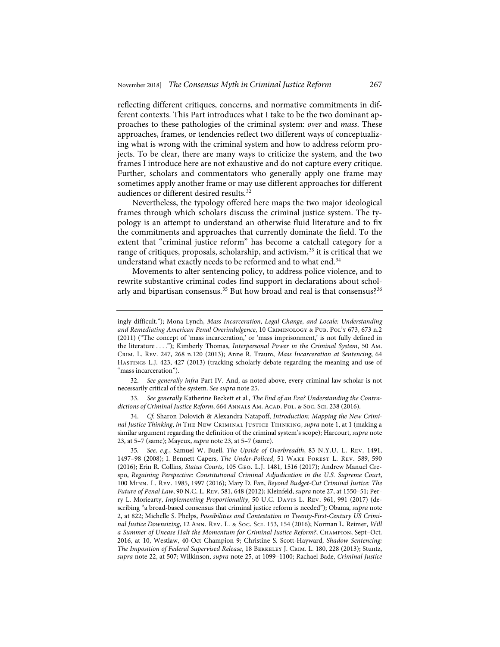reflecting different critiques, concerns, and normative commitments in different contexts. This Part introduces what I take to be the two dominant approaches to these pathologies of the criminal system: *over* and *mass*. These approaches, frames, or tendencies reflect two different ways of conceptualizing what is wrong with the criminal system and how to address reform projects. To be clear, there are many ways to criticize the system, and the two frames I introduce here are not exhaustive and do not capture every critique. Further, scholars and commentators who generally apply one frame may sometimes apply another frame or may use different approaches for different audiences or different desired results.<sup>32</sup>

Nevertheless, the typology offered here maps the two major ideological frames through which scholars discuss the criminal justice system. The typology is an attempt to understand an otherwise fluid literature and to fix the commitments and approaches that currently dominate the field. To the extent that "criminal justice reform" has become a catchall category for a range of critiques, proposals, scholarship, and activism,<sup>33</sup> it is critical that we understand what exactly needs to be reformed and to what end.<sup>34</sup>

Movements to alter sentencing policy, to address police violence, and to rewrite substantive criminal codes find support in declarations about scholarly and bipartisan consensus.<sup>35</sup> But how broad and real is that consensus?<sup>36</sup>

34. *Cf.* Sharon Dolovich & Alexandra Natapoff, *Introduction: Mapping the New Criminal Justice Thinking*, *in* The New Criminal Justice Thinking, *supra* note 1, at 1 (making a similar argument regarding the definition of the criminal system's scope); Harcourt, *supra* note 23, at 5–7 (same); Mayeux, *supra* note 23, at 5–7 (same).

ingly difficult."); Mona Lynch, *Mass Incarceration, Legal Change, and Locale: Understanding and Remediating American Penal Overindulgence*, 10 Criminology & Pub. Pol'y 673, 673 n.2 (2011) ("The concept of 'mass incarceration,' or 'mass imprisonment,' is not fully defined in the literature . . . ."); Kimberly Thomas, *Interpersonal Power in the Criminal System*, 50 Am. Crim. L. Rev. 247, 268 n.120 (2013); Anne R. Traum, *Mass Incarceration at Sentencing*, 64 Hastings L.J. 423, 427 (2013) (tracking scholarly debate regarding the meaning and use of "mass incarceration").

<sup>32.</sup> *See generally infra* Part IV. And, as noted above, every criminal law scholar is not necessarily critical of the system. *See supra* note 25.

<sup>33.</sup> *See generally* Katherine Beckett et al., *The End of an Era? Understanding the Contradictions of Criminal Justice Reform, 664 ANNALS AM. ACAD. POL. & Soc. Sci. 238 (2016).* 

<sup>35.</sup> *See, e.g.*, Samuel W. Buell, *The Upside of Overbreadth*, 83 N.Y.U. L. Rev. 1491, 1497–98 (2008); I. Bennett Capers, *The Under-Policed*, 51 Wake Forest L. Rev. 589, 590 (2016); Erin R. Collins, *Status Courts*, 105 Geo. L.J. 1481, 1516 (2017); Andrew Manuel Crespo, *Regaining Perspective: Constitutional Criminal Adjudication in the U.S. Supreme Court*, 100 Minn. L. Rev. 1985, 1997 (2016); Mary D. Fan, *Beyond Budget-Cut Criminal Justice: The Future of Penal Law*, 90 N.C. L. Rev. 581, 648 (2012); Kleinfeld, *supra* note 27, at 1550–51; Perry L. Moriearty, *Implementing Proportionality*, 50 U.C. Davis L. Rev. 961, 991 (2017) (describing "a broad-based consensus that criminal justice reform is needed"); Obama, *supra* note 2, at 822; Michelle S. Phelps, *Possibilities and Contestation in Twenty-First-Century US Criminal Justice Downsizing*, 12 Ann. Rev. L. & Soc. Sci. 153, 154 (2016); Norman L. Reimer, *Will a Summer of Unease Halt the Momentum for Criminal Justice Reform?*, Champion, Sept–Oct. 2016, at 10, Westlaw, 40-Oct Champion 9; Christine S. Scott-Hayward, *Shadow Sentencing: The Imposition of Federal Supervised Release*, 18 Berkeley J. Crim. L. 180, 228 (2013); Stuntz, *supra* note 22, at 507; Wilkinson, *supra* note 25, at 1099–1100; Rachael Bade, *Criminal Justice*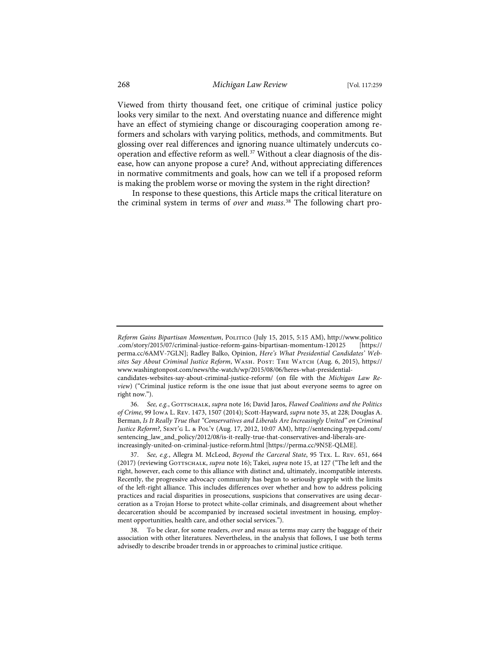Viewed from thirty thousand feet, one critique of criminal justice policy looks very similar to the next. And overstating nuance and difference might have an effect of stymieing change or discouraging cooperation among reformers and scholars with varying politics, methods, and commitments. But glossing over real differences and ignoring nuance ultimately undercuts cooperation and effective reform as well.<sup>37</sup> Without a clear diagnosis of the disease, how can anyone propose a cure? And, without appreciating differences in normative commitments and goals, how can we tell if a proposed reform is making the problem worse or moving the system in the right direction?

In response to these questions, this Article maps the critical literature on the criminal system in terms of *over* and *mass*. <sup>38</sup> The following chart pro-

Reform Gains Bipartisan Momentum, POLITICO (July 15, 2015, 5:15 AM), http://www.politico .com/story/2015/07/criminal-justice-reform-gains-bipartisan-momentum-120125 [https:// perma.cc/6AMV-7GLN]; Radley Balko, Opinion, *Here's What Presidential Candidates' Websites Say About Criminal Justice Reform*, Wash. Post: The Watch (Aug. 6, 2015), https:// www.washingtonpost.com/news/the-watch/wp/2015/08/06/heres-what-presidential-

candidates-websites-say-about-criminal-justice-reform/ (on file with the *Michigan Law Review*) ("Criminal justice reform is the one issue that just about everyone seems to agree on right now.").

<sup>36.</sup> See, e.g., GOTTSCHALK, *supra* note 16; David Jaros, *Flawed Coalitions and the Politics of Crime*, 99 Iowa L. Rev. 1473, 1507 (2014); Scott-Hayward, *supra* note 35, at 228; Douglas A. Berman, *Is It Really True that "Conservatives and Liberals Are Increasingly United" on Criminal Justice Reform?*, SENT'G L. & POL'Y (Aug. 17, 2012, 10:07 AM), http://sentencing.typepad.com/ sentencing\_law\_and\_policy/2012/08/is-it-really-true-that-conservatives-and-liberals-areincreasingly-united-on-criminal-justice-reform.html [https://perma.cc/9N5E-QLME].

<sup>37.</sup> *See, e.g.*, Allegra M. McLeod, *Beyond the Carceral State*, 95 Tex. L. Rev. 651, 664 (2017) (reviewing GOTTSCHALK, *supra* note 16); Takei, *supra* note 15, at 127 ("The left and the right, however, each come to this alliance with distinct and, ultimately, incompatible interests. Recently, the progressive advocacy community has begun to seriously grapple with the limits of the left-right alliance. This includes differences over whether and how to address policing practices and racial disparities in prosecutions, suspicions that conservatives are using decarceration as a Trojan Horse to protect white-collar criminals, and disagreement about whether decarceration should be accompanied by increased societal investment in housing, employment opportunities, health care, and other social services.").

<sup>38.</sup> To be clear, for some readers, *over* and *mass* as terms may carry the baggage of their association with other literatures. Nevertheless, in the analysis that follows, I use both terms advisedly to describe broader trends in or approaches to criminal justice critique.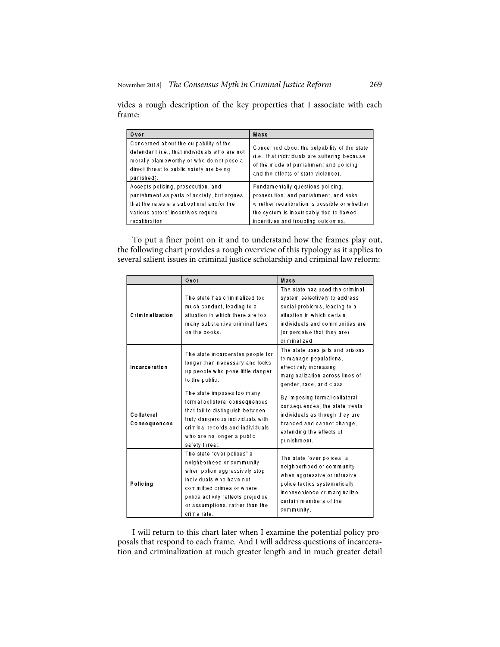| Over                                                                                                                                                                                          | Mass                                                                                                                                                                           |
|-----------------------------------------------------------------------------------------------------------------------------------------------------------------------------------------------|--------------------------------------------------------------------------------------------------------------------------------------------------------------------------------|
| Concerned about the culpability of the<br>defendant (i.e., that individuals who are not<br>morally blameworthy or who do not pose a<br>direct threat to public safety are being<br>punished). | Concerned about the culpability of the state<br>(i.e., that individuals are suffering because<br>of the mode of punishment and policing<br>and the effects of state violence). |
| Accepts policing, prosecution, and                                                                                                                                                            | Fundamentally questions policing,                                                                                                                                              |
| punishment as parts of society, but argues                                                                                                                                                    | prosecution, and punishment, and asks                                                                                                                                          |
| that the rates are suboptimal and/or the                                                                                                                                                      | whether recalibration is possible or whether                                                                                                                                   |
| various actors' incentives require                                                                                                                                                            | the system is inextricably tied to flawed                                                                                                                                      |
| recalibration.                                                                                                                                                                                | incentives and troubling outcomes.                                                                                                                                             |

vides a rough description of the key properties that I associate with each frame:

To put a finer point on it and to understand how the frames play out, the following chart provides a rough overview of this typology as it applies to several salient issues in criminal justice scholarship and criminal law reform:

|                            | Over                                                                                                                                                                                                                                      | Mass                                                                                                                                                                                                               |
|----------------------------|-------------------------------------------------------------------------------------------------------------------------------------------------------------------------------------------------------------------------------------------|--------------------------------------------------------------------------------------------------------------------------------------------------------------------------------------------------------------------|
| Criminalization            | The state has criminalized too<br>much conduct, leading to a<br>situation in which there are too<br>many substantive criminal laws<br>on the books.                                                                                       | The state has used the criminal<br>system selectively to address<br>social problems, leading to a<br>situation in which certain<br>individuals and communities are<br>(or perceive that they are)<br>criminalized. |
| Incarceration              | The state incarcerates people for<br>longer than necessary and locks<br>up people who pose little danger<br>to the public.                                                                                                                | The state uses jails and prisons<br>to manage populations,<br>effectively increasing<br>marginalization across lines of<br>gender, race, and class.                                                                |
| Collateral<br>Consequences | The state imposes too many<br>form al collateral consequences<br>that fail to distinguish between<br>truly dangerous individuals with<br>criminal records and individuals<br>who are no longer a public<br>safety threat.                 | By imposing formal collateral<br>consequences, the state treats<br>individuals as though they are<br>branded and cannot change,<br>extending the effects of<br>punishment.                                         |
| Policing                   | The state "over polices" a<br>neighborhood or community<br>when police aggressively stop<br>individuals who have not<br>committed crimes or where<br>police activity reflects prejudice<br>or assumptions, rather than the<br>crime rate. | The state "over polices" a<br>neighborhood or community<br>when aggressive or intrusive<br>police tactics systematically<br>inconvenience or marginalize<br>certain members of the<br>community.                   |

I will return to this chart later when I examine the potential policy proposals that respond to each frame. And I will address questions of incarceration and criminalization at much greater length and in much greater detail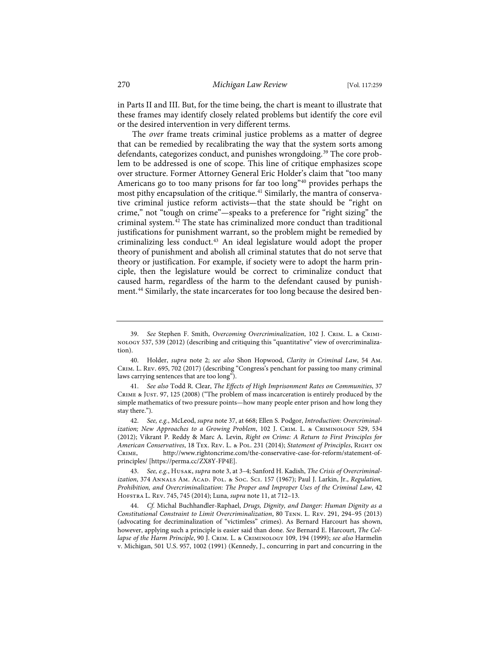in Parts II and III. But, for the time being, the chart is meant to illustrate that these frames may identify closely related problems but identify the core evil or the desired intervention in very different terms.

The *over* frame treats criminal justice problems as a matter of degree that can be remedied by recalibrating the way that the system sorts among defendants, categorizes conduct, and punishes wrongdoing.<sup>39</sup> The core problem to be addressed is one of scope. This line of critique emphasizes scope over structure. Former Attorney General Eric Holder's claim that "too many Americans go to too many prisons for far too long"<sup>40</sup> provides perhaps the most pithy encapsulation of the critique.<sup>41</sup> Similarly, the mantra of conservative criminal justice reform activists—that the state should be "right on crime," not "tough on crime"—speaks to a preference for "right sizing" the criminal system.42 The state has criminalized more conduct than traditional justifications for punishment warrant, so the problem might be remedied by criminalizing less conduct.43 An ideal legislature would adopt the proper theory of punishment and abolish all criminal statutes that do not serve that theory or justification. For example, if society were to adopt the harm principle, then the legislature would be correct to criminalize conduct that caused harm, regardless of the harm to the defendant caused by punishment.<sup>44</sup> Similarly, the state incarcerates for too long because the desired ben-

<sup>39.</sup> *See* Stephen F. Smith, *Overcoming Overcriminalization*, 102 J. Crim. L. & Criminology 537, 539 (2012) (describing and critiquing this "quantitative" view of overcriminalization).

<sup>40.</sup> Holder, *supra* note 2; *see also* Shon Hopwood, *Clarity in Criminal Law*, 54 Am. Crim. L. Rev. 695, 702 (2017) (describing "Congress's penchant for passing too many criminal laws carrying sentences that are too long").

<sup>41.</sup> *See also* Todd R. Clear, *The Effects of High Imprisonment Rates on Communities*, 37 Crime & Just. 97, 125 (2008) ("The problem of mass incarceration is entirely produced by the simple mathematics of two pressure points—how many people enter prison and how long they stay there.").

<sup>42.</sup> *See, e.g.*, McLeod, *supra* note 37, at 668; Ellen S. Podgor, *Introduction: Overcriminalization; New Approaches to a Growing Problem, 102 J. CRIM. L. & CRIMINOLOGY 529, 534* (2012); Vikrant P. Reddy & Marc A. Levin, *Right on Crime: A Return to First Principles for American Conservatives*, 18 Tex. Rev. L. & Pol. 231 (2014); *Statement of Principles*, Right on Crime, http://www.rightoncrime.com/the-conservative-case-for-reform/statement-ofprinciples/ [https://perma.cc/ZX8Y-FP4E].

<sup>43.</sup> *See, e.g.*, Husak, *supra* note 3, at 3–4; Sanford H. Kadish, *The Crisis of Overcriminalization*, 374 ANNALS AM. ACAD. POL. & Soc. Sc1. 157 (1967); Paul J. Larkin, Jr., Regulation, *Prohibition, and Overcriminalization: The Proper and Improper Uses of the Criminal Law*, 42 Hofstra L. Rev. 745, 745 (2014); Luna, *supra* note 11, at 712–13.

<sup>44.</sup> *Cf.* Michal Buchhandler-Raphael, *Drugs, Dignity, and Danger: Human Dignity as a Constitutional Constraint to Limit Overcriminalization*, 80 Tenn. L. Rev. 291, 294–95 (2013) (advocating for decriminalization of "victimless" crimes). As Bernard Harcourt has shown, however, applying such a principle is easier said than done. *See* Bernard E. Harcourt, *The Collapse of the Harm Principle*, 90 J. Crim. L. & Criminology 109, 194 (1999); *see also* Harmelin v. Michigan, 501 U.S. 957, 1002 (1991) (Kennedy, J., concurring in part and concurring in the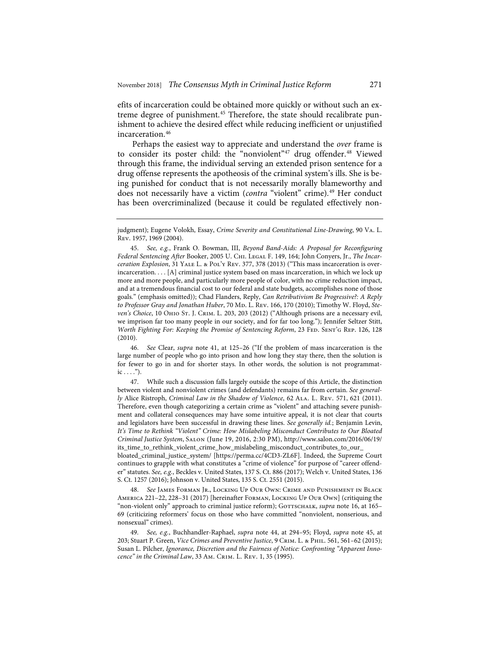efits of incarceration could be obtained more quickly or without such an extreme degree of punishment.<sup>45</sup> Therefore, the state should recalibrate punishment to achieve the desired effect while reducing inefficient or unjustified incarceration.46

Perhaps the easiest way to appreciate and understand the *over* frame is to consider its poster child: the "nonviolent"<sup>47</sup> drug offender.<sup>48</sup> Viewed through this frame, the individual serving an extended prison sentence for a drug offense represents the apotheosis of the criminal system's ills. She is being punished for conduct that is not necessarily morally blameworthy and does not necessarily have a victim (*contra* "violent" crime).<sup>49</sup> Her conduct has been overcriminalized (because it could be regulated effectively non-

46. *See* Clear, *supra* note 41, at 125–26 ("If the problem of mass incarceration is the large number of people who go into prison and how long they stay there, then the solution is for fewer to go in and for shorter stays. In other words, the solution is not programmat $ic \dots$ ").

47. While such a discussion falls largely outside the scope of this Article, the distinction between violent and nonviolent crimes (and defendants) remains far from certain. *See generally* Alice Ristroph, *Criminal Law in the Shadow of Violence*, 62 Ala. L. Rev. 571, 621 (2011). Therefore, even though categorizing a certain crime as "violent" and attaching severe punishment and collateral consequences may have some intuitive appeal, it is not clear that courts and legislators have been successful in drawing these lines. *See generally id.*; Benjamin Levin, *It's Time to Rethink "Violent" Crime: How Mislabeling Misconduct Contributes to Our Bloated Criminal Justice System*, Salon (June 19, 2016, 2:30 PM), http://www.salon.com/2016/06/19/ its\_time\_to\_rethink\_violent\_crime\_how\_mislabeling\_misconduct\_contributes\_to\_our\_

bloated\_criminal\_justice\_system/ [https://perma.cc/4CD3-ZL6F]. Indeed, the Supreme Court continues to grapple with what constitutes a "crime of violence" for purpose of "career offender" statutes. *See, e.g.*, Beckles v. United States, 137 S. Ct. 886 (2017); Welch v. United States, 136 S. Ct. 1257 (2016); Johnson v. United States, 135 S. Ct. 2551 (2015).

48. *See* James Forman Jr., Locking Up Our Own: Crime and Punishment in Black America 221–22, 228–31 (2017) [hereinafter Forman, Locking Up Our Own] (critiquing the "non-violent only" approach to criminal justice reform); GOTTSCHALK, *supra* note 16, at 165– 69 (criticizing reformers' focus on those who have committed "nonviolent, nonserious, and nonsexual" crimes).

49. *See, e.g.*, Buchhandler-Raphael, *supra* note 44, at 294–95; Floyd, *supra* note 45, at 203; Stuart P. Green, *Vice Crimes and Preventive Justice*, 9 Crim. L. & Phil. 561, 561–62 (2015); Susan L. Pilcher, *Ignorance, Discretion and the Fairness of Notice: Confronting "Apparent Innocence" in the Criminal Law*, 33 Am. Crim. L. Rev. 1, 35 (1995).

judgment); Eugene Volokh, Essay, *Crime Severity and Constitutional Line-Drawing*, 90 Va. L. Rev. 1957, 1969 (2004).

<sup>45.</sup> *See, e.g.*, Frank O. Bowman, III, *Beyond Band-Aids: A Proposal for Reconfiguring Federal Sentencing After* Booker, 2005 U. Chi. Legal F. 149, 164; John Conyers, Jr., *The Incarceration Explosion*, 31 YALE L. & POL'Y REV. 377, 378 (2013) ("This mass incarceration is overincarceration. . . . [A] criminal justice system based on mass incarceration, in which we lock up more and more people, and particularly more people of color, with no crime reduction impact, and at a tremendous financial cost to our federal and state budgets, accomplishes none of those goals." (emphasis omitted)); Chad Flanders, Reply, *Can Retributivism Be Progressive?: A Reply*  to Professor Gray and Jonathan Huber, 70 Mp. L. Rev. 166, 170 (2010); Timothy W. Floyd, Ste*ven's Choice*, 10 Ohio St. J. Crim. L. 203, 203 (2012) ("Although prisons are a necessary evil, we imprison far too many people in our society, and for far too long."); Jennifer Seltzer Stitt, *Worth Fighting For: Keeping the Promise of Sentencing Reform, 23 FED. SENT'G REP. 126, 128* (2010).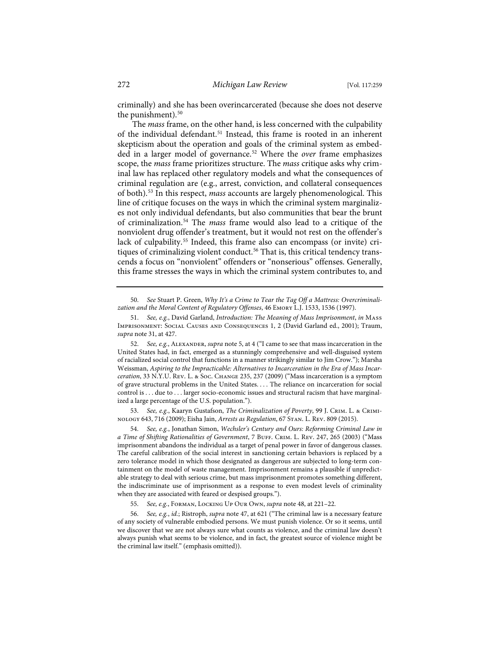criminally) and she has been overincarcerated (because she does not deserve the punishment).<sup>50</sup>

The *mass* frame, on the other hand, is less concerned with the culpability of the individual defendant.<sup>51</sup> Instead, this frame is rooted in an inherent skepticism about the operation and goals of the criminal system as embedded in a larger model of governance.52 Where the *over* frame emphasizes scope, the *mass* frame prioritizes structure. The *mass* critique asks why criminal law has replaced other regulatory models and what the consequences of criminal regulation are (e.g., arrest, conviction, and collateral consequences of both).53 In this respect, *mass* accounts are largely phenomenological. This line of critique focuses on the ways in which the criminal system marginalizes not only individual defendants, but also communities that bear the brunt of criminalization.54 The *mass* frame would also lead to a critique of the nonviolent drug offender's treatment, but it would not rest on the offender's lack of culpability.<sup>55</sup> Indeed, this frame also can encompass (or invite) critiques of criminalizing violent conduct.<sup>56</sup> That is, this critical tendency transcends a focus on "nonviolent" offenders or "nonserious" offenses. Generally, this frame stresses the ways in which the criminal system contributes to, and

50. *See* Stuart P. Green, *Why It's a Crime to Tear the Tag Off a Mattress: Overcriminalization and the Moral Content of Regulatory Offenses*, 46 Emory L.J. 1533, 1536 (1997).

53. See, e.g., Kaaryn Gustafson, *The Criminalization of Poverty*, 99 J. CRIM. L. & CRIMInology 643, 716 (2009); Eisha Jain, *Arrests as Regulation*, 67 Stan. L. Rev. 809 (2015).

54. *See, e.g.*, Jonathan Simon, *Wechsler's Century and Ours: Reforming Criminal Law in a Time of Shifting Rationalities of Government*, 7 BUFF. CRIM. L. REV. 247, 265 (2003) ("Mass imprisonment abandons the individual as a target of penal power in favor of dangerous classes. The careful calibration of the social interest in sanctioning certain behaviors is replaced by a zero tolerance model in which those designated as dangerous are subjected to long-term containment on the model of waste management. Imprisonment remains a plausible if unpredictable strategy to deal with serious crime, but mass imprisonment promotes something different, the indiscriminate use of imprisonment as a response to even modest levels of criminality when they are associated with feared or despised groups.").

55. *See, e.g.*, Forman, Locking Up Our Own, *supra* note 48, at 221–22.

56. *See, e.g.*, *id.*; Ristroph, *supra* note 47, at 621 ("The criminal law is a necessary feature of any society of vulnerable embodied persons. We must punish violence. Or so it seems, until we discover that we are not always sure what counts as violence, and the criminal law doesn't always punish what seems to be violence, and in fact, the greatest source of violence might be the criminal law itself." (emphasis omitted)).

<sup>51.</sup> *See, e.g.*, David Garland, *Introduction: The Meaning of Mass Imprisonment*, *in* Mass Imprisonment: Social Causes and Consequences 1, 2 (David Garland ed., 2001); Traum, *supra* note 31, at 427.

<sup>52.</sup> *See, e.g.*, Alexander, *supra* note 5, at 4 ("I came to see that mass incarceration in the United States had, in fact, emerged as a stunningly comprehensive and well-disguised system of racialized social control that functions in a manner strikingly similar to Jim Crow."); Marsha Weissman, *Aspiring to the Impracticable: Alternatives to Incarceration in the Era of Mass Incarceration*, 33 N.Y.U. Rev. L. & Soc. Change 235, 237 (2009) ("Mass incarceration is a symptom of grave structural problems in the United States. . . . The reliance on incarceration for social control is . . . due to . . . larger socio-economic issues and structural racism that have marginalized a large percentage of the U.S. population.").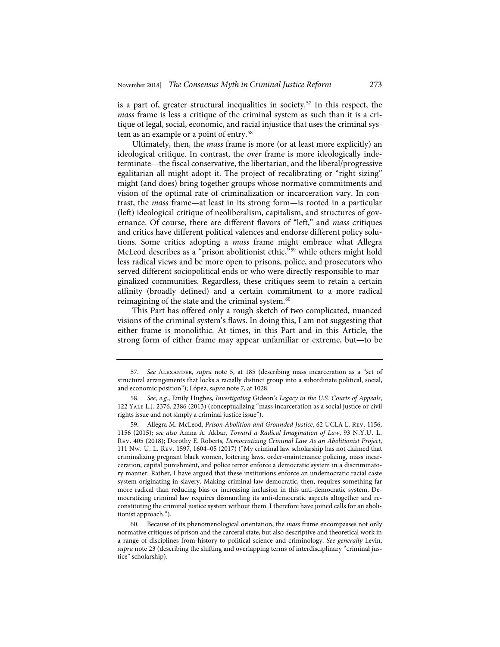is a part of, greater structural inequalities in society.57 In this respect, the *mass* frame is less a critique of the criminal system as such than it is a critique of legal, social, economic, and racial injustice that uses the criminal system as an example or a point of entry.<sup>58</sup>

Ultimately, then, the *mass* frame is more (or at least more explicitly) an ideological critique. In contrast, the *over* frame is more ideologically indeterminate—the fiscal conservative, the libertarian, and the liberal/progressive egalitarian all might adopt it. The project of recalibrating or "right sizing" might (and does) bring together groups whose normative commitments and vision of the optimal rate of criminalization or incarceration vary. In contrast, the *mass* frame—at least in its strong form—is rooted in a particular (left) ideological critique of neoliberalism, capitalism, and structures of governance. Of course, there are different flavors of "left," and *mass* critiques and critics have different political valences and endorse different policy solutions. Some critics adopting a *mass* frame might embrace what Allegra McLeod describes as a "prison abolitionist ethic,"59 while others might hold less radical views and be more open to prisons, police, and prosecutors who served different sociopolitical ends or who were directly responsible to marginalized communities. Regardless, these critiques seem to retain a certain affinity (broadly defined) and a certain commitment to a more radical reimagining of the state and the criminal system.<sup>60</sup>

This Part has offered only a rough sketch of two complicated, nuanced visions of the criminal system's flaws. In doing this, I am not suggesting that either frame is monolithic. At times, in this Part and in this Article, the strong form of either frame may appear unfamiliar or extreme, but—to be

<sup>57.</sup> *See* Alexander, *supra* note 5, at 185 (describing mass incarceration as a "set of structural arrangements that locks a racially distinct group into a subordinate political, social, and economic position"); López, *supra* note 7, at 1028.

<sup>58.</sup> *See, e.g.*, Emily Hughes, *Investigating* Gideon*'s Legacy in the U.S. Courts of Appeals*, 122 Yale L.J. 2376, 2386 (2013) (conceptualizing "mass incarceration as a social justice or civil rights issue and not simply a criminal justice issue").

<sup>59.</sup> Allegra M. McLeod, *Prison Abolition and Grounded Justice*, 62 UCLA L. Rev. 1156, 1156 (2015); *see also* Amna A. Akbar, *Toward a Radical Imagination of Law*, 93 N.Y.U. L. Rev. 405 (2018); Dorothy E. Roberts, *Democratizing Criminal Law As an Abolitionist Project*, 111 Nw. U. L. Rev. 1597, 1604–05 (2017) ("My criminal law scholarship has not claimed that criminalizing pregnant black women, loitering laws, order-maintenance policing, mass incarceration, capital punishment, and police terror enforce a democratic system in a discriminatory manner. Rather, I have argued that these institutions enforce an undemocratic racial caste system originating in slavery. Making criminal law democratic, then, requires something far more radical than reducing bias or increasing inclusion in this anti-democratic system. Democratizing criminal law requires dismantling its anti-democratic aspects altogether and reconstituting the criminal justice system without them. I therefore have joined calls for an abolitionist approach.").

<sup>60.</sup> Because of its phenomenological orientation, the *mass* frame encompasses not only normative critiques of prison and the carceral state, but also descriptive and theoretical work in a range of disciplines from history to political science and criminology. *See generally* Levin, *supra* note 23 (describing the shifting and overlapping terms of interdisciplinary "criminal justice" scholarship).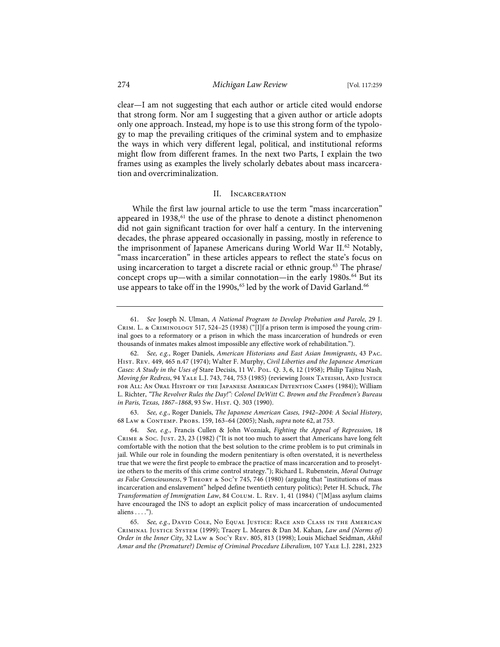clear—I am not suggesting that each author or article cited would endorse that strong form. Nor am I suggesting that a given author or article adopts only one approach. Instead, my hope is to use this strong form of the typology to map the prevailing critiques of the criminal system and to emphasize the ways in which very different legal, political, and institutional reforms might flow from different frames. In the next two Parts, I explain the two frames using as examples the lively scholarly debates about mass incarceration and overcriminalization.

# II. Incarceration

While the first law journal article to use the term "mass incarceration" appeared in 1938,<sup>61</sup> the use of the phrase to denote a distinct phenomenon did not gain significant traction for over half a century. In the intervening decades, the phrase appeared occasionally in passing, mostly in reference to the imprisonment of Japanese Americans during World War II.<sup>62</sup> Notably, "mass incarceration" in these articles appears to reflect the state's focus on using incarceration to target a discrete racial or ethnic group.<sup>63</sup> The phrase/ concept crops up—with a similar connotation—in the early 1980s.<sup>64</sup> But its use appears to take off in the 1990s,<sup>65</sup> led by the work of David Garland.<sup>66</sup>

63. *See, e.g.*, Roger Daniels, *The Japanese American Cases, 1942–2004: A Social History*, 68 Law & Contemp. Probs. 159, 163–64 (2005); Nash, *supra* note 62, at 753.

<sup>61.</sup> *See* Joseph N. Ulman, *A National Program to Develop Probation and Parole*, 29 J. Crim. L. & Criminology 517, 524–25 (1938) ("[I]f a prison term is imposed the young criminal goes to a reformatory or a prison in which the mass incarceration of hundreds or even thousands of inmates makes almost impossible any effective work of rehabilitation.").

<sup>62.</sup> *See, e.g.*, Roger Daniels, *American Historians and East Asian Immigrants*, 43 Pac. Hist. Rev. 449, 465 n.47 (1974); Walter F. Murphy, *Civil Liberties and the Japanese American*  Cases: A Study in the Uses of Stare Decisis, 11 W. Pol. Q. 3, 6, 12 (1958); Philip Tajitsu Nash, *Moving for Redress*, 94 YALE L.J. 743, 744, 753 (1985) (reviewing JOHN TATEISHI, AND JUSTICE for All: An Oral History of the Japanese American Detention Camps (1984)); William L. Richter, *"The Revolver Rules the Day!": Colonel DeWitt C. Brown and the Freedmen's Bureau in Paris, Texas, 1867-1868, 93 Sw. Hist. Q. 303 (1990).* 

<sup>64.</sup> *See, e.g.*, Francis Cullen & John Wozniak, *Fighting the Appeal of Repression*, 18 Crime & Soc. Just. 23, 23 (1982) ("It is not too much to assert that Americans have long felt comfortable with the notion that the best solution to the crime problem is to put criminals in jail. While our role in founding the modern penitentiary is often overstated, it is nevertheless true that we were the first people to embrace the practice of mass incarceration and to proselytize others to the merits of this crime control strategy."); Richard L. Rubenstein, *Moral Outrage as False Consciousness*, 9 Theory & Soc'y 745, 746 (1980) (arguing that "institutions of mass incarceration and enslavement" helped define twentieth century politics); Peter H. Schuck, *The Transformation of Immigration Law*, 84 Colum. L. Rev. 1, 41 (1984) ("[M]ass asylum claims have encouraged the INS to adopt an explicit policy of mass incarceration of undocumented aliens . . . .").

<sup>65.</sup> *See, e.g.*, David Cole, No Equal Justice: Race and Class in the American Criminal Justice System (1999); Tracey L. Meares & Dan M. Kahan, *Law and (Norms of) Order in the Inner City*, 32 Law & Soc'y Rev. 805, 813 (1998); Louis Michael Seidman, *Akhil Amar and the (Premature?) Demise of Criminal Procedure Liberalism*, 107 Yale L.J. 2281, 2323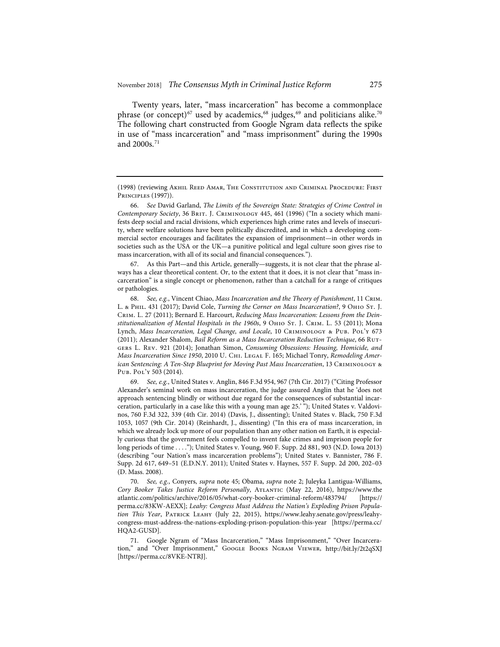Twenty years, later, "mass incarceration" has become a commonplace phrase (or concept)<sup>67</sup> used by academics,<sup>68</sup> judges,<sup>69</sup> and politicians alike.<sup>70</sup> The following chart constructed from Google Ngram data reflects the spike in use of "mass incarceration" and "mass imprisonment" during the 1990s and 2000s.<sup>71</sup>

66. *See* David Garland, *The Limits of the Sovereign State: Strategies of Crime Control in Contemporary Society*, 36 Brit. J. Criminology 445, 461 (1996) ("In a society which manifests deep social and racial divisions, which experiences high crime rates and levels of insecurity, where welfare solutions have been politically discredited, and in which a developing commercial sector encourages and facilitates the expansion of imprisonment—in other words in societies such as the USA or the UK—a punitive political and legal culture soon gives rise to mass incarceration, with all of its social and financial consequences.").

67. As this Part—and this Article, generally—suggests, it is not clear that the phrase always has a clear theoretical content. Or, to the extent that it does, it is not clear that "mass incarceration" is a single concept or phenomenon, rather than a catchall for a range of critiques or pathologies.

68. *See, e.g.*, Vincent Chiao, *Mass Incarceration and the Theory of Punishment*, 11 Crim. L. & Phil. 431 (2017); David Cole, *Turning the Corner on Mass Incarceration?*, 9 Ohio St. J. Crim. L. 27 (2011); Bernard E. Harcourt, *Reducing Mass Incarceration: Lessons from the Deinstitutionalization of Mental Hospitals in the 1960s*, 9 Ohio St. J. Crim. L. 53 (2011); Mona Lynch, *Mass Incarceration, Legal Change, and Locale*, 10 Criminology & Pub. Pol'y 673 (2011); Alexander Shalom, *Bail Reform as a Mass Incarceration Reduction Technique*, 66 Rutgers L. Rev. 921 (2014); Jonathan Simon, *Consuming Obsessions: Housing, Homicide, and*  Mass Incarceration Since 1950, 2010 U. CHI. LEGAL F. 165; Michael Tonry, *Remodeling American Sentencing: A Ten-Step Blueprint for Moving Past Mass Incarceration*, 13 Criminology & Pub. Pol'y 503 (2014).

69. *See, e.g.*, United States v. Anglin, 846 F.3d 954, 967 (7th Cir. 2017) ("Citing Professor Alexander's seminal work on mass incarceration, the judge assured Anglin that he 'does not approach sentencing blindly or without due regard for the consequences of substantial incarceration, particularly in a case like this with a young man age 25.' "); United States v. Valdovinos, 760 F.3d 322, 339 (4th Cir. 2014) (Davis, J., dissenting); United States v. Black, 750 F.3d 1053, 1057 (9th Cir. 2014) (Reinhardt, J., dissenting) ("In this era of mass incarceration, in which we already lock up more of our population than any other nation on Earth, it is especially curious that the government feels compelled to invent fake crimes and imprison people for long periods of time . . . ."); United States v. Young, 960 F. Supp. 2d 881, 903 (N.D. Iowa 2013) (describing "our Nation's mass incarceration problems"); United States v. Bannister, 786 F. Supp. 2d 617, 649–51 (E.D.N.Y. 2011); United States v. Haynes, 557 F. Supp. 2d 200, 202–03 (D. Mass. 2008).

70. *See, e.g.*, Conyers, *supra* note 45; Obama, *supra* note 2; Juleyka Lantigua-Williams, *Cory Booker Takes Justice Reform Personally*, Atlantic (May 22, 2016), https://www.the atlantic.com/politics/archive/2016/05/what-cory-booker-criminal-reform/483794/ [https:// perma.cc/83KW-AEXX]; *Leahy: Congress Must Address the Nation's Exploding Prison Population This Year*, Patrick Leahy (July 22, 2015), https://www.leahy.senate.gov/press/leahycongress-must-address-the-nations-exploding-prison-population-this-year [https://perma.cc/ HQA2-GUSD].

71. Google Ngram of "Mass Incarceration," "Mass Imprisonment," "Over Incarceration," and "Over Imprisonment," Google Books Ngram Viewer, http://bit.ly/2t2qSXJ [https://perma.cc/8VKE-NTRJ].

<sup>(1998) (</sup>reviewing Akhil Reed Amar, The Constitution and Criminal Procedure: First Principles (1997)).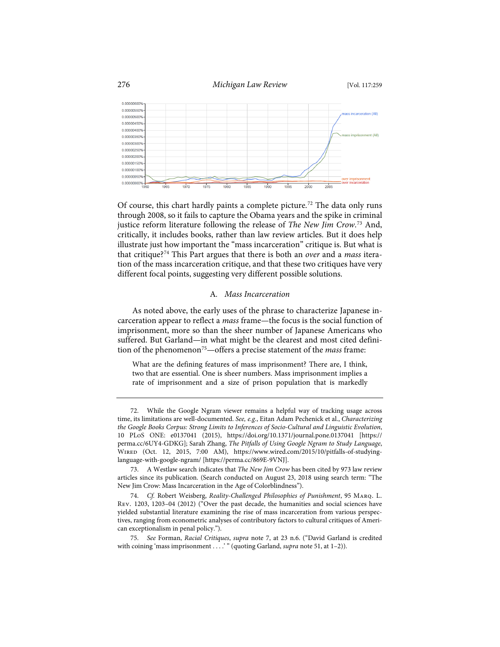

Of course, this chart hardly paints a complete picture.<sup>72</sup> The data only runs through 2008, so it fails to capture the Obama years and the spike in criminal justice reform literature following the release of *The New Jim Crow*. <sup>73</sup> And, critically, it includes books, rather than law review articles. But it does help illustrate just how important the "mass incarceration" critique is. But what is that critique?74 This Part argues that there is both an *over* and a *mass* iteration of the mass incarceration critique, and that these two critiques have very different focal points, suggesting very different possible solutions.

# A*. Mass Incarceration*

As noted above, the early uses of the phrase to characterize Japanese incarceration appear to reflect a *mass* frame—the focus is the social function of imprisonment, more so than the sheer number of Japanese Americans who suffered. But Garland—in what might be the clearest and most cited definition of the phenomenon75—offers a precise statement of the *mass* frame:

What are the defining features of mass imprisonment? There are, I think, two that are essential. One is sheer numbers. Mass imprisonment implies a rate of imprisonment and a size of prison population that is markedly

<sup>72.</sup> While the Google Ngram viewer remains a helpful way of tracking usage across time, its limitations are well-documented. *See, e.g.*, Eitan Adam Pechenick et al., *Characterizing the Google Books Corpus: Strong Limits to Inferences of Socio-Cultural and Linguistic Evolution*, 10 PLoS ONE: e0137041 (2015), https://doi.org/10.1371/journal.pone.0137041 [https:// perma.cc/6UY4-GDKG]; Sarah Zhang, *The Pitfalls of Using Google Ngram to Study Language*, Wired (Oct. 12, 2015, 7:00 AM), https://www.wired.com/2015/10/pitfalls-of-studyinglanguage-with-google-ngram/ [https://perma.cc/869E-9VNJ].

<sup>73.</sup> A Westlaw search indicates that *The New Jim Crow* has been cited by 973 law review articles since its publication. (Search conducted on August 23, 2018 using search term: "The New Jim Crow: Mass Incarceration in the Age of Colorblindness").

<sup>74.</sup> *Cf.* Robert Weisberg, *Reality-Challenged Philosophies of Punishment*, 95 Marq. L. Rev. 1203, 1203–04 (2012) ("Over the past decade, the humanities and social sciences have yielded substantial literature examining the rise of mass incarceration from various perspectives, ranging from econometric analyses of contributory factors to cultural critiques of American exceptionalism in penal policy.").

<sup>75.</sup> *See* Forman, *Racial Critiques*, *supra* note 7, at 23 n.6. ("David Garland is credited with coining 'mass imprisonment . . . . " (quoting Garland, *supra* note 51, at 1-2)).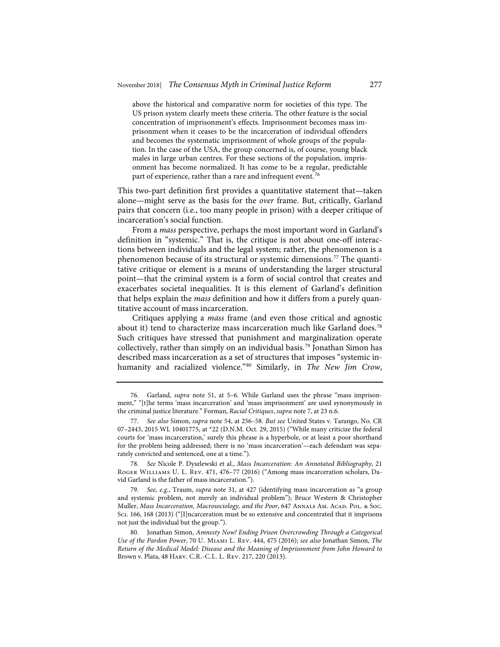above the historical and comparative norm for societies of this type. The US prison system clearly meets these criteria. The other feature is the social concentration of imprisonment's effects. Imprisonment becomes mass imprisonment when it ceases to be the incarceration of individual offenders and becomes the systematic imprisonment of whole groups of the population. In the case of the USA, the group concerned is, of course, young black males in large urban centres. For these sections of the population, imprisonment has become normalized. It has come to be a regular, predictable part of experience, rather than a rare and infrequent event.<sup>76</sup>

This two-part definition first provides a quantitative statement that—taken alone—might serve as the basis for the *over* frame. But, critically, Garland pairs that concern (i.e., too many people in prison) with a deeper critique of incarceration's social function.

From a *mass* perspective, perhaps the most important word in Garland's definition in "systemic." That is, the critique is not about one-off interactions between individuals and the legal system; rather, the phenomenon is a phenomenon because of its structural or systemic dimensions.<sup>77</sup> The quantitative critique or element is a means of understanding the larger structural point—that the criminal system is a form of social control that creates and exacerbates societal inequalities. It is this element of Garland's definition that helps explain the *mass* definition and how it differs from a purely quantitative account of mass incarceration.

Critiques applying a *mass* frame (and even those critical and agnostic about it) tend to characterize mass incarceration much like Garland does.<sup>78</sup> Such critiques have stressed that punishment and marginalization operate collectively, rather than simply on an individual basis.79 Jonathan Simon has described mass incarceration as a set of structures that imposes "systemic inhumanity and racialized violence."80 Similarly, in *The New Jim Crow*,

<sup>76.</sup> Garland, *supra* note 51, at 5–6. While Garland uses the phrase "mass imprisonment," "[t]he terms 'mass incarceration' and 'mass imprisonment' are used synonymously in the criminal justice literature." Forman, *Racial Critiques*, *supra* note 7, at 23 n.6.

<sup>77.</sup> *See also* Simon, *supra* note 54, at 256–58. *But see* United States v. Tarango, No. CR 07–2443, 2015 WL 10401775, at \*22 (D.N.M. Oct. 29, 2015) ("While many criticize the federal courts for 'mass incarceration,' surely this phrase is a hyperbole, or at least a poor shorthand for the problem being addressed; there is no 'mass incarceration'—each defendant was separately convicted and sentenced, one at a time.").

<sup>78.</sup> *See* Nicole P. Dyszlewski et al., *Mass Incarceration: An Annotated Bibliography*, 21 Roger Williams U. L. Rev. 471, 476–77 (2016) ("Among mass incarceration scholars, David Garland is the father of mass incarceration.").

<sup>79.</sup> *See, e.g.*, Traum, *supra* note 31, at 427 (identifying mass incarceration as "a group and systemic problem, not merely an individual problem"); Bruce Western & Christopher Muller, *Mass Incarceration, Macrosociology, and the Poor, 647 ANNALS AM. ACAD. POL. & Soc.* Sci. 166, 168 (2013) ("[I]ncarceration must be so extensive and concentrated that it imprisons not just the individual but the group.").

<sup>80.</sup> Jonathan Simon, *Amnesty Now! Ending Prison Overcrowding Through a Categorical Use of the Pardon Power*, 70 U. Miami L. Rev. 444, 475 (2016); *see also* Jonathan Simon, *The Return of the Medical Model: Disease and the Meaning of Imprisonment from John Howard to*  Brown v. Plata, 48 Harv. C.R.-C.L. L. Rev. 217, 220 (2013).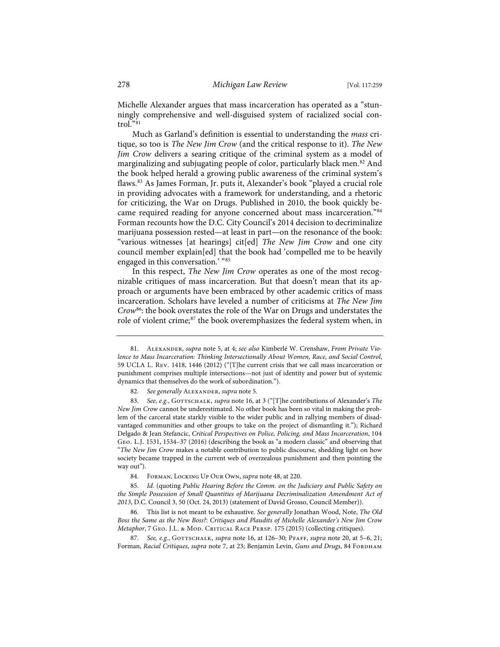Michelle Alexander argues that mass incarceration has operated as a "stunningly comprehensive and well-disguised system of racialized social control."81

Much as Garland's definition is essential to understanding the *mass* critique, so too is *The New Jim Crow* (and the critical response to it). *The New Jim Crow* delivers a searing critique of the criminal system as a model of marginalizing and subjugating people of color, particularly black men.82 And the book helped herald a growing public awareness of the criminal system's flaws.83 As James Forman, Jr. puts it, Alexander's book "played a crucial role in providing advocates with a framework for understanding, and a rhetoric for criticizing, the War on Drugs. Published in 2010, the book quickly became required reading for anyone concerned about mass incarceration."84 Forman recounts how the D.C. City Council's 2014 decision to decriminalize marijuana possession rested—at least in part—on the resonance of the book: "various witnesses [at hearings] cit[ed] *The New Jim Crow* and one city council member explain[ed] that the book had 'compelled me to be heavily engaged in this conversation.' "85

In this respect, *The New Jim Crow* operates as one of the most recognizable critiques of mass incarceration. But that doesn't mean that its approach or arguments have been embraced by other academic critics of mass incarceration. Scholars have leveled a number of criticisms at *The New Jim Crow*86: the book overstates the role of the War on Drugs and understates the role of violent crime;<sup>87</sup> the book overemphasizes the federal system when, in

82. See generally ALEXANDER, *supra* note 5.

83. See, e.g., GOTTSCHALK, *supra* note 16, at 3 ("[T]he contributions of Alexander's The *New Jim Crow* cannot be underestimated. No other book has been so vital in making the problem of the carceral state starkly visible to the wider public and in rallying members of disadvantaged communities and other groups to take on the project of dismantling it."); Richard Delgado & Jean Stefancic, *Critical Perspectives on Police, Policing, and Mass Incarceration*, 104 Geo. L.J. 1531, 1534–37 (2016) (describing the book as "a modern classic" and observing that "*The New Jim Crow* makes a notable contribution to public discourse, shedding light on how society became trapped in the current web of overzealous punishment and then pointing the way out").

84. Forman, Locking Up Our Own, *supra* note 48, at 220.

85. *Id.* (quoting *Public Hearing Before the Comm. on the Judiciary and Public Safety on the Simple Possession of Small Quantities of Marijuana Decriminalization Amendment Act of 2013*, D.C. Council 3, 50 (Oct. 24, 2013) (statement of David Grosso, Council Member)).

86. This list is not meant to be exhaustive. *See generally* Jonathan Wood, Note, *The Old Boss the Same as the New Boss?: Critiques and Plaudits of Michelle Alexander's New Jim Crow Metaphor*, 7 Geo. J.L. & Mod. Critical Race Persp. 175 (2015) (collecting critiques).

87. See, e.g., GOTTSCHALK, *supra* note 16, at 126-30; PFAFF, *supra* note 20, at 5-6, 21; Forman, Racial Critiques, *supra* note 7, at 23; Benjamin Levin, Guns and Drugs, 84 FORDHAM

<sup>81.</sup> Alexander, *supra* note 5, at 4; *see also* Kimberlé W. Crenshaw, *From Private Violence to Mass Incarceration: Thinking Intersectionally About Women, Race, and Social Control*, 59 UCLA L. Rev. 1418, 1446 (2012) ("[T]he current crisis that we call mass incarceration or punishment comprises multiple intersections—not just of identity and power but of systemic dynamics that themselves do the work of subordination.").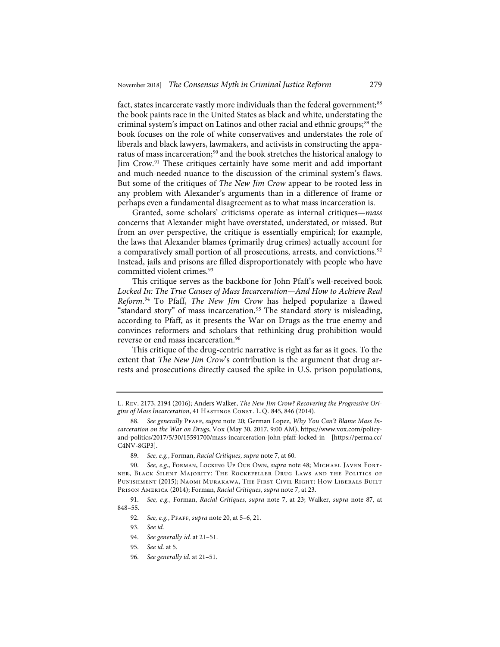fact, states incarcerate vastly more individuals than the federal government;<sup>88</sup> the book paints race in the United States as black and white, understating the criminal system's impact on Latinos and other racial and ethnic groups;<sup>89</sup> the book focuses on the role of white conservatives and understates the role of liberals and black lawyers, lawmakers, and activists in constructing the apparatus of mass incarceration;<sup>90</sup> and the book stretches the historical analogy to Jim Crow.91 These critiques certainly have some merit and add important and much-needed nuance to the discussion of the criminal system's flaws. But some of the critiques of *The New Jim Crow* appear to be rooted less in any problem with Alexander's arguments than in a difference of frame or perhaps even a fundamental disagreement as to what mass incarceration is.

Granted, some scholars' criticisms operate as internal critiques—*mass* concerns that Alexander might have overstated, understated, or missed. But from an *over* perspective, the critique is essentially empirical; for example, the laws that Alexander blames (primarily drug crimes) actually account for a comparatively small portion of all prosecutions, arrests, and convictions.<sup>92</sup> Instead, jails and prisons are filled disproportionately with people who have committed violent crimes.<sup>93</sup>

This critique serves as the backbone for John Pfaff's well-received book Locked In: The True Causes of Mass Incarceration—And How to Achieve Real *Reform*. <sup>94</sup> To Pfaff, *The New Jim Crow* has helped popularize a flawed "standard story" of mass incarceration.<sup>95</sup> The standard story is misleading, according to Pfaff, as it presents the War on Drugs as the true enemy and convinces reformers and scholars that rethinking drug prohibition would reverse or end mass incarceration.<sup>96</sup>

This critique of the drug-centric narrative is right as far as it goes. To the extent that *The New Jim Crow*'s contribution is the argument that drug arrests and prosecutions directly caused the spike in U.S. prison populations,

L. Rev. 2173, 2194 (2016); Anders Walker, *The New Jim Crow? Recovering the Progressive Origins of Mass Incarceration*, 41 Hastings Const. L.Q. 845, 846 (2014).

<sup>88.</sup> *See generally* Pfaff, *supra* note 20; German Lopez, *Why You Can't Blame Mass Incarceration on the War on Drugs*, Vox (May 30, 2017, 9:00 AM), https://www.vox.com/policyand-politics/2017/5/30/15591700/mass-incarceration-john-pfaff-locked-in [https://perma.cc/ C4NV-8GP3].

<sup>89.</sup> *See, e.g.*, Forman, *Racial Critiques*, *supra* note 7, at 60.

<sup>90.</sup> *See, e.g.*, Forman, Locking Up Our Own, *supra* note 48; Michael Javen Fortner, Black Silent Majority: The Rockefeller Drug Laws and the Politics of Punishment (2015); Naomi Murakawa, The First Civil Right: How Liberals Built Prison America (2014); Forman, *Racial Critiques*, *supra* note 7, at 23.

<sup>91.</sup> *See, e.g.*, Forman, *Racial Critiques*, *supra* note 7, at 23; Walker, *supra* note 87, at 848–55.

<sup>92.</sup> *See, e.g.*, Pfaff, *supra* note 20, at 5–6, 21.

<sup>93.</sup> *See id.*

<sup>94.</sup> *See generally* id. at 21–51.

<sup>95.</sup> *See id.* at 5.

<sup>96.</sup> *See generally id.* at 21–51.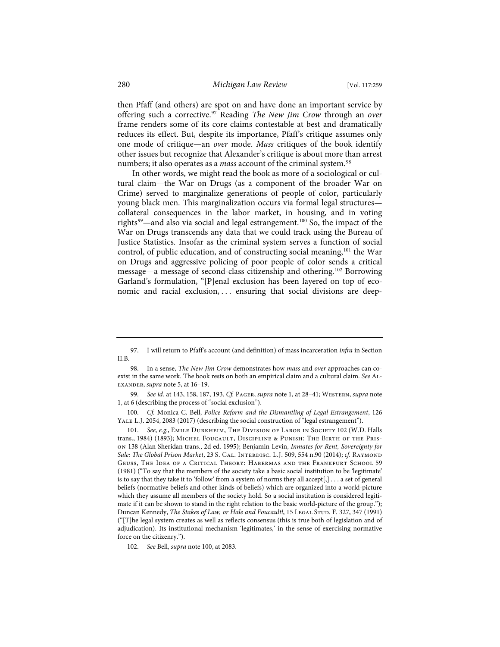then Pfaff (and others) are spot on and have done an important service by offering such a corrective.97 Reading *The New Jim Crow* through an *over* frame renders some of its core claims contestable at best and dramatically reduces its effect. But, despite its importance, Pfaff's critique assumes only one mode of critique—an *over* mode. *Mass* critiques of the book identify other issues but recognize that Alexander's critique is about more than arrest numbers; it also operates as a *mass* account of the criminal system.<sup>98</sup>

In other words, we might read the book as more of a sociological or cultural claim—the War on Drugs (as a component of the broader War on Crime) served to marginalize generations of people of color, particularly young black men. This marginalization occurs via formal legal structures collateral consequences in the labor market, in housing, and in voting rights<sup>99</sup>—and also via social and legal estrangement.<sup>100</sup> So, the impact of the War on Drugs transcends any data that we could track using the Bureau of Justice Statistics. Insofar as the criminal system serves a function of social control, of public education, and of constructing social meaning,<sup>101</sup> the War on Drugs and aggressive policing of poor people of color sends a critical message—a message of second-class citizenship and othering.102 Borrowing Garland's formulation, "[P]enal exclusion has been layered on top of economic and racial exclusion, ... ensuring that social divisions are deep-

<sup>97.</sup> I will return to Pfaff's account (and definition) of mass incarceration *infra* in Section II.B.

<sup>98.</sup> In a sense, *The New Jim Crow* demonstrates how *mass* and *over* approaches can coexist in the same work. The book rests on both an empirical claim and a cultural claim. *See* Alexander, *supra* note 5, at 16–19.

<sup>99.</sup> *See id.* at 143, 158, 187, 193. *Cf.* Pager, *supra* note 1, at 28–41; Western, *supra* note 1, at 6 (describing the process of "social exclusion").

<sup>100.</sup> *Cf.* Monica C. Bell, *Police Reform and the Dismantling of Legal Estrangement*, 126 Yale L.J. 2054, 2083 (2017) (describing the social construction of "legal estrangement").

<sup>101.</sup> See, e.g., EMILE DURKHEIM, THE DIVISION OF LABOR IN SOCIETY 102 (W.D. Halls trans., 1984) (1893); Michel Foucault, Discipline & Punish: The Birth of the Prison 138 (Alan Sheridan trans., 2d ed. 1995); Benjamin Levin, *Inmates for Rent, Sovereignty for Sale: The Global Prison Market*, 23 S. Cal. Interdisc. L.J. 509, 554 n.90 (2014); *cf.* Raymond Geuss, The Idea of a Critical Theory: Habermas and the Frankfurt School 59 (1981) ("To say that the members of the society take a basic social institution to be 'legitimate' is to say that they take it to 'follow' from a system of norms they all accept[,] . . . a set of general beliefs (normative beliefs and other kinds of beliefs) which are organized into a world-picture which they assume all members of the society hold. So a social institution is considered legitimate if it can be shown to stand in the right relation to the basic world-picture of the group."); Duncan Kennedy, *The Stakes of Law, or Hale and Foucault!*, 15 LeGAL STUD. F. 327, 347 (1991) ("[T]he legal system creates as well as reflects consensus (this is true both of legislation and of adjudication). Its institutional mechanism 'legitimates,' in the sense of exercising normative force on the citizenry.").

<sup>102.</sup> *See* Bell, *supra* note 100, at 2083.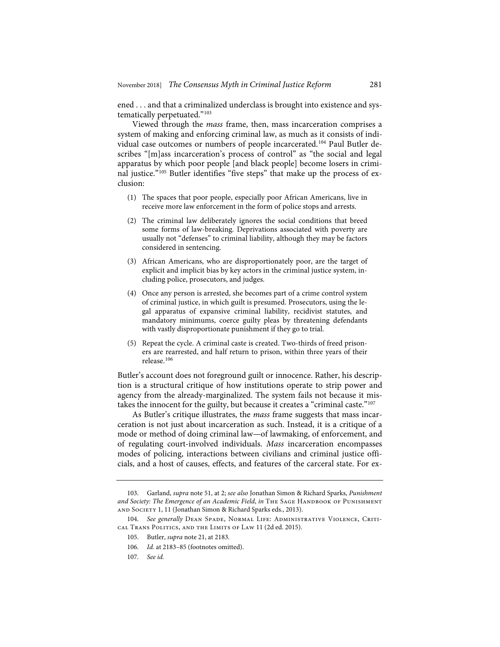ened . . . and that a criminalized underclass is brought into existence and systematically perpetuated."103

Viewed through the *mass* frame, then, mass incarceration comprises a system of making and enforcing criminal law, as much as it consists of individual case outcomes or numbers of people incarcerated.104 Paul Butler describes "[m]ass incarceration's process of control" as "the social and legal apparatus by which poor people [and black people] become losers in criminal justice."105 Butler identifies "five steps" that make up the process of exclusion:

- (1) The spaces that poor people, especially poor African Americans, live in receive more law enforcement in the form of police stops and arrests.
- (2) The criminal law deliberately ignores the social conditions that breed some forms of law-breaking. Deprivations associated with poverty are usually not "defenses" to criminal liability, although they may be factors considered in sentencing.
- (3) African Americans, who are disproportionately poor, are the target of explicit and implicit bias by key actors in the criminal justice system, including police, prosecutors, and judges.
- (4) Once any person is arrested, she becomes part of a crime control system of criminal justice, in which guilt is presumed. Prosecutors, using the legal apparatus of expansive criminal liability, recidivist statutes, and mandatory minimums, coerce guilty pleas by threatening defendants with vastly disproportionate punishment if they go to trial.
- (5) Repeat the cycle. A criminal caste is created. Two-thirds of freed prisoners are rearrested, and half return to prison, within three years of their release.<sup>106</sup>

Butler's account does not foreground guilt or innocence. Rather, his description is a structural critique of how institutions operate to strip power and agency from the already-marginalized. The system fails not because it mistakes the innocent for the guilty, but because it creates a "criminal caste."<sup>107</sup>

As Butler's critique illustrates, the *mass* frame suggests that mass incarceration is not just about incarceration as such. Instead, it is a critique of a mode or method of doing criminal law—of lawmaking, of enforcement, and of regulating court-involved individuals. *Mass* incarceration encompasses modes of policing, interactions between civilians and criminal justice officials, and a host of causes, effects, and features of the carceral state. For ex-

- 106. *Id.* at 2183–85 (footnotes omitted).
- 107. *See id.*

<sup>103.</sup> Garland, *supra* note 51, at 2; *see also* Jonathan Simon & Richard Sparks, *Punishment*  and Society: The Emergence of an Academic Field, in THE SAGE HANDBOOK OF PUNISHMENT and Society 1, 11 (Jonathan Simon & Richard Sparks eds., 2013).

<sup>104.</sup> *See generally* Dean Spade, Normal Life: Administrative Violence, Critical Trans Politics, and the Limits of Law 11 (2d ed. 2015).

<sup>105.</sup> Butler, *supra* note 21, at 2183.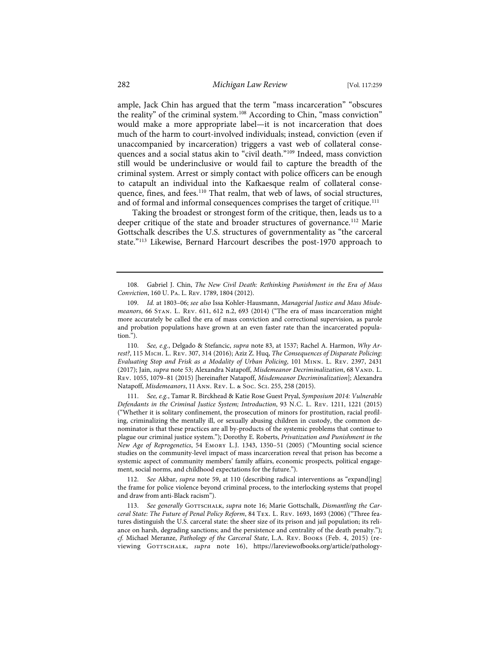ample, Jack Chin has argued that the term "mass incarceration" "obscures the reality" of the criminal system.<sup>108</sup> According to Chin, "mass conviction" would make a more appropriate label—it is not incarceration that does much of the harm to court-involved individuals; instead, conviction (even if unaccompanied by incarceration) triggers a vast web of collateral consequences and a social status akin to "civil death."109 Indeed, mass conviction still would be underinclusive or would fail to capture the breadth of the criminal system. Arrest or simply contact with police officers can be enough to catapult an individual into the Kafkaesque realm of collateral consequence, fines, and fees.<sup>110</sup> That realm, that web of laws, of social structures, and of formal and informal consequences comprises the target of critique.<sup>111</sup>

Taking the broadest or strongest form of the critique, then, leads us to a deeper critique of the state and broader structures of governance.<sup>112</sup> Marie Gottschalk describes the U.S. structures of governmentality as "the carceral state."113 Likewise, Bernard Harcourt describes the post-1970 approach to

110. *See, e.g.*, Delgado & Stefancic, *supra* note 83, at 1537; Rachel A. Harmon, *Why Arrest?*, 115 Mich. L. Rev. 307, 314 (2016); Aziz Z. Huq, *The Consequences of Disparate Policing: Evaluating Stop and Frisk as a Modality of Urban Policing*, 101 Minn. L. Rev. 2397, 2431 (2017); Jain, *supra* note 53; Alexandra Natapoff, *Misdemeanor Decriminalization*, 68 Vand. L. Rev. 1055, 1079–81 (2015) [hereinafter Natapoff, *Misdemeanor Decriminalization*]; Alexandra Natapoff, *Misdemeanors*, 11 Ann. Rev. L. & Soc. Sci. 255, 258 (2015).

111. *See, e.g.*, Tamar R. Birckhead & Katie Rose Guest Pryal, *Symposium 2014: Vulnerable Defendants in the Criminal Justice System; Introduction*, 93 N.C. L. Rev. 1211, 1221 (2015) ("Whether it is solitary confinement, the prosecution of minors for prostitution, racial profiling, criminalizing the mentally ill, or sexually abusing children in custody, the common denominator is that these practices are all by-products of the systemic problems that continue to plague our criminal justice system."); Dorothy E. Roberts, *Privatization and Punishment in the New Age of Reprogenetics*, 54 Emory L.J. 1343, 1350–51 (2005) ("Mounting social science studies on the community-level impact of mass incarceration reveal that prison has become a systemic aspect of community members' family affairs, economic prospects, political engagement, social norms, and childhood expectations for the future.").

112. *See* Akbar, *supra* note 59, at 110 (describing radical interventions as "expand[ing] the frame for police violence beyond criminal process, to the interlocking systems that propel and draw from anti-Black racism").

113. See generally GOTTSCHALK, *supra* note 16; Marie Gottschalk, *Dismantling the Carceral State: The Future of Penal Policy Reform*, 84 Tex. L. Rev. 1693, 1693 (2006) ("Three features distinguish the U.S. carceral state: the sheer size of its prison and jail population; its reliance on harsh, degrading sanctions; and the persistence and centrality of the death penalty."); *cf.* Michael Meranze, *Pathology of the Carceral State*, L.A. Rev. Books (Feb. 4, 2015) (reviewing GOTTSCHALK, *supra* note 16), https://lareviewofbooks.org/article/pathology-

<sup>108.</sup> Gabriel J. Chin, *The New Civil Death: Rethinking Punishment in the Era of Mass Conviction*, 160 U. Pa. L. Rev. 1789, 1804 (2012).

<sup>109.</sup> *Id.* at 1803–06; *see also* Issa Kohler-Hausmann, *Managerial Justice and Mass Misdemeanors*, 66 Stan. L. Rev. 611, 612 n.2, 693 (2014) ("The era of mass incarceration might more accurately be called the era of mass conviction and correctional supervision, as parole and probation populations have grown at an even faster rate than the incarcerated population.").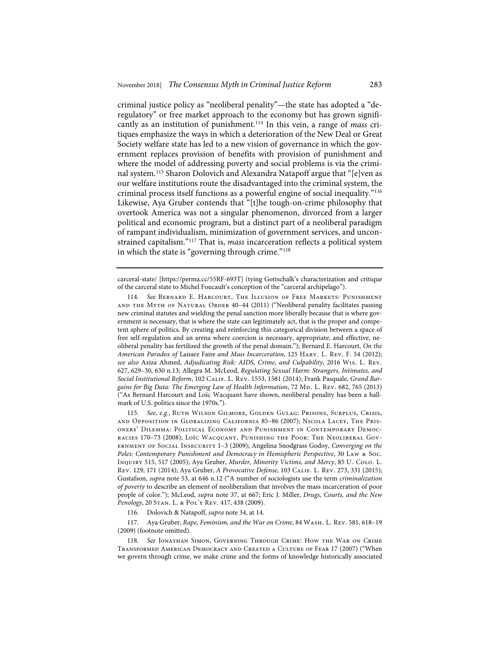criminal justice policy as "neoliberal penality"—the state has adopted a "deregulatory" or free market approach to the economy but has grown significantly as an institution of punishment.114 In this vein, a range of *mass* critiques emphasize the ways in which a deterioration of the New Deal or Great Society welfare state has led to a new vision of governance in which the government replaces provision of benefits with provision of punishment and where the model of addressing poverty and social problems is via the criminal system.115 Sharon Dolovich and Alexandra Natapoff argue that "[e]ven as our welfare institutions route the disadvantaged into the criminal system, the criminal process itself functions as a powerful engine of social inequality."116 Likewise, Aya Gruber contends that "[t]he tough-on-crime philosophy that overtook America was not a singular phenomenon, divorced from a larger political and economic program, but a distinct part of a neoliberal paradigm of rampant individualism, minimization of government services, and unconstrained capitalism."117 That is, *mass* incarceration reflects a political system in which the state is "governing through crime."<sup>118</sup>

carceral-state/ [https://perma.cc/55RF-693T] (tying Gottschalk's characterization and critique of the carceral state to Michel Foucault's conception of the "carceral archipelago").

114. *See* Bernard E. Harcourt, The Illusion of Free Markets: Punishment and the Myth of Natural Order 40–44 (2011) ("Neoliberal penality facilitates passing new criminal statutes and wielding the penal sanction more liberally because that is where government is necessary, that is where the state can legitimately act, that is the proper and competent sphere of politics. By creating and reinforcing this categorical division between a space of free self-regulation and an arena where coercion is necessary, appropriate, and effective, neoliberal penality has fertilized the growth of the penal domain."); Bernard E. Harcourt, *On the American Paradox of* Laissez Faire *and Mass Incarceration*, 125 Harv. L. Rev. F. 54 (2012); *see also* Aziza Ahmed, *Adjudicating Risk: AIDS, Crime, and Culpability*, 2016 Wis. L. Rev. 627, 629–30, 630 n.13; Allegra M. McLeod, *Regulating Sexual Harm: Strangers, Intimates, and Social Institutional Reform*, 102 Calif. L. Rev. 1553, 1581 (2014); Frank Pasquale, *Grand Bar*gains for Big Data: The Emerging Law of Health Information, 72 Mp. L. Rev. 682, 765 (2013) ("As Bernard Harcourt and Loïc Wacquant have shown, neoliberal penality has been a hallmark of U.S. politics since the 1970s.").

115. *See, e.g.*, Ruth Wilson Gilmore, Golden Gulag: Prisons, Surplus, Crisis, and Opposition in Globalizing California 85–86 (2007); Nicola Lacey, The Prisoners' Dilemma: Political Economy and Punishment in Contemporary Democracies 170–73 (2008); Loïc Wacquant, Punishing the Poor: The Neoliberal Government of Social Insecurity 1–3 (2009); Angelina Snodgrass Godoy, *Converging on the Poles: Contemporary Punishment and Democracy in Hemispheric Perspective*, 30 Law & Soc. Inquiry 515, 517 (2005); Aya Gruber, *Murder, Minority Victims, and Mercy*, 85 U. Colo. L. Rev. 129, 171 (2014); Aya Gruber, *A Provocative Defense*, 103 Calif. L. Rev. 273, 331 (2015); Gustafson, *supra* note 53, at 646 n.12 ("A number of sociologists use the term *criminalization of poverty* to describe an element of neoliberalism that involves the mass incarceration of poor people of color."); McLeod, *supra* note 37, at 667; Eric J. Miller, *Drugs, Courts, and the New Penology*, 20 Stan. L. & Pol'y Rev. 417, 438 (2009).

116. Dolovich & Natapoff, *supra* note 34, at 14.

117. Aya Gruber, *Rape, Feminism, and the War on Crime*, 84 Wash. L. Rev. 581, 618–19 (2009) (footnote omitted).

118. *See* Jonathan Simon, Governing Through Crime: How the War on Crime Transformed American Democracy and Created a Culture of Fear 17 (2007) ("When we govern through crime, we make crime and the forms of knowledge historically associated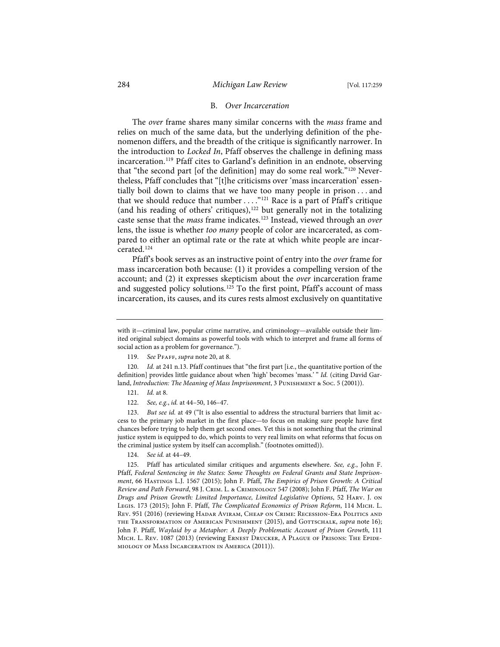# B. *Over Incarceration*

The *over* frame shares many similar concerns with the *mass* frame and relies on much of the same data, but the underlying definition of the phenomenon differs, and the breadth of the critique is significantly narrower. In the introduction to *Locked In*, Pfaff observes the challenge in defining mass incarceration.119 Pfaff cites to Garland's definition in an endnote, observing that "the second part [of the definition] may do some real work."120 Nevertheless, Pfaff concludes that "[t]he criticisms over 'mass incarceration' essentially boil down to claims that we have too many people in prison . . . and that we should reduce that number  $\dots$ ."<sup>121</sup> Race is a part of Pfaff's critique (and his reading of others' critiques),<sup>122</sup> but generally not in the totalizing caste sense that the *mass* frame indicates.123 Instead, viewed through an *over* lens, the issue is whether *too many* people of color are incarcerated, as compared to either an optimal rate or the rate at which white people are incarcerated.124

Pfaff's book serves as an instructive point of entry into the *over* frame for mass incarceration both because: (1) it provides a compelling version of the account; and (2) it expresses skepticism about the *over* incarceration frame and suggested policy solutions.<sup>125</sup> To the first point, Pfaff's account of mass incarceration, its causes, and its cures rests almost exclusively on quantitative

120. *Id.* at 241 n.13. Pfaff continues that "the first part [i.e., the quantitative portion of the definition] provides little guidance about when 'high' becomes 'mass.' " *Id.* (citing David Garland, *Introduction: The Meaning of Mass Imprisonment*, 3 Punishment & Soc. 5 (2001)).

123. *But see id.* at 49 ("It is also essential to address the structural barriers that limit access to the primary job market in the first place—to focus on making sure people have first chances before trying to help them get second ones. Yet this is not something that the criminal justice system is equipped to do, which points to very real limits on what reforms that focus on the criminal justice system by itself can accomplish." (footnotes omitted)).

124. *See id.* at 44–49.

with it—criminal law, popular crime narrative, and criminology—available outside their limited original subject domains as powerful tools with which to interpret and frame all forms of social action as a problem for governance.").

<sup>119.</sup> *See* Pfaff, *supra* note 20, at 8.

<sup>121.</sup> *Id.* at 8.

<sup>122.</sup> *See, e.g.*, *id.* at 44–50, 146–47.

<sup>125.</sup> Pfaff has articulated similar critiques and arguments elsewhere. *See, e.g.*, John F. Pfaff, *Federal Sentencing in the States: Some Thoughts on Federal Grants and State Imprisonment*, 66 Hastings L.J. 1567 (2015); John F. Pfaff, *The Empirics of Prison Growth: A Critical Review and Path Forward*, 98 J. Crim. L. & Criminology 547 (2008); John F. Pfaff, *The War on Drugs and Prison Growth: Limited Importance, Limited Legislative Options*, 52 Harv. J. on Legis. 173 (2015); John F. Pfaff, *The Complicated Economics of Prison Reform*, 114 Mich. L. Rev. 951 (2016) (reviewing Hadar Aviram, Cheap on Crime: Recession-Era Politics and the Transformation of American Punishment (2015), and Gottschalk, *supra* note 16); John F. Pfaff, *Waylaid by a Metaphor: A Deeply Problematic Account of Prison Growth*, 111 Mich. L. Rev. 1087 (2013) (reviewing Ernest Drucker, A Plague of Prisons: The Epidemiology of Mass Incarceration in America (2011)).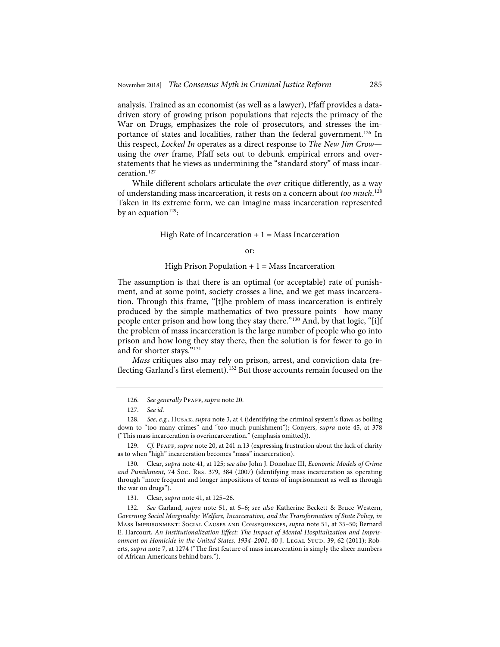analysis. Trained as an economist (as well as a lawyer), Pfaff provides a datadriven story of growing prison populations that rejects the primacy of the War on Drugs, emphasizes the role of prosecutors, and stresses the importance of states and localities, rather than the federal government.<sup>126</sup> In this respect, *Locked In* operates as a direct response to *The New Jim Crow* using the *over* frame, Pfaff sets out to debunk empirical errors and overstatements that he views as undermining the "standard story" of mass incarceration.127

While different scholars articulate the *over* critique differently, as a way of understanding mass incarceration, it rests on a concern about *too much*. 128 Taken in its extreme form, we can imagine mass incarceration represented by an equation<sup>129</sup>:

High Rate of Incarceration  $+1$  = Mass Incarceration

#### or:

#### High Prison Population  $+ 1 =$  Mass Incarceration

The assumption is that there is an optimal (or acceptable) rate of punishment, and at some point, society crosses a line, and we get mass incarceration. Through this frame, "[t]he problem of mass incarceration is entirely produced by the simple mathematics of two pressure points—how many people enter prison and how long they stay there."130 And, by that logic, "[i]f the problem of mass incarceration is the large number of people who go into prison and how long they stay there, then the solution is for fewer to go in and for shorter stays."131

*Mass* critiques also may rely on prison, arrest, and conviction data (reflecting Garland's first element).<sup>132</sup> But those accounts remain focused on the

129. *Cf.* Pfaff, *supra* note 20, at 241 n.13 (expressing frustration about the lack of clarity as to when "high" incarceration becomes "mass" incarceration).

130. Clear, *supra* note 41, at 125; *see also* John J. Donohue III, *Economic Models of Crime and Punishment*, 74 Soc. Res. 379, 384 (2007) (identifying mass incarceration as operating through "more frequent and longer impositions of terms of imprisonment as well as through the war on drugs").

131. Clear, *supra* note 41, at 125–26.

132. *See* Garland, *supra* note 51, at 5–6; *see also* Katherine Beckett & Bruce Western, *Governing Social Marginality: Welfare, Incarceration, and the Transformation of State Policy*, *in* Mass Imprisonment: Social Causes and Consequences, *supra* note 51, at 35–50; Bernard E. Harcourt, *An Institutionalization Effect: The Impact of Mental Hospitalization and Imprisonment on Homicide in the United States, 1934–2001, 40 J. LEGAL STUD. 39, 62 (2011); Rob*erts, *supra* note 7, at 1274 ("The first feature of mass incarceration is simply the sheer numbers of African Americans behind bars.").

<sup>126.</sup> *See generally* Pfaff, *supra* note 20.

<sup>127.</sup> *See id.*

<sup>128.</sup> *See, e.g.*, Husak, *supra* note 3, at 4 (identifying the criminal system's flaws as boiling down to "too many crimes" and "too much punishment"); Conyers, *supra* note 45, at 378 ("This mass incarceration is overincarceration." (emphasis omitted)).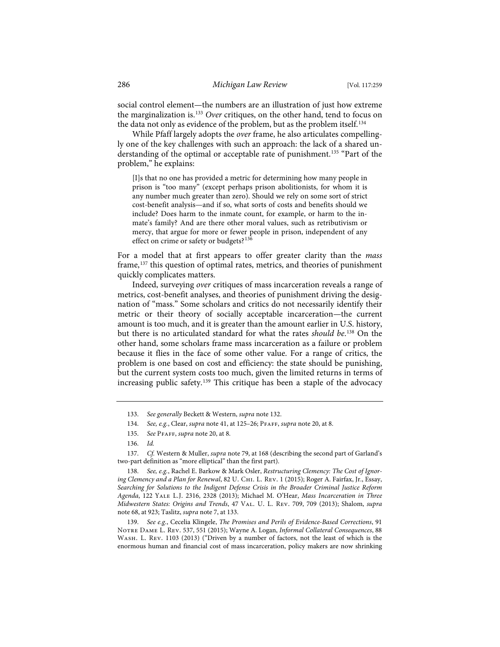social control element—the numbers are an illustration of just how extreme the marginalization is.133 *Over* critiques, on the other hand, tend to focus on the data not only as evidence of the problem, but as the problem itself.<sup>134</sup>

While Pfaff largely adopts the *over* frame, he also articulates compellingly one of the key challenges with such an approach: the lack of a shared understanding of the optimal or acceptable rate of punishment.<sup>135</sup> "Part of the problem," he explains:

[I]s that no one has provided a metric for determining how many people in prison is "too many" (except perhaps prison abolitionists, for whom it is any number much greater than zero). Should we rely on some sort of strict cost-benefit analysis—and if so, what sorts of costs and benefits should we include? Does harm to the inmate count, for example, or harm to the inmate's family? And are there other moral values, such as retributivism or mercy, that argue for more or fewer people in prison, independent of any effect on crime or safety or budgets?<sup>136</sup>

For a model that at first appears to offer greater clarity than the *mass* frame,<sup>137</sup> this question of optimal rates, metrics, and theories of punishment quickly complicates matters.

Indeed, surveying *over* critiques of mass incarceration reveals a range of metrics, cost-benefit analyses, and theories of punishment driving the designation of "mass." Some scholars and critics do not necessarily identify their metric or their theory of socially acceptable incarceration—the current amount is too much, and it is greater than the amount earlier in U.S. history, but there is no articulated standard for what the rates *should be*. <sup>138</sup> On the other hand, some scholars frame mass incarceration as a failure or problem because it flies in the face of some other value. For a range of critics, the problem is one based on cost and efficiency: the state should be punishing, but the current system costs too much, given the limited returns in terms of increasing public safety.<sup>139</sup> This critique has been a staple of the advocacy

139. *See e.g.*, Cecelia Klingele, *The Promises and Perils of Evidence-Based Corrections*, 91 Notre Dame L. Rev. 537, 551 (2015); Wayne A. Logan, *Informal Collateral Consequences*, 88 Wash. L. Rev. 1103 (2013) ("Driven by a number of factors, not the least of which is the enormous human and financial cost of mass incarceration, policy makers are now shrinking

<sup>133.</sup> *See generally* Beckett & Western, *supra* note 132.

<sup>134.</sup> *See, e.g.*, Clear, *supra* note 41, at 125–26; Pfaff, *supra* note 20, at 8.

<sup>135.</sup> *See* Pfaff, *supra* note 20, at 8.

<sup>136.</sup> *Id.*

<sup>137.</sup> *Cf.* Western & Muller, *supra* note 79, at 168 (describing the second part of Garland's two-part definition as "more elliptical" than the first part).

<sup>138.</sup> *See, e.g.*, Rachel E. Barkow & Mark Osler, *Restructuring Clemency: The Cost of Ignoring Clemency and a Plan for Renewal*, 82 U. Chi. L. Rev. 1 (2015); Roger A. Fairfax, Jr., Essay, *Searching for Solutions to the Indigent Defense Crisis in the Broader Criminal Justice Reform Agenda*, 122 Yale L.J. 2316, 2328 (2013); Michael M. O'Hear, *Mass Incarceration in Three Midwestern States: Origins and Trends*, 47 Val. U. L. Rev. 709, 709 (2013); Shalom, *supra* note 68, at 923; Taslitz, *supra* note 7, at 133.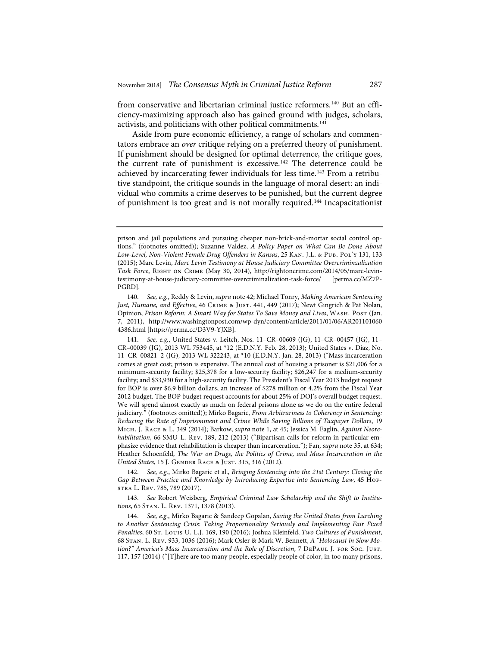from conservative and libertarian criminal justice reformers.<sup>140</sup> But an efficiency-maximizing approach also has gained ground with judges, scholars, activists, and politicians with other political commitments.<sup>141</sup>

Aside from pure economic efficiency, a range of scholars and commentators embrace an *over* critique relying on a preferred theory of punishment. If punishment should be designed for optimal deterrence, the critique goes, the current rate of punishment is excessive.<sup>142</sup> The deterrence could be achieved by incarcerating fewer individuals for less time.<sup>143</sup> From a retributive standpoint, the critique sounds in the language of moral desert: an individual who commits a crime deserves to be punished, but the current degree of punishment is too great and is not morally required.<sup>144</sup> Incapacitationist

142. *See, e.g.*, Mirko Bagaric et al., *Bringing Sentencing into the 21st Century: Closing the Gap Between Practice and Knowledge by Introducing Expertise into Sentencing Law*, 45 Hofstra L. Rev. 785, 789 (2017).

143. *See* Robert Weisberg, *Empirical Criminal Law Scholarship and the Shift to Institutions*, 65 Stan. L. Rev. 1371, 1378 (2013).

144. *See, e.g.*, Mirko Bagaric & Sandeep Gopalan, *Saving the United States from Lurching to Another Sentencing Crisis: Taking Proportionality Seriously and Implementing Fair Fixed Penalties*, 60 St. Louis U. L.J. 169, 190 (2016); Joshua Kleinfeld, *Two Cultures of Punishment*, 68 Stan. L. Rev. 933, 1036 (2016); Mark Osler & Mark W. Bennett, *A "Holocaust in Slow Motion?" America's Mass Incarceration and the Role of Discretion*, 7 DePaul J. for Soc. Just. 117, 157 (2014) ("[T]here are too many people, especially people of color, in too many prisons,

prison and jail populations and pursuing cheaper non-brick-and-mortar social control options." (footnotes omitted)); Suzanne Valdez, *A Policy Paper on What Can Be Done About Low-Level, Non-Violent Female Drug Offenders in Kansas*, 25 Kan. J.L. & Pub. Pol'y 131, 133 (2015); Marc Levin, *Marc Levin Testimony at House Judiciary Committee Overcriminzalization Task Force*, Right on Crime (May 30, 2014), http://rightoncrime.com/2014/05/marc-levintestimony-at-house-judiciary-committee-overcriminalization-task-force/ [perma.cc/MZ7P-PGRD].

<sup>140.</sup> *See, e.g.*, Reddy & Levin, *supra* note 42; Michael Tonry, *Making American Sentencing Just, Humane, and Effective*, 46 Crime & Just. 441, 449 (2017); Newt Gingrich & Pat Nolan, Opinion, *Prison Reform: A Smart Way for States To Save Money and Lives*, Wash. Post (Jan. 7, 2011), http://www.washingtonpost.com/wp-dyn/content/article/2011/01/06/AR201101060 4386.html [https://perma.cc/D3V9-YJXB].

<sup>141.</sup> *See, e.g.*, United States v. Leitch, Nos. 11–CR–00609 (JG), 11–CR–00457 (JG), 11– CR–00039 (JG), 2013 WL 753445, at \*12 (E.D.N.Y. Feb. 28, 2013); United States v. Diaz, No. 11–CR–00821–2 (JG), 2013 WL 322243, at \*10 (E.D.N.Y. Jan. 28, 2013) ("Mass incarceration comes at great cost; prison is expensive. The annual cost of housing a prisoner is \$21,006 for a minimum-security facility; \$25,378 for a low-security facility; \$26,247 for a medium-security facility; and \$33,930 for a high-security facility. The President's Fiscal Year 2013 budget request for BOP is over \$6.9 billion dollars, an increase of \$278 million or 4.2% from the Fiscal Year 2012 budget. The BOP budget request accounts for about 25% of DOJ's overall budget request. We will spend almost exactly as much on federal prisons alone as we do on the entire federal judiciary." (footnotes omitted)); Mirko Bagaric, *From Arbitrariness to Coherency in Sentencing: Reducing the Rate of Imprisonment and Crime While Saving Billions of Taxpayer Dollars*, 19 Mich. J. Race & L. 349 (2014); Barkow, *supra* note 1, at 45; Jessica M. Eaglin, *Against Neorehabilitation*, 66 SMU L. Rev. 189, 212 (2013) ("Bipartisan calls for reform in particular emphasize evidence that rehabilitation is cheaper than incarceration."); Fan, *supra* note 35, at 634; Heather Schoenfeld, *The War on Drugs, the Politics of Crime, and Mass Incarceration in the United States*, 15 J. Gender Race & Just. 315, 316 (2012).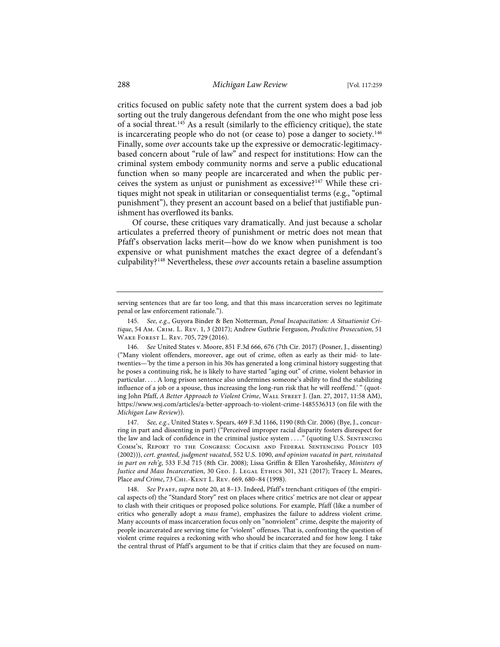critics focused on public safety note that the current system does a bad job sorting out the truly dangerous defendant from the one who might pose less of a social threat.145 As a result (similarly to the efficiency critique), the state is incarcerating people who do not (or cease to) pose a danger to society.<sup>146</sup> Finally, some *over* accounts take up the expressive or democratic-legitimacybased concern about "rule of law" and respect for institutions: How can the criminal system embody community norms and serve a public educational function when so many people are incarcerated and when the public perceives the system as unjust or punishment as excessive?147 While these critiques might not speak in utilitarian or consequentialist terms (e.g., "optimal punishment"), they present an account based on a belief that justifiable punishment has overflowed its banks.

Of course, these critiques vary dramatically. And just because a scholar articulates a preferred theory of punishment or metric does not mean that Pfaff's observation lacks merit—how do we know when punishment is too expensive or what punishment matches the exact degree of a defendant's culpability?148 Nevertheless, these *over* accounts retain a baseline assumption

146. *See* United States v. Moore, 851 F.3d 666, 676 (7th Cir. 2017) (Posner, J., dissenting) ("Many violent offenders, moreover, age out of crime, often as early as their mid- to latetwenties—'by the time a person in his 30s has generated a long criminal history suggesting that he poses a continuing risk, he is likely to have started "aging out" of crime, violent behavior in particular. . . . A long prison sentence also undermines someone's ability to find the stabilizing influence of a job or a spouse, thus increasing the long-run risk that he will reoffend.' " (quoting John Pfaff, *A Better Approach to Violent Crime*, Wall Street J. (Jan. 27, 2017, 11:58 AM), https://www.wsj.com/articles/a-better-approach-to-violent-crime-1485536313 (on file with the *Michigan Law Review*)).

147. *See, e.g.*, United States v. Spears, 469 F.3d 1166, 1190 (8th Cir. 2006) (Bye, J., concurring in part and dissenting in part) ("Perceived improper racial disparity fosters disrespect for the law and lack of confidence in the criminal justice system ...." (quoting U.S. SENTENCING Comm'n, Report to the Congress: Cocaine and Federal Sentencing Policy 103 (2002))), *cert. granted, judgment vacated*, 552 U.S. 1090, *and opinion vacated in part, reinstated in part on reh'g*, 533 F.3d 715 (8th Cir. 2008); Lissa Griffin & Ellen Yaroshefsky, *Ministers of*  Justice and Mass Incarceration, 30 GEO. J. LEGAL ETHICS 301, 321 (2017); Tracey L. Meares, Place *and Crime*, 73 Chi.-Kent L. Rev. 669, 680–84 (1998).

148. *See* Pfaff, *supra* note 20, at 8–13. Indeed, Pfaff's trenchant critiques of (the empirical aspects of) the "Standard Story" rest on places where critics' metrics are not clear or appear to clash with their critiques or proposed police solutions. For example, Pfaff (like a number of critics who generally adopt a *mass* frame), emphasizes the failure to address violent crime. Many accounts of mass incarceration focus only on "nonviolent" crime, despite the majority of people incarcerated are serving time for "violent" offenses. That is, confronting the question of violent crime requires a reckoning with who should be incarcerated and for how long. I take the central thrust of Pfaff's argument to be that if critics claim that they are focused on num-

serving sentences that are far too long, and that this mass incarceration serves no legitimate penal or law enforcement rationale.").

<sup>145.</sup> *See, e.g.*, Guyora Binder & Ben Notterman, *Penal Incapacitation: A Situationist Critique*, 54 Am. Crim. L. Rev. 1, 3 (2017); Andrew Guthrie Ferguson, *Predictive Prosecution*, 51 Wake Forest L. Rev. 705, 729 (2016).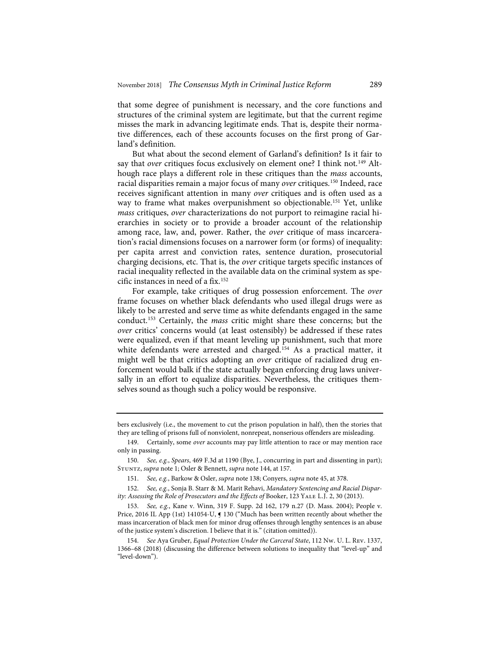that some degree of punishment is necessary, and the core functions and structures of the criminal system are legitimate, but that the current regime misses the mark in advancing legitimate ends. That is, despite their normative differences, each of these accounts focuses on the first prong of Garland's definition.

But what about the second element of Garland's definition? Is it fair to say that *over* critiques focus exclusively on element one? I think not.<sup>149</sup> Although race plays a different role in these critiques than the *mass* accounts, racial disparities remain a major focus of many *over* critiques.<sup>150</sup> Indeed, race receives significant attention in many *over* critiques and is often used as a way to frame what makes overpunishment so objectionable.151 Yet, unlike *mass* critiques, *over* characterizations do not purport to reimagine racial hierarchies in society or to provide a broader account of the relationship among race, law, and, power. Rather, the *over* critique of mass incarceration's racial dimensions focuses on a narrower form (or forms) of inequality: per capita arrest and conviction rates, sentence duration, prosecutorial charging decisions, etc. That is, the *over* critique targets specific instances of racial inequality reflected in the available data on the criminal system as specific instances in need of a fix.152

For example, take critiques of drug possession enforcement. The *over* frame focuses on whether black defendants who used illegal drugs were as likely to be arrested and serve time as white defendants engaged in the same conduct.153 Certainly, the *mass* critic might share these concerns; but the *over* critics' concerns would (at least ostensibly) be addressed if these rates were equalized, even if that meant leveling up punishment, such that more white defendants were arrested and charged.<sup>154</sup> As a practical matter, it might well be that critics adopting an *over* critique of racialized drug enforcement would balk if the state actually began enforcing drug laws universally in an effort to equalize disparities. Nevertheless, the critiques themselves sound as though such a policy would be responsive.

bers exclusively (i.e., the movement to cut the prison population in half), then the stories that they are telling of prisons full of nonviolent, nonrepeat, nonserious offenders are misleading.

<sup>149.</sup> Certainly, some *over* accounts may pay little attention to race or may mention race only in passing.

<sup>150.</sup> *See, e.g.*, *Spears*, 469 F.3d at 1190 (Bye, J., concurring in part and dissenting in part); Stuntz, *supra* note 1; Osler & Bennett, *supra* note 144, at 157.

<sup>151.</sup> *See, e.g.*, Barkow & Osler, *supra* note 138; Conyers, *supra* note 45, at 378.

<sup>152.</sup> *See, e.g.*, Sonja B. Starr & M. Marit Rehavi, *Mandatory Sentencing and Racial Disparity: Assessing the Role of Prosecutors and the Effects of Booker, 123 YALE L.J. 2, 30 (2013).* 

<sup>153.</sup> *See, e.g.*, Kane v. Winn, 319 F. Supp. 2d 162, 179 n.27 (D. Mass. 2004); People v. Price, 2016 IL App (1st) 141054-U,  $\int$  130 ("Much has been written recently about whether the mass incarceration of black men for minor drug offenses through lengthy sentences is an abuse of the justice system's discretion. I believe that it is." (citation omitted)).

<sup>154.</sup> *See* Aya Gruber, *Equal Protection Under the Carceral State*, 112 Nw. U. L. Rev. 1337, 1366–68 (2018) (discussing the difference between solutions to inequality that "level-up" and "level-down").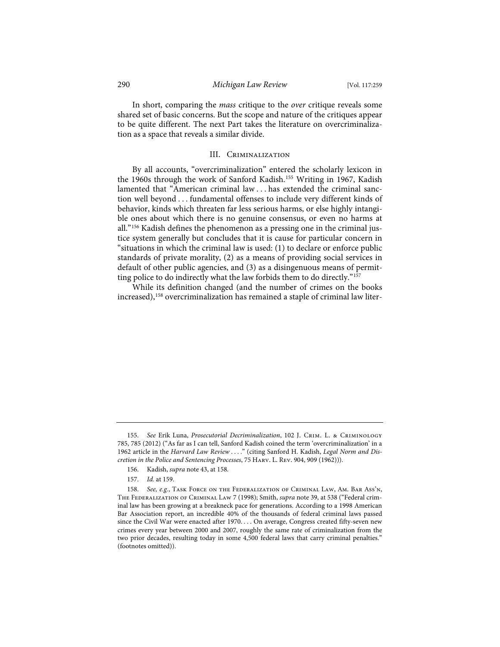In short, comparing the *mass* critique to the *over* critique reveals some shared set of basic concerns. But the scope and nature of the critiques appear to be quite different. The next Part takes the literature on overcriminalization as a space that reveals a similar divide.

#### III. Criminalization

By all accounts, "overcriminalization" entered the scholarly lexicon in the 1960s through the work of Sanford Kadish.<sup>155</sup> Writing in 1967, Kadish lamented that "American criminal law . . . has extended the criminal sanction well beyond . . . fundamental offenses to include very different kinds of behavior, kinds which threaten far less serious harms, or else highly intangible ones about which there is no genuine consensus, or even no harms at all."156 Kadish defines the phenomenon as a pressing one in the criminal justice system generally but concludes that it is cause for particular concern in "situations in which the criminal law is used: (1) to declare or enforce public standards of private morality, (2) as a means of providing social services in default of other public agencies, and (3) as a disingenuous means of permitting police to do indirectly what the law forbids them to do directly."157

While its definition changed (and the number of crimes on the books increased),<sup>158</sup> overcriminalization has remained a staple of criminal law liter-

- 156. Kadish, *supra* note 43, at 158.
- 157. *Id.* at 159.

<sup>155.</sup> *See* Erik Luna, *Prosecutorial Decriminalization*, 102 J. Crim. L. & Criminology 785, 785 (2012) ("As far as I can tell, Sanford Kadish coined the term 'overcriminalization' in a 1962 article in the *Harvard Law Review* . . . ." (citing Sanford H. Kadish, *Legal Norm and Discretion in the Police and Sentencing Processes*, 75 Harv. L. Rev. 904, 909 (1962))).

<sup>158.</sup> *See, e.g.*, Task Force on the Federalization of Criminal Law, Am. Bar Ass'n, The Federalization of Criminal Law 7 (1998); Smith, *supra* note 39, at 538 ("Federal criminal law has been growing at a breakneck pace for generations. According to a 1998 American Bar Association report, an incredible 40% of the thousands of federal criminal laws passed since the Civil War were enacted after 1970. . . . On average, Congress created fifty-seven new crimes every year between 2000 and 2007, roughly the same rate of criminalization from the two prior decades, resulting today in some 4,500 federal laws that carry criminal penalties." (footnotes omitted)).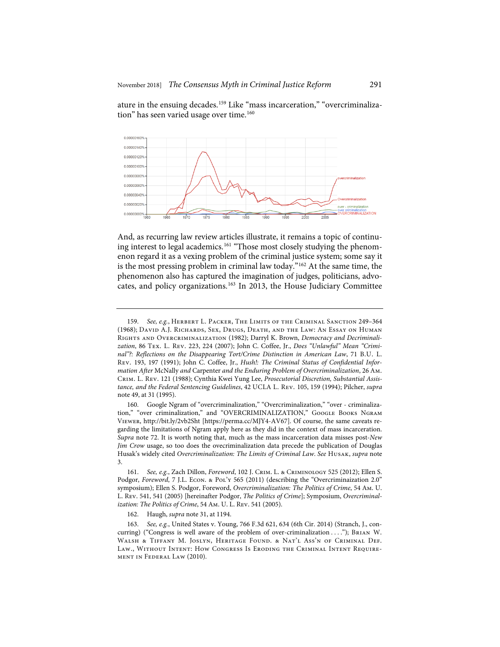ature in the ensuing decades.<sup>159</sup> Like "mass incarceration," "overcriminalization" has seen varied usage over time.<sup>160</sup>



And, as recurring law review articles illustrate, it remains a topic of continuing interest to legal academics.<sup>161</sup> "Those most closely studying the phenomenon regard it as a vexing problem of the criminal justice system; some say it is the most pressing problem in criminal law today."162 At the same time, the phenomenon also has captured the imagination of judges, politicians, advocates, and policy organizations.<sup>163</sup> In 2013, the House Judiciary Committee

<sup>159.</sup> *See, e.g.*, Herbert L. Packer, The Limits of the Criminal Sanction 249–364 (1968); David A.J. Richards, Sex, Drugs, Death, and the Law: An Essay on Human Rights and Overcriminalization (1982); Darryl K. Brown, *Democracy and Decriminalization*, 86 Tex. L. Rev. 223, 224 (2007); John C. Coffee, Jr., *Does "Unlawful" Mean "Criminal"?: Reflections on the Disappearing Tort/Crime Distinction in American Law*, 71 B.U. L. Rev. 193, 197 (1991); John C. Coffee, Jr., *Hush!: The Criminal Status of Confidential Information After* McNally *and* Carpenter *and the Enduring Problem of Overcriminalization*, 26 Am. Crim. L. Rev. 121 (1988); Cynthia Kwei Yung Lee, *Prosecutorial Discretion, Substantial Assistance, and the Federal Sentencing Guidelines*, 42 UCLA L. Rev. 105, 159 (1994); Pilcher, *supra*  note 49, at 31 (1995).

<sup>160.</sup> Google Ngram of "overcriminalization," "Overcriminalization," "over - criminalization," "over criminalization," and "OVERCRIMINALIZATION," Google Books NGRAM Viewer, http://bit.ly/2vb2Sht [https://perma.cc/MJY4-AV67]. Of course, the same caveats regarding the limitations of Ngram apply here as they did in the context of mass incarceration. *Supra* note 72. It is worth noting that, much as the mass incarceration data misses post-*New Jim Crow* usage, so too does the ovecriminalization data precede the publication of Douglas Husak's widely cited *Overcriminalization: The Limits of Criminal Law*. *See* Husak, *supra* note 3.

<sup>161.</sup> *See, e.g.*, Zach Dillon, *Foreword*, 102 J. Crim. L. & Criminology 525 (2012); Ellen S. Podgor, *Foreword*, 7 J.L. Econ. & Pol'y 565 (2011) (describing the "Overcriminaization 2.0" symposium); Ellen S. Podgor, Foreword, *Overcriminalization: The Politics of Crime*, 54 Am. U. L. Rev. 541, 541 (2005) [hereinafter Podgor, *The Politics of Crime*]; Symposium, *Overcriminalization: The Politics of Crime*, 54 Am. U. L. Rev. 541 (2005).

<sup>162.</sup> Haugh, *supra* note 31, at 1194.

<sup>163.</sup> *See, e.g.*, United States v. Young, 766 F.3d 621, 634 (6th Cir. 2014) (Stranch, J., concurring) ("Congress is well aware of the problem of over-criminalization . . . ."); Brian W. Walsh & Tiffany M. Joslyn, Heritage Found. & Nat'l Ass'n of Criminal Def. Law., Without Intent: How Congress Is Eroding the Criminal Intent Requirement in Federal Law (2010).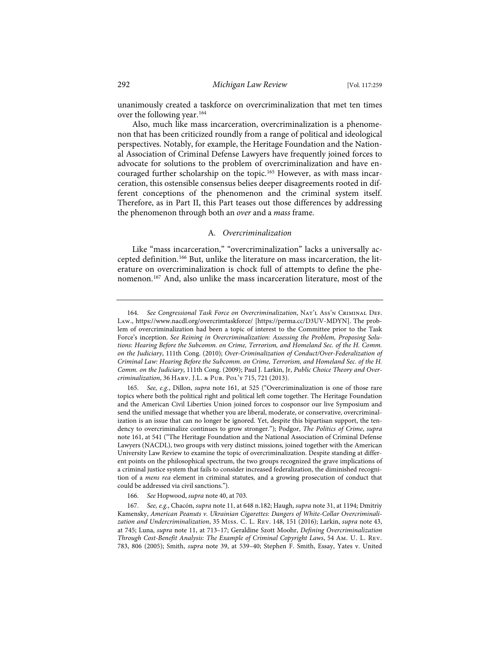unanimously created a taskforce on overcriminalization that met ten times over the following year.<sup>164</sup>

Also, much like mass incarceration, overcriminalization is a phenomenon that has been criticized roundly from a range of political and ideological perspectives. Notably, for example, the Heritage Foundation and the National Association of Criminal Defense Lawyers have frequently joined forces to advocate for solutions to the problem of overcriminalization and have encouraged further scholarship on the topic.<sup>165</sup> However, as with mass incarceration, this ostensible consensus belies deeper disagreements rooted in different conceptions of the phenomenon and the criminal system itself. Therefore, as in Part II, this Part teases out those differences by addressing the phenomenon through both an *over* and a *mass* frame.

# A*. Overcriminalization*

Like "mass incarceration," "overcriminalization" lacks a universally accepted definition.166 But, unlike the literature on mass incarceration, the literature on overcriminalization is chock full of attempts to define the phenomenon.167 And, also unlike the mass incarceration literature, most of the

166. *See* Hopwood, *supra* note 40, at 703.

<sup>164.</sup> *See Congressional Task Force on Overcriminalization*, Nat'l Ass'n Criminal Def. Law., https://www.nacdl.org/overcrimtaskforce/ [https://perma.cc/D3UV-MDYN]. The problem of overcriminalization had been a topic of interest to the Committee prior to the Task Force's inception. *See Reining in Overcriminalization: Assessing the Problem, Proposing Solutions: Hearing Before the Subcomm. on Crime, Terrorism, and Homeland Sec. of the H. Comm. on the Judiciary*, 111th Cong. (2010); *Over-Criminalization of Conduct/Over-Federalization of Criminal Law: Hearing Before the Subcomm. on Crime, Terrorism, and Homeland Sec. of the H. Comm. on the Judiciary*, 111th Cong. (2009); Paul J. Larkin, Jr, *Public Choice Theory and Overcriminalization*, 36 Harv. J.L. & Pub. Pol'y 715, 721 (2013).

<sup>165.</sup> *See, e.g.*, Dillon, *supra* note 161, at 525 ("Overcriminalization is one of those rare topics where both the political right and political left come together. The Heritage Foundation and the American Civil Liberties Union joined forces to cosponsor our live Symposium and send the unified message that whether you are liberal, moderate, or conservative, overcriminalization is an issue that can no longer be ignored. Yet, despite this bipartisan support, the tendency to overcriminalize continues to grow stronger."); Podgor, *The Politics of Crime*, *supra* note 161, at 541 ("The Heritage Foundation and the National Association of Criminal Defense Lawyers (NACDL), two groups with very distinct missions, joined together with the American University Law Review to examine the topic of overcriminalization. Despite standing at different points on the philosophical spectrum, the two groups recognized the grave implications of a criminal justice system that fails to consider increased federalization, the diminished recognition of a *mens rea* element in criminal statutes, and a growing prosecution of conduct that could be addressed via civil sanctions.").

<sup>167.</sup> *See, e.g.*, Chacón, *supra* note 11, at 648 n.182; Haugh, *supra* note 31, at 1194; Dmitriy Kamensky, *American Peanuts v. Ukrainian Cigarettes: Dangers of White-Collar Overcriminalization and Undercriminalization*, 35 Miss. C. L. Rev. 148, 151 (2016); Larkin, *supra* note 43, at 745; Luna, *supra* note 11, at 713–17; Geraldine Szott Moohr, *Defining Overcriminalization Through Cost-Benefit Analysis: The Example of Criminal Copyright Laws*, 54 Am. U. L. Rev. 783, 806 (2005); Smith, *supra* note 39, at 539–40; Stephen F. Smith, Essay, Yates v. United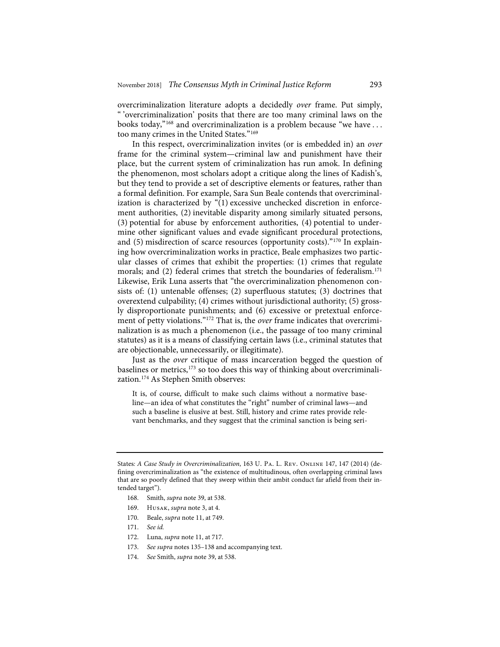overcriminalization literature adopts a decidedly *over* frame. Put simply, " 'overcriminalization' posits that there are too many criminal laws on the books today,"168 and overcriminalization is a problem because "we have . . . too many crimes in the United States."<sup>169</sup>

In this respect, overcriminalization invites (or is embedded in) an *over* frame for the criminal system—criminal law and punishment have their place, but the current system of criminalization has run amok. In defining the phenomenon, most scholars adopt a critique along the lines of Kadish's, but they tend to provide a set of descriptive elements or features, rather than a formal definition. For example, Sara Sun Beale contends that overcriminalization is characterized by "(1) excessive unchecked discretion in enforcement authorities, (2) inevitable disparity among similarly situated persons, (3) potential for abuse by enforcement authorities, (4) potential to undermine other significant values and evade significant procedural protections, and (5) misdirection of scarce resources (opportunity costs)."<sup>170</sup> In explaining how overcriminalization works in practice, Beale emphasizes two particular classes of crimes that exhibit the properties: (1) crimes that regulate morals; and (2) federal crimes that stretch the boundaries of federalism.<sup>171</sup> Likewise, Erik Luna asserts that "the overcriminalization phenomenon consists of: (1) untenable offenses; (2) superfluous statutes; (3) doctrines that overextend culpability; (4) crimes without jurisdictional authority; (5) grossly disproportionate punishments; and (6) excessive or pretextual enforcement of petty violations."172 That is, the *over* frame indicates that overcriminalization is as much a phenomenon (i.e., the passage of too many criminal statutes) as it is a means of classifying certain laws (i.e., criminal statutes that are objectionable, unnecessarily, or illegitimate).

Just as the *over* critique of mass incarceration begged the question of baselines or metrics,<sup>173</sup> so too does this way of thinking about overcriminalization.174 As Stephen Smith observes:

It is, of course, difficult to make such claims without a normative baseline—an idea of what constitutes the "right" number of criminal laws—and such a baseline is elusive at best. Still, history and crime rates provide relevant benchmarks, and they suggest that the criminal sanction is being seri-

- 168. Smith, *supra* note 39, at 538.
- 169. Husak, *supra* note 3, at 4.
- 170. Beale, *supra* note 11, at 749.
- 171. *See id.*
- 172. Luna, *supra* note 11, at 717.
- 173. *See supra* notes 135–138 and accompanying text.
- 174. *See* Smith, *supra* note 39, at 538.

States*: A Case Study in Overcriminalization*, 163 U. Pa. L. Rev. Online 147, 147 (2014) (defining overcriminalization as "the existence of multitudinous, often overlapping criminal laws that are so poorly defined that they sweep within their ambit conduct far afield from their intended target").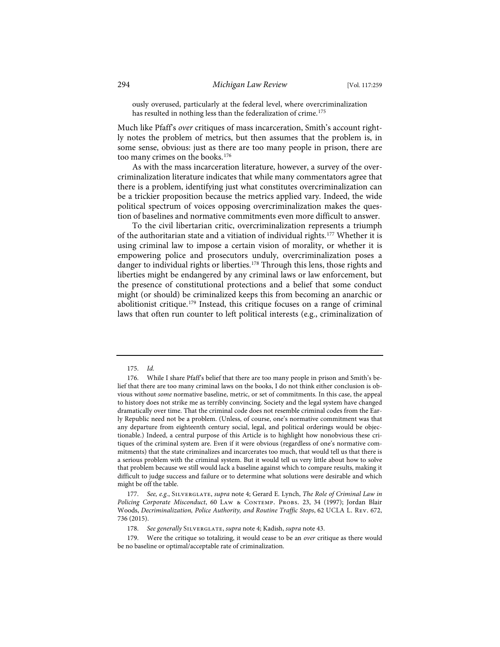ously overused, particularly at the federal level, where overcriminalization has resulted in nothing less than the federalization of crime.<sup>175</sup>

Much like Pfaff's *over* critiques of mass incarceration, Smith's account rightly notes the problem of metrics, but then assumes that the problem is, in some sense, obvious: just as there are too many people in prison, there are too many crimes on the books.<sup>176</sup>

As with the mass incarceration literature, however, a survey of the overcriminalization literature indicates that while many commentators agree that there is a problem, identifying just what constitutes overcriminalization can be a trickier proposition because the metrics applied vary. Indeed, the wide political spectrum of voices opposing overcriminalization makes the question of baselines and normative commitments even more difficult to answer.

To the civil libertarian critic, overcriminalization represents a triumph of the authoritarian state and a vitiation of individual rights.177 Whether it is using criminal law to impose a certain vision of morality, or whether it is empowering police and prosecutors unduly, overcriminalization poses a danger to individual rights or liberties.<sup>178</sup> Through this lens, those rights and liberties might be endangered by any criminal laws or law enforcement, but the presence of constitutional protections and a belief that some conduct might (or should) be criminalized keeps this from becoming an anarchic or abolitionist critique.179 Instead, this critique focuses on a range of criminal laws that often run counter to left political interests (e.g., criminalization of

<sup>175.</sup> *Id.*

<sup>176.</sup> While I share Pfaff's belief that there are too many people in prison and Smith's belief that there are too many criminal laws on the books, I do not think either conclusion is obvious without *some* normative baseline, metric, or set of commitments. In this case, the appeal to history does not strike me as terribly convincing. Society and the legal system have changed dramatically over time. That the criminal code does not resemble criminal codes from the Early Republic need not be a problem. (Unless, of course, one's normative commitment was that any departure from eighteenth century social, legal, and political orderings would be objectionable.) Indeed, a central purpose of this Article is to highlight how nonobvious these critiques of the criminal system are. Even if it were obvious (regardless of one's normative commitments) that the state criminalizes and incarcerates too much, that would tell us that there is a serious problem with the criminal system. But it would tell us very little about how to solve that problem because we still would lack a baseline against which to compare results, making it difficult to judge success and failure or to determine what solutions were desirable and which might be off the table.

<sup>177.</sup> *See, e.g.*, Silverglate, *supra* note 4; Gerard E. Lynch, *The Role of Criminal Law in Policing Corporate Misconduct*, 60 Law & Contemp. Probs. 23, 34 (1997); Jordan Blair Woods, *Decriminalization, Police Authority, and Routine Traffic Stops*, 62 UCLA L. Rev. 672, 736 (2015).

<sup>178.</sup> *See generally* Silverglate, *supra* note 4; Kadish, *supra* note 43.

<sup>179.</sup> Were the critique so totalizing, it would cease to be an *over* critique as there would be no baseline or optimal/acceptable rate of criminalization.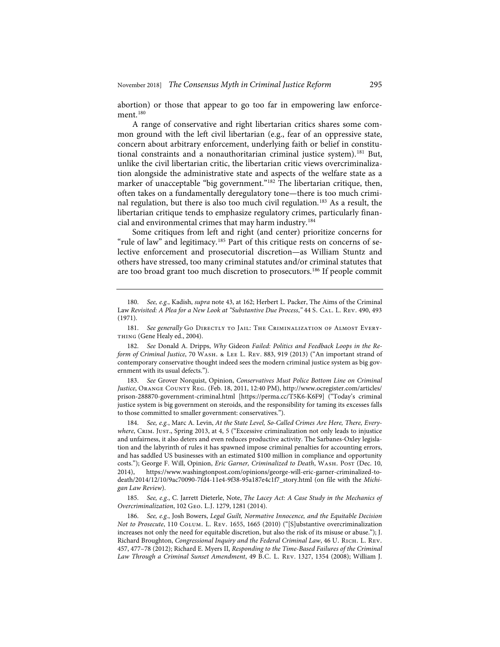abortion) or those that appear to go too far in empowering law enforcement.<sup>180</sup>

A range of conservative and right libertarian critics shares some common ground with the left civil libertarian (e.g., fear of an oppressive state, concern about arbitrary enforcement, underlying faith or belief in constitutional constraints and a nonauthoritarian criminal justice system).<sup>181</sup> But, unlike the civil libertarian critic, the libertarian critic views overcriminalization alongside the administrative state and aspects of the welfare state as a marker of unacceptable "big government."<sup>182</sup> The libertarian critique, then, often takes on a fundamentally deregulatory tone—there is too much criminal regulation, but there is also too much civil regulation.<sup>183</sup> As a result, the libertarian critique tends to emphasize regulatory crimes, particularly financial and environmental crimes that may harm industry.184

Some critiques from left and right (and center) prioritize concerns for "rule of law" and legitimacy.<sup>185</sup> Part of this critique rests on concerns of selective enforcement and prosecutorial discretion—as William Stuntz and others have stressed, too many criminal statutes and/or criminal statutes that are too broad grant too much discretion to prosecutors.186 If people commit

183. *See* Grover Norquist, Opinion, *Conservatives Must Police Bottom Line on Criminal Justice*, Orange County Reg. (Feb. 18, 2011, 12:40 PM), http://www.ocregister.com/articles/ prison-288870-government-criminal.html [https://perma.cc/T5K6-K6F9] ("Today's criminal justice system is big government on steroids, and the responsibility for taming its excesses falls to those committed to smaller government: conservatives.").

184. *See, e.g.*, Marc A. Levin, *At the State Level, So-Called Crimes Are Here, There, Everywhere*, Crim. Just., Spring 2013, at 4, 5 ("Excessive criminalization not only leads to injustice and unfairness, it also deters and even reduces productive activity. The Sarbanes-Oxley legislation and the labyrinth of rules it has spawned impose criminal penalties for accounting errors, and has saddled US businesses with an estimated \$100 million in compliance and opportunity costs."); George F. Will, Opinion, *Eric Garner, Criminalized to Death*, Wash. Post (Dec. 10, 2014), https://www.washingtonpost.com/opinions/george-will-eric-garner-criminalized-todeath/2014/12/10/9ac70090-7fd4-11e4-9f38-95a187e4c1f7\_story.html (on file with the *Michigan Law Review*).

185. *See, e.g.*, C. Jarrett Dieterle, Note, *The Lacey Act: A Case Study in the Mechanics of Overcriminalization*, 102 Geo. L.J. 1279, 1281 (2014).

186. *See, e.g.*, Josh Bowers, *Legal Guilt, Normative Innocence, and the Equitable Decision Not to Prosecute*, 110 Colum. L. Rev. 1655, 1665 (2010) ("[S]ubstantive overcriminalization increases not only the need for equitable discretion, but also the risk of its misuse or abuse."); J. Richard Broughton, *Congressional Inquiry and the Federal Criminal Law*, 46 U. Rich. L. Rev. 457, 477–78 (2012); Richard E. Myers II, *Responding to the Time-Based Failures of the Criminal Law Through a Criminal Sunset Amendment*, 49 B.C. L. Rev. 1327, 1354 (2008); William J.

<sup>180.</sup> *See, e.g.*, Kadish, *supra* note 43, at 162; Herbert L. Packer, The Aims of the Criminal Law *Revisited: A Plea for a New Look at "Substantive Due Process*,*"* 44 S. Cal. L. Rev. 490, 493 (1971).

<sup>181.</sup> See generally Go DIRECTLY TO JAIL: THE CRIMINALIZATION OF ALMOST EVERY-THING (Gene Healy ed., 2004).

<sup>182.</sup> *See* Donald A. Dripps, *Why* Gideon *Failed: Politics and Feedback Loops in the Reform of Criminal Justice*, 70 Wash. & Lee L. Rev. 883, 919 (2013) ("An important strand of contemporary conservative thought indeed sees the modern criminal justice system as big government with its usual defects.").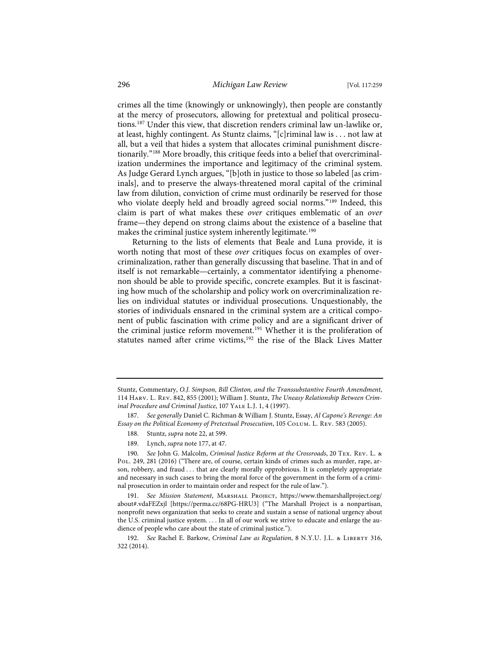crimes all the time (knowingly or unknowingly), then people are constantly at the mercy of prosecutors, allowing for pretextual and political prosecutions.187 Under this view, that discretion renders criminal law un-lawlike or, at least, highly contingent. As Stuntz claims, "[c]riminal law is . . . not law at all, but a veil that hides a system that allocates criminal punishment discretionarily."188 More broadly, this critique feeds into a belief that overcriminalization undermines the importance and legitimacy of the criminal system. As Judge Gerard Lynch argues, "[b]oth in justice to those so labeled [as criminals], and to preserve the always-threatened moral capital of the criminal law from dilution, conviction of crime must ordinarily be reserved for those who violate deeply held and broadly agreed social norms."<sup>189</sup> Indeed, this claim is part of what makes these *over* critiques emblematic of an *over* frame—they depend on strong claims about the existence of a baseline that makes the criminal justice system inherently legitimate.<sup>190</sup>

Returning to the lists of elements that Beale and Luna provide, it is worth noting that most of these *over* critiques focus on examples of overcriminalization, rather than generally discussing that baseline. That in and of itself is not remarkable—certainly, a commentator identifying a phenomenon should be able to provide specific, concrete examples. But it is fascinating how much of the scholarship and policy work on overcriminalization relies on individual statutes or individual prosecutions. Unquestionably, the stories of individuals ensnared in the criminal system are a critical component of public fascination with crime policy and are a significant driver of the criminal justice reform movement.<sup>191</sup> Whether it is the proliferation of statutes named after crime victims,<sup>192</sup> the rise of the Black Lives Matter

- 188. Stuntz, *supra* note 22, at 599.
- 189. Lynch, *supra* note 177, at 47.

Stuntz, Commentary, *O.J. Simpson, Bill Clinton, and the Transsubstantive Fourth Amendment*, 114 Harv. L. Rev. 842, 855 (2001); William J. Stuntz, *The Uneasy Relationship Between Criminal Procedure and Criminal Justice*, 107 Yale L.J. 1, 4 (1997).

<sup>187.</sup> *See generally* Daniel C. Richman & William J. Stuntz, Essay, *Al Capone's Revenge: An Essay on the Political Economy of Pretextual Prosecution*, 105 Colum. L. Rev. 583 (2005).

<sup>190.</sup> *See* John G. Malcolm, *Criminal Justice Reform at the Crossroads*, 20 Tex. Rev. L. & Pol. 249, 281 (2016) ("There are, of course, certain kinds of crimes such as murder, rape, arson, robbery, and fraud . . . that are clearly morally opprobrious. It is completely appropriate and necessary in such cases to bring the moral force of the government in the form of a criminal prosecution in order to maintain order and respect for the rule of law.").

<sup>191.</sup> *See Mission Statement*, Marshall Project, https://www.themarshallproject.org/ about#.vdaFEZxjl [https://perma.cc/68PG-HRU3] ("The Marshall Project is a nonpartisan, nonprofit news organization that seeks to create and sustain a sense of national urgency about the U.S. criminal justice system. . . . In all of our work we strive to educate and enlarge the audience of people who care about the state of criminal justice.").

<sup>192.</sup> *See* Rachel E. Barkow, *Criminal Law as Regulation*, 8 N.Y.U. J.L. & Liberty 316, 322 (2014).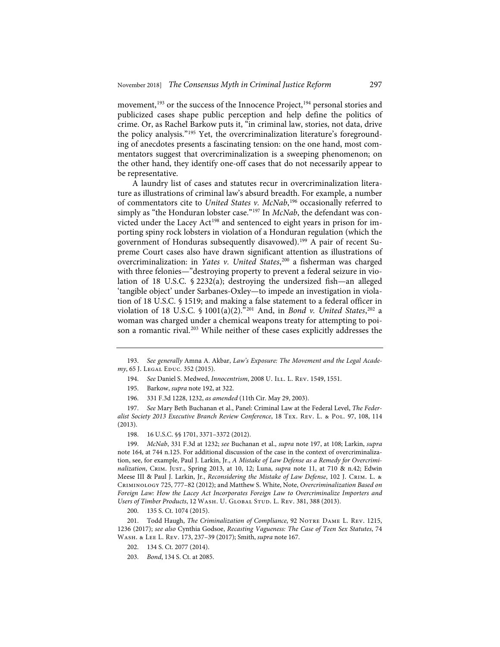movement,<sup>193</sup> or the success of the Innocence Project,<sup>194</sup> personal stories and publicized cases shape public perception and help define the politics of crime. Or, as Rachel Barkow puts it, "in criminal law, stories, not data, drive the policy analysis."195 Yet, the overcriminalization literature's foregrounding of anecdotes presents a fascinating tension: on the one hand, most commentators suggest that overcriminalization is a sweeping phenomenon; on the other hand, they identify one-off cases that do not necessarily appear to be representative.

A laundry list of cases and statutes recur in overcriminalization literature as illustrations of criminal law's absurd breadth. For example, a number of commentators cite to *United States v. McNab*, <sup>196</sup> occasionally referred to simply as "the Honduran lobster case."<sup>197</sup> In *McNab*, the defendant was convicted under the Lacey Act<sup>198</sup> and sentenced to eight years in prison for importing spiny rock lobsters in violation of a Honduran regulation (which the government of Honduras subsequently disavowed).199 A pair of recent Supreme Court cases also have drawn significant attention as illustrations of overcriminalization: in *Yates v. United States*, <sup>200</sup> a fisherman was charged with three felonies—"destroying property to prevent a federal seizure in violation of 18 U.S.C. § 2232(a); destroying the undersized fish—an alleged 'tangible object' under Sarbanes-Oxley—to impede an investigation in violation of 18 U.S.C. § 1519; and making a false statement to a federal officer in violation of 18 U.S.C. § 1001(a)(2)."201 And, in *Bond v. United States*, <sup>202</sup> a woman was charged under a chemical weapons treaty for attempting to poison a romantic rival.<sup>203</sup> While neither of these cases explicitly addresses the

200. 135 S. Ct. 1074 (2015).

<sup>193.</sup> *See generally* Amna A. Akbar, *Law's Exposure: The Movement and the Legal Academy*, 65 J. Legal Educ. 352 (2015).

<sup>194.</sup> *See* Daniel S. Medwed, *Innocentrism*, 2008 U. Ill. L. Rev. 1549, 1551.

<sup>195.</sup> Barkow, *supra* note 192, at 322.

<sup>196. 331</sup> F.3d 1228, 1232, *as amended* (11th Cir. May 29, 2003).

<sup>197.</sup> *See* Mary Beth Buchanan et al., Panel: Criminal Law at the Federal Level, *The Federalist Society 2013 Executive Branch Review Conference*, 18 Tex. Rev. L. & Pol. 97, 108, 114 (2013).

<sup>198. 16</sup> U.S.C. §§ 1701, 3371-3372 (2012).

<sup>199.</sup> *McNab*, 331 F.3d at 1232; *see* Buchanan et al., *supra* note 197, at 108; Larkin, *supra* note 164, at 744 n.125. For additional discussion of the case in the context of overcriminalization, see, for example, Paul J. Larkin, Jr., *A Mistake of Law Defense as a Remedy for Overcriminalization*, Crim. Just., Spring 2013, at 10, 12; Luna, *supra* note 11, at 710 & n.42; Edwin Meese III & Paul J. Larkin, Jr., *Reconsidering the Mistake of Law Defense*, 102 J. Crim. L. & Criminology 725, 777–82 (2012); and Matthew S. White, Note, *Overcriminalization Based on Foreign Law: How the Lacey Act Incorporates Foreign Law to Overcriminalize Importers and*  Users of Timber Products, 12 WASH. U. GLOBAL STUD. L. REV. 381, 388 (2013).

<sup>201.</sup> Todd Haugh, *The Criminalization of Compliance*, 92 NOTRE DAME L. REV. 1215, 1236 (2017); *see also* Cynthia Godsoe, *Recasting Vagueness: The Case of Teen Sex Statutes*, 74 Wash. & Lee L. Rev. 173, 237–39 (2017); Smith, *supra* note 167.

<sup>202. 134</sup> S. Ct. 2077 (2014).

<sup>203.</sup> *Bond*, 134 S. Ct. at 2085.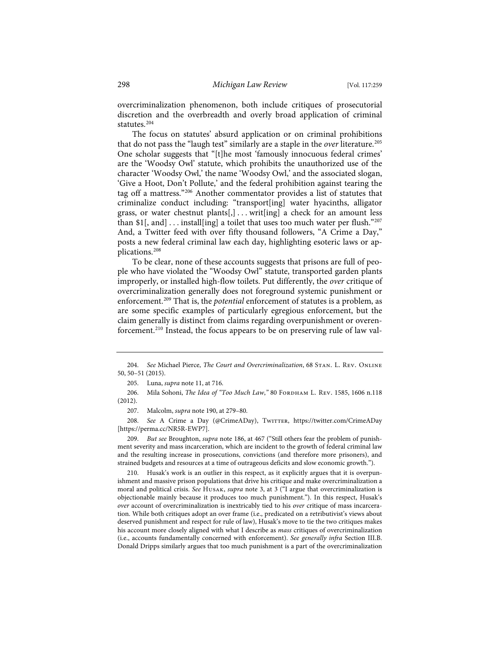overcriminalization phenomenon, both include critiques of prosecutorial discretion and the overbreadth and overly broad application of criminal statutes.<sup>204</sup>

The focus on statutes' absurd application or on criminal prohibitions that do not pass the "laugh test" similarly are a staple in the *over* literature.205 One scholar suggests that "[t]he most 'famously innocuous federal crimes' are the 'Woodsy Owl' statute, which prohibits the unauthorized use of the character 'Woodsy Owl,' the name 'Woodsy Owl,' and the associated slogan, 'Give a Hoot, Don't Pollute,' and the federal prohibition against tearing the tag off a mattress."206 Another commentator provides a list of statutes that criminalize conduct including: "transport[ing] water hyacinths, alligator grass, or water chestnut plants $[,$ ... writ[ing] a check for an amount less than \$1[, and]  $\dots$  install[ing] a toilet that uses too much water per flush."207 And, a Twitter feed with over fifty thousand followers, "A Crime a Day," posts a new federal criminal law each day, highlighting esoteric laws or applications.208

To be clear, none of these accounts suggests that prisons are full of people who have violated the "Woodsy Owl" statute, transported garden plants improperly, or installed high-flow toilets. Put differently, the *over* critique of overcriminalization generally does not foreground systemic punishment or enforcement.209 That is, the *potential* enforcement of statutes is a problem, as are some specific examples of particularly egregious enforcement, but the claim generally is distinct from claims regarding overpunishment or overenforcement.210 Instead, the focus appears to be on preserving rule of law val-

210. Husak's work is an outlier in this respect, as it explicitly argues that it is overpunishment and massive prison populations that drive his critique and make overcriminalization a moral and political crisis. *See* Husak, *supra* note 3, at 3 ("I argue that overcriminalization is objectionable mainly because it produces too much punishment."). In this respect, Husak's *over* account of overcriminalization is inextricably tied to his *over* critique of mass incarceration. While both critiques adopt an over frame (i.e., predicated on a retributivist's views about deserved punishment and respect for rule of law), Husak's move to tie the two critiques makes his account more closely aligned with what I describe as *mass* critiques of overcriminalization (i.e., accounts fundamentally concerned with enforcement). *See generally infra* Section III.B. Donald Dripps similarly argues that too much punishment is a part of the overcriminalization

<sup>204.</sup> *See* Michael Pierce, *The Court and Overcriminalization*, 68 Stan. L. Rev. Online 50, 50–51 (2015).

<sup>205.</sup> Luna, *supra* note 11, at 716.

<sup>206.</sup> Mila Sohoni, *The Idea of "Too Much Law*," 80 FORDHAM L. REV. 1585, 1606 n.118 (2012).

<sup>207.</sup> Malcolm, *supra* note 190, at 279–80.

<sup>208.</sup> See A Crime a Day (@CrimeADay), Twirrer, https://twitter.com/CrimeADay [https://perma.cc/NR5R-EWP7].

<sup>209.</sup> *But see* Broughton, *supra* note 186, at 467 ("Still others fear the problem of punishment severity and mass incarceration, which are incident to the growth of federal criminal law and the resulting increase in prosecutions, convictions (and therefore more prisoners), and strained budgets and resources at a time of outrageous deficits and slow economic growth.").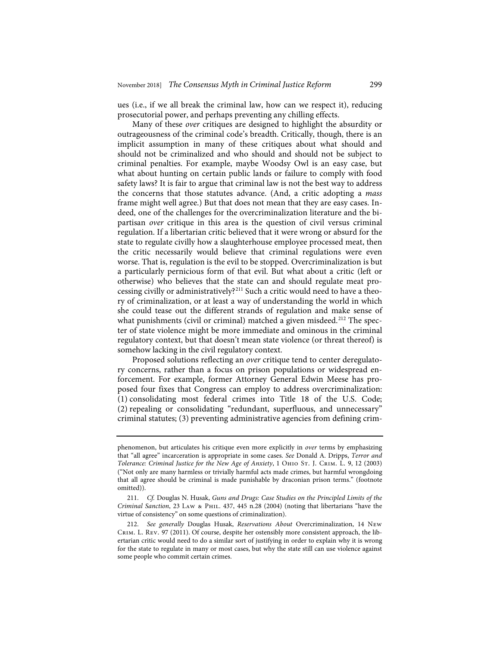ues (i.e., if we all break the criminal law, how can we respect it), reducing prosecutorial power, and perhaps preventing any chilling effects.

Many of these *over* critiques are designed to highlight the absurdity or outrageousness of the criminal code's breadth. Critically, though, there is an implicit assumption in many of these critiques about what should and should not be criminalized and who should and should not be subject to criminal penalties. For example, maybe Woodsy Owl is an easy case, but what about hunting on certain public lands or failure to comply with food safety laws? It is fair to argue that criminal law is not the best way to address the concerns that those statutes advance. (And, a critic adopting a *mass* frame might well agree.) But that does not mean that they are easy cases. Indeed, one of the challenges for the overcriminalization literature and the bipartisan *over* critique in this area is the question of civil versus criminal regulation. If a libertarian critic believed that it were wrong or absurd for the state to regulate civilly how a slaughterhouse employee processed meat, then the critic necessarily would believe that criminal regulations were even worse. That is, regulation is the evil to be stopped. Overcriminalization is but a particularly pernicious form of that evil. But what about a critic (left or otherwise) who believes that the state can and should regulate meat processing civilly or administratively?<sup>211</sup> Such a critic would need to have a theory of criminalization, or at least a way of understanding the world in which she could tease out the different strands of regulation and make sense of what punishments (civil or criminal) matched a given misdeed.<sup>212</sup> The specter of state violence might be more immediate and ominous in the criminal regulatory context, but that doesn't mean state violence (or threat thereof) is somehow lacking in the civil regulatory context.

Proposed solutions reflecting an *over* critique tend to center deregulatory concerns, rather than a focus on prison populations or widespread enforcement. For example, former Attorney General Edwin Meese has proposed four fixes that Congress can employ to address overcriminalization: (1) consolidating most federal crimes into Title 18 of the U.S. Code; (2) repealing or consolidating "redundant, superfluous, and unnecessary" criminal statutes; (3) preventing administrative agencies from defining crim-

phenomenon, but articulates his critique even more explicitly in *over* terms by emphasizing that "all agree" incarceration is appropriate in some cases. *See* Donald A. Dripps, *Terror and Tolerance: Criminal Justice for the New Age of Anxiety*, 1 Ohio St. J. Crim. L. 9, 12 (2003) ("Not only are many harmless or trivially harmful acts made crimes, but harmful wrongdoing that all agree should be criminal is made punishable by draconian prison terms." (footnote omitted)).

<sup>211.</sup> *Cf.* Douglas N. Husak, *Guns and Drugs: Case Studies on the Principled Limits of the Criminal Sanction*, 23 Law & Phil. 437, 445 n.28 (2004) (noting that libertarians "have the virtue of consistency" on some questions of criminalization).

<sup>212.</sup> *See generally* Douglas Husak, *Reservations About* Overcriminalization, 14 New Crim. L. Rev. 97 (2011). Of course, despite her ostensibly more consistent approach, the libertarian critic would need to do a similar sort of justifying in order to explain why it is wrong for the state to regulate in many or most cases, but why the state still can use violence against some people who commit certain crimes.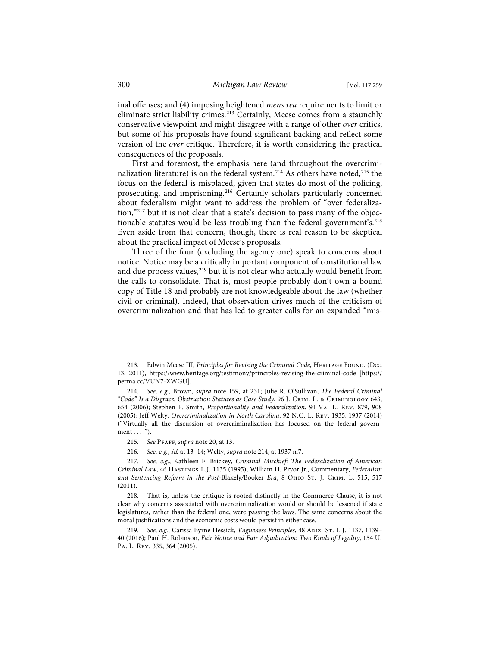inal offenses; and (4) imposing heightened *mens rea* requirements to limit or eliminate strict liability crimes.<sup>213</sup> Certainly, Meese comes from a staunchly conservative viewpoint and might disagree with a range of other *over* critics, but some of his proposals have found significant backing and reflect some version of the *over* critique. Therefore, it is worth considering the practical consequences of the proposals.

First and foremost, the emphasis here (and throughout the overcriminalization literature) is on the federal system.<sup>214</sup> As others have noted,<sup>215</sup> the focus on the federal is misplaced, given that states do most of the policing, prosecuting, and imprisoning.216 Certainly scholars particularly concerned about federalism might want to address the problem of "over federalization,"217 but it is not clear that a state's decision to pass many of the objectionable statutes would be less troubling than the federal government's.<sup>218</sup> Even aside from that concern, though, there is real reason to be skeptical about the practical impact of Meese's proposals.

Three of the four (excluding the agency one) speak to concerns about notice. Notice may be a critically important component of constitutional law and due process values,<sup>219</sup> but it is not clear who actually would benefit from the calls to consolidate. That is, most people probably don't own a bound copy of Title 18 and probably are not knowledgeable about the law (whether civil or criminal). Indeed, that observation drives much of the criticism of overcriminalization and that has led to greater calls for an expanded "mis-

216. *See, e.g.*, id. at 13–14; Welty, *supra* note 214, at 1937 n.7.

<sup>213.</sup> Edwin Meese III, *Principles for Revising the Criminal Code*, HERITAGE FOUND. (Dec. 13, 2011), https://www.heritage.org/testimony/principles-revising-the-criminal-code [https:// perma.cc/VUN7-XWGU].

<sup>214.</sup> *See, e.g.*, Brown, *supra* note 159, at 231; Julie R. O'Sullivan, *The Federal Criminal "Code" Is a Disgrace: Obstruction Statutes as Case Study*, 96 J. Crim. L. & Criminology 643, 654 (2006); Stephen F. Smith, *Proportionality and Federalization*, 91 Va. L. Rev. 879, 908 (2005); Jeff Welty, *Overcriminalization in North Carolina*, 92 N.C. L. Rev. 1935, 1937 (2014) ("Virtually all the discussion of overcriminalization has focused on the federal govern $ment \dots$ ").

<sup>215.</sup> *See* Pfaff, *supra* note 20, at 13.

<sup>217.</sup> *See, e.g.*, Kathleen F. Brickey, *Criminal Mischief: The Federalization of American Criminal Law*, 46 Hastings L.J. 1135 (1995); William H. Pryor Jr., Commentary, *Federalism and Sentencing Reform in the Post-*Blakely*/*Booker *Era*, 8 Ohio St. J. Crim. L. 515, 517 (2011).

<sup>218.</sup> That is, unless the critique is rooted distinctly in the Commerce Clause, it is not clear why concerns associated with overcriminalization would or should be lessened if state legislatures, rather than the federal one, were passing the laws. The same concerns about the moral justifications and the economic costs would persist in either case.

<sup>219.</sup> *See, e.g.*, Carissa Byrne Hessick, *Vagueness Principles*, 48 Ariz. St. L.J. 1137, 1139– 40 (2016); Paul H. Robinson, *Fair Notice and Fair Adjudication: Two Kinds of Legality*, 154 U. Pa. L. Rev. 335, 364 (2005).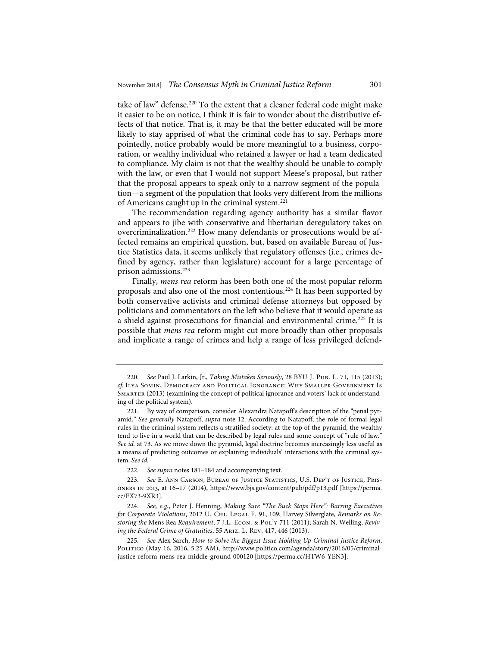take of law" defense.<sup>220</sup> To the extent that a cleaner federal code might make it easier to be on notice, I think it is fair to wonder about the distributive effects of that notice. That is, it may be that the better educated will be more likely to stay apprised of what the criminal code has to say. Perhaps more pointedly, notice probably would be more meaningful to a business, corporation, or wealthy individual who retained a lawyer or had a team dedicated to compliance. My claim is not that the wealthy should be unable to comply with the law, or even that I would not support Meese's proposal, but rather that the proposal appears to speak only to a narrow segment of the population—a segment of the population that looks very different from the millions of Americans caught up in the criminal system.221

The recommendation regarding agency authority has a similar flavor and appears to jibe with conservative and libertarian deregulatory takes on overcriminalization.222 How many defendants or prosecutions would be affected remains an empirical question, but, based on available Bureau of Justice Statistics data, it seems unlikely that regulatory offenses (i.e., crimes defined by agency, rather than legislature) account for a large percentage of prison admissions.<sup>223</sup>

Finally, *mens rea* reform has been both one of the most popular reform proposals and also one of the most contentious.224 It has been supported by both conservative activists and criminal defense attorneys but opposed by politicians and commentators on the left who believe that it would operate as a shield against prosecutions for financial and environmental crime.225 It is possible that *mens rea* reform might cut more broadly than other proposals and implicate a range of crimes and help a range of less privileged defend-

<sup>220.</sup> *See* Paul J. Larkin, Jr., *Taking Mistakes Seriously*, 28 BYU J. Pub. L. 71, 115 (2013); *cf.* Ilya Somin, Democracy and Political Ignorance: Why Smaller Government Is Smarter (2013) (examining the concept of political ignorance and voters' lack of understanding of the political system).

<sup>221.</sup> By way of comparison, consider Alexandra Natapoff's description of the "penal pyramid." *See generally* Natapoff, *supra* note 12. According to Natapoff, the role of formal legal rules in the criminal system reflects a stratified society: at the top of the pyramid, the wealthy tend to live in a world that can be described by legal rules and some concept of "rule of law." *See id.* at 73. As we move down the pyramid, legal doctrine becomes increasingly less useful as a means of predicting outcomes or explaining individuals' interactions with the criminal system. *See id.*

<sup>222.</sup> *See supra* notes 181–184 and accompanying text.

<sup>223.</sup> *See* E. Ann Carson, Bureau of Justice Statistics, U.S. Dep't of Justice, Prisoners in 2013, at 16–17 (2014), https://www.bjs.gov/content/pub/pdf/p13.pdf [https://perma. cc/EX73-9XR3].

<sup>224.</sup> *See, e.g.*, Peter J. Henning, *Making Sure "The Buck Stops Here": Barring Executives*  for Corporate Violations, 2012 U. CHI. LEGAL F. 91, 109; Harvey Silverglate, *Remarks on Restoring the* Mens Rea *Requirement*, 7 J.L. Econ. & Pol'y 711 (2011); Sarah N. Welling, *Reviving the Federal Crime of Gratuities*, 55 Ariz. L. Rev. 417, 446 (2013).

<sup>225.</sup> *See* Alex Sarch, *How to Solve the Biggest Issue Holding Up Criminal Justice Reform*, POLITICO (May 16, 2016, 5:25 AM), http://www.politico.com/agenda/story/2016/05/criminaljustice-reform-mens-rea-middle-ground-000120 [https://perma.cc/HTW6-YEN3].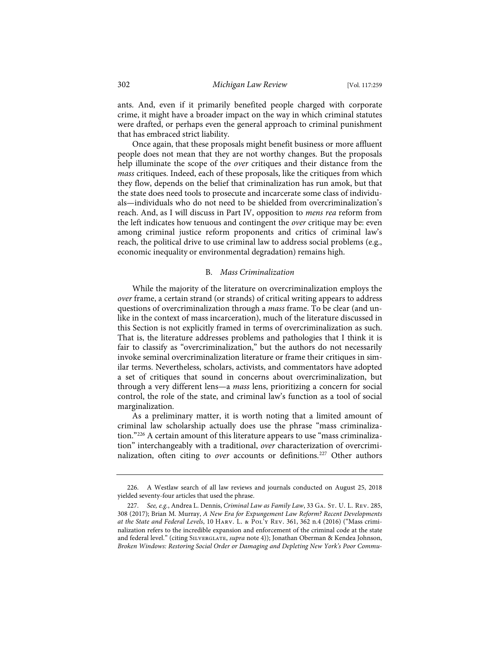ants. And, even if it primarily benefited people charged with corporate crime, it might have a broader impact on the way in which criminal statutes were drafted, or perhaps even the general approach to criminal punishment that has embraced strict liability.

Once again, that these proposals might benefit business or more affluent people does not mean that they are not worthy changes. But the proposals help illuminate the scope of the *over* critiques and their distance from the *mass* critiques. Indeed, each of these proposals, like the critiques from which they flow, depends on the belief that criminalization has run amok, but that the state does need tools to prosecute and incarcerate some class of individuals—individuals who do not need to be shielded from overcriminalization's reach. And, as I will discuss in Part IV, opposition to *mens rea* reform from the left indicates how tenuous and contingent the *over* critique may be: even among criminal justice reform proponents and critics of criminal law's reach, the political drive to use criminal law to address social problems (e.g., economic inequality or environmental degradation) remains high.

# B. *Mass Criminalization*

While the majority of the literature on overcriminalization employs the *over* frame, a certain strand (or strands) of critical writing appears to address questions of overcriminalization through a *mass* frame. To be clear (and unlike in the context of mass incarceration), much of the literature discussed in this Section is not explicitly framed in terms of overcriminalization as such. That is, the literature addresses problems and pathologies that I think it is fair to classify as "overcriminalization," but the authors do not necessarily invoke seminal overcriminalization literature or frame their critiques in similar terms. Nevertheless, scholars, activists, and commentators have adopted a set of critiques that sound in concerns about overcriminalization, but through a very different lens—a *mass* lens, prioritizing a concern for social control, the role of the state, and criminal law's function as a tool of social marginalization.

As a preliminary matter, it is worth noting that a limited amount of criminal law scholarship actually does use the phrase "mass criminalization."226 A certain amount of this literature appears to use "mass criminalization" interchangeably with a traditional, *over* characterization of overcriminalization, often citing to *over* accounts or definitions.<sup>227</sup> Other authors

<sup>226.</sup> A Westlaw search of all law reviews and journals conducted on August 25, 2018 yielded seventy-four articles that used the phrase.

<sup>227.</sup> See, e.g., Andrea L. Dennis, *Criminal Law as Family Law*, 33 GA. St. U. L. Rev. 285, 308 (2017); Brian M. Murray, *A New Era for Expungement Law Reform? Recent Developments at the State and Federal Levels*, 10 Harv. L. & Pol'y Rev. 361, 362 n.4 (2016) ("Mass criminalization refers to the incredible expansion and enforcement of the criminal code at the state and federal level." (citing Silverglate, *supra* note 4)); Jonathan Oberman & Kendea Johnson, *Broken Windows: Restoring Social Order or Damaging and Depleting New York's Poor Commu-*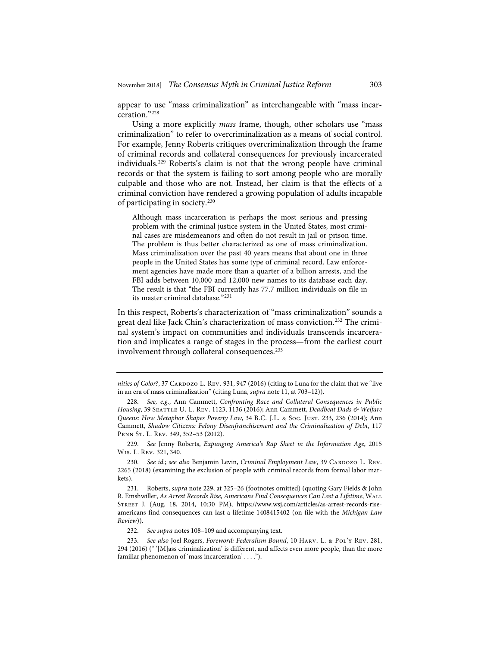appear to use "mass criminalization" as interchangeable with "mass incarceration."228

Using a more explicitly *mass* frame, though, other scholars use "mass criminalization" to refer to overcriminalization as a means of social control. For example, Jenny Roberts critiques overcriminalization through the frame of criminal records and collateral consequences for previously incarcerated individuals.229 Roberts's claim is not that the wrong people have criminal records or that the system is failing to sort among people who are morally culpable and those who are not. Instead, her claim is that the effects of a criminal conviction have rendered a growing population of adults incapable of participating in society.230

Although mass incarceration is perhaps the most serious and pressing problem with the criminal justice system in the United States, most criminal cases are misdemeanors and often do not result in jail or prison time. The problem is thus better characterized as one of mass criminalization. Mass criminalization over the past 40 years means that about one in three people in the United States has some type of criminal record. Law enforcement agencies have made more than a quarter of a billion arrests, and the FBI adds between 10,000 and 12,000 new names to its database each day. The result is that "the FBI currently has 77.7 million individuals on file in its master criminal database."<sup>231</sup>

In this respect, Roberts's characterization of "mass criminalization" sounds a great deal like Jack Chin's characterization of mass conviction.232 The criminal system's impact on communities and individuals transcends incarceration and implicates a range of stages in the process—from the earliest court involvement through collateral consequences.<sup>233</sup>

229. *See* Jenny Roberts, *Expunging America's Rap Sheet in the Information Age*, 2015 Wis. L. Rev. 321, 340.

230. See id.; see also Benjamin Levin, *Criminal Employment Law*, 39 CARDOZO L. REV. 2265 (2018) (examining the exclusion of people with criminal records from formal labor markets).

231. Roberts, *supra* note 229, at 325–26 (footnotes omitted) (quoting Gary Fields & John R. Emshwiller, *As Arrest Records Rise, Americans Find Consequences Can Last a Lifetime*, Wall Street J. (Aug. 18, 2014, 10:30 PM), https://www.wsj.com/articles/as-arrest-records-riseamericans-find-consequences-can-last-a-lifetime-1408415402 (on file with the *Michigan Law Review*)).

232. *See supra* notes 108–109 and accompanying text.

*nities of Color?*, 37 CARDOZO L. REV. 931, 947 (2016) (citing to Luna for the claim that we "live in an era of mass criminalization" (citing Luna, *supra* note 11, at 703–12)).

<sup>228.</sup> *See, e.g.*, Ann Cammett, *Confronting Race and Collateral Consequences in Public Housing*, 39 Seattle U. L. Rev. 1123, 1136 (2016); Ann Cammett, *Deadbeat Dads & Welfare Queens: How Metaphor Shapes Poverty Law*, 34 B.C. J.L. & Soc. Just. 233, 236 (2014); Ann Cammett, *Shadow Citizens: Felony Disenfranchisement and the Criminalization of Debt*, 117 Penn St. L. Rev. 349, 352–53 (2012).

<sup>233.</sup> *See also* Joel Rogers, *Foreword: Federalism Bound*, 10 Harv. L. & Pol'y Rev. 281, 294 (2016) (" '[M]ass criminalization' is different, and affects even more people, than the more familiar phenomenon of 'mass incarceration' . . . .").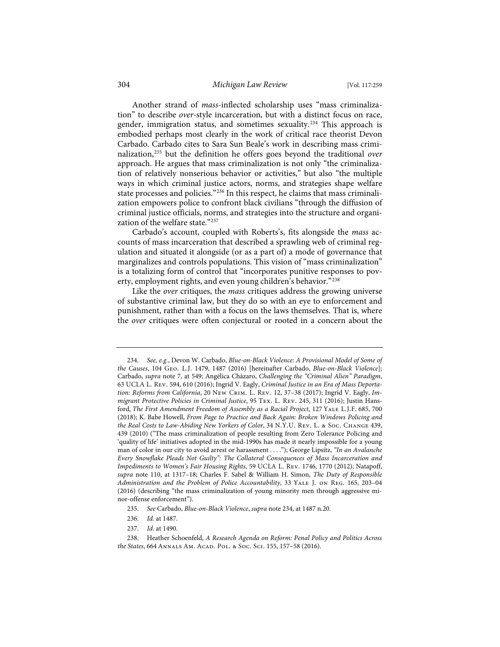# 304 *Michigan Law Review* [Vol. 117:259

Another strand of *mass*-inflected scholarship uses "mass criminalization" to describe *over*-style incarceration, but with a distinct focus on race, gender, immigration status, and sometimes sexuality.<sup>234</sup> This approach is embodied perhaps most clearly in the work of critical race theorist Devon Carbado. Carbado cites to Sara Sun Beale's work in describing mass criminalization,235 but the definition he offers goes beyond the traditional *over* approach. He argues that mass criminalization is not only "the criminalization of relatively nonserious behavior or activities," but also "the multiple ways in which criminal justice actors, norms, and strategies shape welfare state processes and policies."<sup>236</sup> In this respect, he claims that mass criminalization empowers police to confront black civilians "through the diffusion of criminal justice officials, norms, and strategies into the structure and organization of the welfare state."237

Carbado's account, coupled with Roberts's, fits alongside the *mass* accounts of mass incarceration that described a sprawling web of criminal regulation and situated it alongside (or as a part of) a mode of governance that marginalizes and controls populations. This vision of "mass criminalization" is a totalizing form of control that "incorporates punitive responses to poverty, employment rights, and even young children's behavior."238

Like the *over* critiques, the *mass* critiques address the growing universe of substantive criminal law, but they do so with an eye to enforcement and punishment, rather than with a focus on the laws themselves. That is, where the *over* critiques were often conjectural or rooted in a concern about the

<sup>234.</sup> *See, e.g.*, Devon W. Carbado, *Blue-on-Black Violence: A Provisional Model of Some of the Causes*, 104 Geo. L.J. 1479, 1487 (2016) [hereinafter Carbado, *Blue-on-Black Violence*]; Carbado, *supra* note 7, at 549; Angélica Cházaro, *Challenging the "Criminal Alien" Paradigm*, 63 UCLA L. Rev. 594, 610 (2016); Ingrid V. Eagly, *Criminal Justice in an Era of Mass Deportation: Reforms from California*, 20 New Crim. L. Rev. 12, 37–38 (2017); Ingrid V. Eagly, *Immigrant Protective Policies in Criminal Justice*, 95 Tex. L. Rev. 245, 311 (2016); Justin Hansford, *The First Amendment Freedom of Assembly as a Racial Project*, 127 Yale L.J.F. 685, 700 (2018); K. Babe Howell, *From Page to Practice and Back Again: Broken Windows Policing and the Real Costs to Law-Abiding New Yorkers of Color*, 34 N.Y.U. Rev. L. & Soc. Change 439, 439 (2010) ("The mass criminalization of people resulting from Zero Tolerance Policing and 'quality of life' initiatives adopted in the mid-1990s has made it nearly impossible for a young man of color in our city to avoid arrest or harassment . . . ."); George Lipsitz, *"In an Avalanche Every Snowflake Pleads Not Guilty": The Collateral Consequences of Mass Incarceration and Impediments to Women's Fair Housing Rights*, 59 UCLA L. Rev. 1746, 1770 (2012); Natapoff, *supra* note 110, at 1317–18; Charles F. Sabel & William H. Simon, *The Duty of Responsible Administration and the Problem of Police Accountability*, 33 Yale J. on Reg. 165, 203–04 (2016) (describing "the mass criminalization of young minority men through aggressive minor-offense enforcement").

<sup>235.</sup> *See* Carbado, *Blue-on-Black Violence*, *supra* note 234, at 1487 n.20.

<sup>236.</sup> *Id.* at 1487.

<sup>237.</sup> *Id.* at 1490.

<sup>238.</sup> Heather Schoenfeld, *A Research Agenda on Reform: Penal Policy and Politics Across the States*, 664 Annals Am. Acad. Pol. & Soc. Sci. 155, 157–58 (2016).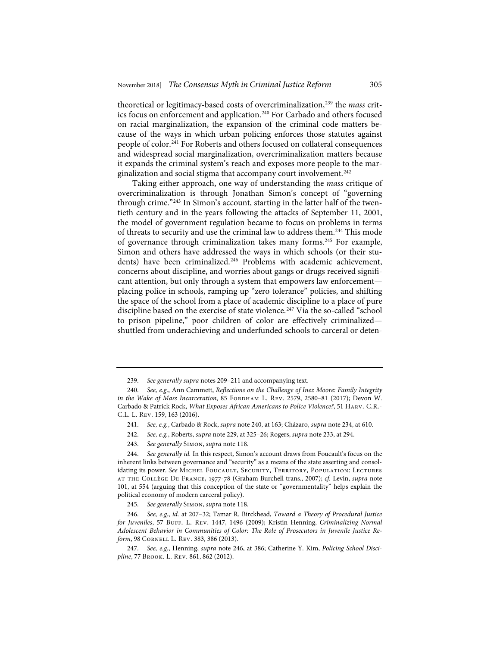theoretical or legitimacy-based costs of overcriminalization,239 the *mass* critics focus on enforcement and application.<sup>240</sup> For Carbado and others focused on racial marginalization, the expansion of the criminal code matters because of the ways in which urban policing enforces those statutes against people of color.<sup>241</sup> For Roberts and others focused on collateral consequences and widespread social marginalization, overcriminalization matters because it expands the criminal system's reach and exposes more people to the marginalization and social stigma that accompany court involvement.<sup>242</sup>

Taking either approach, one way of understanding the *mass* critique of overcriminalization is through Jonathan Simon's concept of "governing through crime."<sup>243</sup> In Simon's account, starting in the latter half of the twentieth century and in the years following the attacks of September 11, 2001, the model of government regulation became to focus on problems in terms of threats to security and use the criminal law to address them.244 This mode of governance through criminalization takes many forms.<sup>245</sup> For example, Simon and others have addressed the ways in which schools (or their students) have been criminalized.<sup>246</sup> Problems with academic achievement, concerns about discipline, and worries about gangs or drugs received significant attention, but only through a system that empowers law enforcement placing police in schools, ramping up "zero tolerance" policies, and shifting the space of the school from a place of academic discipline to a place of pure discipline based on the exercise of state violence.<sup>247</sup> Via the so-called "school to prison pipeline," poor children of color are effectively criminalized shuttled from underachieving and underfunded schools to carceral or deten-

243. *See generally* Simon, *supra* note 118.

<sup>239.</sup> *See generally supra* notes 209–211 and accompanying text.

<sup>240.</sup> *See, e.g.*, Ann Cammett, *Reflections on the Challenge of Inez Moore: Family Integrity in the Wake of Mass Incarceration*, 85 FORDHAM L. REV. 2579, 2580-81 (2017); Devon W. Carbado & Patrick Rock, *What Exposes African Americans to Police Violence?*, 51 Harv. C.R.- C.L. L. Rev. 159, 163 (2016).

<sup>241.</sup> *See, e.g.*, Carbado & Rock, *supra* note 240, at 163; Cházaro, *supra* note 234, at 610.

<sup>242.</sup> *See, e.g.*, Roberts, *supra* note 229, at 325–26; Rogers, *supra* note 233, at 294.

<sup>244.</sup> *See generally id.* In this respect, Simon's account draws from Foucault's focus on the inherent links between governance and "security" as a means of the state asserting and consolidating its power. *See* Michel Foucault, Security, Territory, Population: Lectures at the Collège De France, 1977-78 (Graham Burchell trans., 2007); *cf.* Levin, *supra* note 101, at 554 (arguing that this conception of the state or "governmentality" helps explain the political economy of modern carceral policy).

<sup>245.</sup> *See generally* Simon, *supra* note 118.

<sup>246.</sup> *See, e.g.*, *id.* at 207–32; Tamar R. Birckhead, *Toward a Theory of Procedural Justice for Juveniles*, 57 BUFF. L. REV. 1447, 1496 (2009); Kristin Henning, Criminalizing Normal *Adolescent Behavior in Communities of Color: The Role of Prosecutors in Juvenile Justice Reform*, 98 Cornell L. Rev. 383, 386 (2013).

<sup>247.</sup> *See, e.g.*, Henning, *supra* note 246, at 386; Catherine Y. Kim, *Policing School Discipline*, 77 Brook. L. Rev. 861, 862 (2012).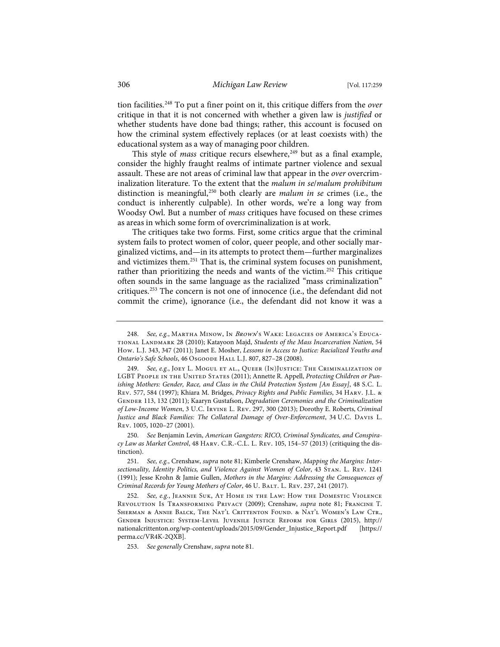tion facilities.248 To put a finer point on it, this critique differs from the *over* critique in that it is not concerned with whether a given law is *justified* or whether students have done bad things; rather, this account is focused on how the criminal system effectively replaces (or at least coexists with) the educational system as a way of managing poor children.

This style of *mass* critique recurs elsewhere,<sup>249</sup> but as a final example, consider the highly fraught realms of intimate partner violence and sexual assault. These are not areas of criminal law that appear in the *over* overcriminalization literature. To the extent that the *malum in se*/*malum prohibitum* distinction is meaningful,250 both clearly are *malum in se* crimes (i.e., the conduct is inherently culpable). In other words, we're a long way from Woodsy Owl. But a number of *mass* critiques have focused on these crimes as areas in which some form of overcriminalization is at work.

The critiques take two forms. First, some critics argue that the criminal system fails to protect women of color, queer people, and other socially marginalized victims, and—in its attempts to protect them—further marginalizes and victimizes them.251 That is, the criminal system focuses on punishment, rather than prioritizing the needs and wants of the victim.<sup>252</sup> This critique often sounds in the same language as the racialized "mass criminalization" critiques.253 The concern is not one of innocence (i.e., the defendant did not commit the crime), ignorance (i.e., the defendant did not know it was a

<sup>248.</sup> *See, e.g.*, Martha Minow, In Brown's Wake: Legacies of America's Educational Landmark 28 (2010); Katayoon Majd, *Students of the Mass Incarceration Nation*, 54 How. L.J. 343, 347 (2011); Janet E. Mosher, *Lessons in Access to Justice: Racialized Youths and Ontario's Safe Schools*, 46 Osgoode Hall L.J. 807, 827–28 (2008).

<sup>249.</sup> *See, e.g.*, Joey L. Mogul et al., Queer (In)Justice: The Criminalization of LGBT People in the United States (2011); Annette R. Appell, *Protecting Children or Punishing Mothers: Gender, Race, and Class in the Child Protection System [An Essay]*, 48 S.C. L. Rev. 577, 584 (1997); Khiara M. Bridges, *Privacy Rights and Public Families*, 34 Harv. J.L. & Gender 113, 132 (2011); Kaaryn Gustafson, *Degradation Ceremonies and the Criminalization of Low-Income Women*, 3 U.C. Irvine L. Rev. 297, 300 (2013); Dorothy E. Roberts, *Criminal Justice and Black Families: The Collateral Damage of Over-Enforcement*, 34 U.C. Davis L. Rev. 1005, 1020–27 (2001).

<sup>250.</sup> *See* Benjamin Levin, *American Gangsters: RICO, Criminal Syndicates, and Conspiracy Law as Market Control*, 48 Harv. C.R.-C.L. L. Rev. 105, 154–57 (2013) (critiquing the distinction).

<sup>251.</sup> *See, e.g.*, Crenshaw, *supra* note 81; Kimberle Crenshaw, *Mapping the Margins: Intersectionality, Identity Politics, and Violence Against Women of Color*, 43 Stan. L. Rev. 1241 (1991); Jesse Krohn & Jamie Gullen, *Mothers in the Margins: Addressing the Consequences of Criminal Records for Young Mothers of Color*, 46 U. BALT. L. REV. 237, 241 (2017).

<sup>252.</sup> *See, e.g.*, Jeannie Suk, At Home in the Law: How the Domestic Violence Revolution Is Transforming Privacy (2009); Crenshaw, *supra* note 81; Francine T. Sherman & Annie Balck, The Nat'l Crittenton Found. & Nat'l Women's Law Ctr., Gender Injustice: System-Level Juvenile Justice Reform for Girls (2015), http:// nationalcrittenton.org/wp-content/uploads/2015/09/Gender\_Injustice\_Report.pdf [https:// perma.cc/VR4K-2QXB].

<sup>253.</sup> *See generally* Crenshaw, *supra* note 81.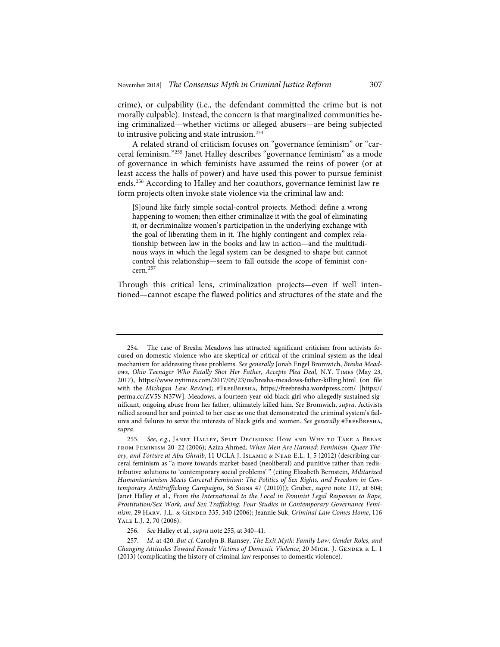crime), or culpability (i.e., the defendant committed the crime but is not morally culpable). Instead, the concern is that marginalized communities being criminalized—whether victims or alleged abusers—are being subjected to intrusive policing and state intrusion.254

A related strand of criticism focuses on "governance feminism" or "carceral feminism."255 Janet Halley describes "governance feminism" as a mode of governance in which feminists have assumed the reins of power (or at least access the halls of power) and have used this power to pursue feminist ends.256 According to Halley and her coauthors, governance feminist law reform projects often invoke state violence via the criminal law and:

[S]ound like fairly simple social-control projects. Method: define a wrong happening to women; then either criminalize it with the goal of eliminating it, or decriminalize women's participation in the underlying exchange with the goal of liberating them in it. The highly contingent and complex relationship between law in the books and law in action—and the multitudinous ways in which the legal system can be designed to shape but cannot control this relationship—seem to fall outside the scope of feminist concern.<sup>257</sup>

Through this critical lens, criminalization projects—even if well intentioned—cannot escape the flawed politics and structures of the state and the

<sup>254.</sup> The case of Bresha Meadows has attracted significant criticism from activists focused on domestic violence who are skeptical or critical of the criminal system as the ideal mechanism for addressing these problems. *See generally* Jonah Engel Bromwich, *Bresha Meadows, Ohio Teenager Who Fatally Shot Her Father, Accepts Plea Deal*, N.Y. Times (May 23, 2017), https://www.nytimes.com/2017/05/23/us/bresha-meadows-father-killing.html (on file with the *Michigan Law Review*); #FreeBresha, https://freebresha.wordpress.com/ [https:// perma.cc/ZV5S-N37W]. Meadows, a fourteen-year-old black girl who allegedly sustained significant, ongoing abuse from her father, ultimately killed him. *See* Bromwich, *supra*. Activists rallied around her and pointed to her case as one that demonstrated the criminal system's failures and failures to serve the interests of black girls and women. *See generally* #FreeBresha, *supra*.

<sup>255.</sup> *See, e.g.*, Janet Halley, Split Decisions: How and Why to Take a Break from Feminism 20–22 (2006); Aziza Ahmed, *When Men Are Harmed: Feminism, Queer Theory, and Torture at Abu Ghraib*, 11 UCLA J. Islamic & Near E.L. 1, 5 (2012) (describing carceral feminism as "a move towards market-based (neoliberal) and punitive rather than redistributive solutions to 'contemporary social problems' " (citing Elizabeth Bernstein, *Militarized Humanitarianism Meets Carceral Feminism: The Politics of Sex Rights, and Freedom in Contemporary Antitrafficking Campaigns*, 36 Signs 47 (2010))); Gruber, *supra* note 117, at 604; Janet Halley et al., *From the International to the Local in Feminist Legal Responses to Rape, Prostitution/Sex Work, and Sex Trafficking: Four Studies in Contemporary Governance Feminism*, 29 Harv. J.L. & Gender 335, 340 (2006); Jeannie Suk, *Criminal Law Comes Home*, 116 Yale L.J. 2, 70 (2006).

<sup>256.</sup> *See* Halley et al., *supra* note 255, at 340–41.

<sup>257.</sup> *Id.* at 420. *But cf.* Carolyn B. Ramsey, *The Exit Myth: Family Law, Gender Roles, and Changing Attitudes Toward Female Victims of Domestic Violence*, 20 MICH. J. GENDER & L. 1 (2013) (complicating the history of criminal law responses to domestic violence).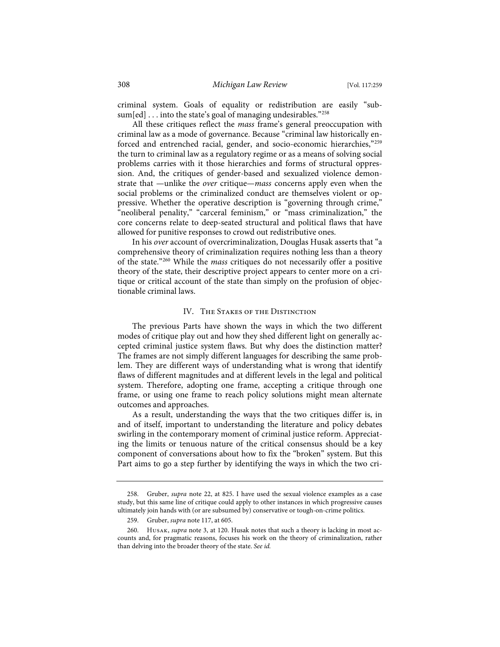criminal system. Goals of equality or redistribution are easily "subsum[ed] . . . into the state's goal of managing undesirables."<sup>258</sup>

All these critiques reflect the *mass* frame's general preoccupation with criminal law as a mode of governance. Because "criminal law historically enforced and entrenched racial, gender, and socio-economic hierarchies,"259 the turn to criminal law as a regulatory regime or as a means of solving social problems carries with it those hierarchies and forms of structural oppression. And, the critiques of gender-based and sexualized violence demonstrate that —unlike the *over* critique—*mass* concerns apply even when the social problems or the criminalized conduct are themselves violent or oppressive. Whether the operative description is "governing through crime," "neoliberal penality," "carceral feminism," or "mass criminalization," the core concerns relate to deep-seated structural and political flaws that have allowed for punitive responses to crowd out redistributive ones.

In his *over* account of overcriminalization, Douglas Husak asserts that "a comprehensive theory of criminalization requires nothing less than a theory of the state."260 While the *mass* critiques do not necessarily offer a positive theory of the state, their descriptive project appears to center more on a critique or critical account of the state than simply on the profusion of objectionable criminal laws.

# IV. The Stakes of the Distinction

The previous Parts have shown the ways in which the two different modes of critique play out and how they shed different light on generally accepted criminal justice system flaws. But why does the distinction matter? The frames are not simply different languages for describing the same problem. They are different ways of understanding what is wrong that identify flaws of different magnitudes and at different levels in the legal and political system. Therefore, adopting one frame, accepting a critique through one frame, or using one frame to reach policy solutions might mean alternate outcomes and approaches.

As a result, understanding the ways that the two critiques differ is, in and of itself, important to understanding the literature and policy debates swirling in the contemporary moment of criminal justice reform. Appreciating the limits or tenuous nature of the critical consensus should be a key component of conversations about how to fix the "broken" system. But this Part aims to go a step further by identifying the ways in which the two cri-

<sup>258.</sup> Gruber, *supra* note 22, at 825. I have used the sexual violence examples as a case study, but this same line of critique could apply to other instances in which progressive causes ultimately join hands with (or are subsumed by) conservative or tough-on-crime politics.

<sup>259.</sup> Gruber, *supra* note 117, at 605.

<sup>260.</sup> Husak, *supra* note 3, at 120. Husak notes that such a theory is lacking in most accounts and, for pragmatic reasons, focuses his work on the theory of criminalization, rather than delving into the broader theory of the state. *See id.*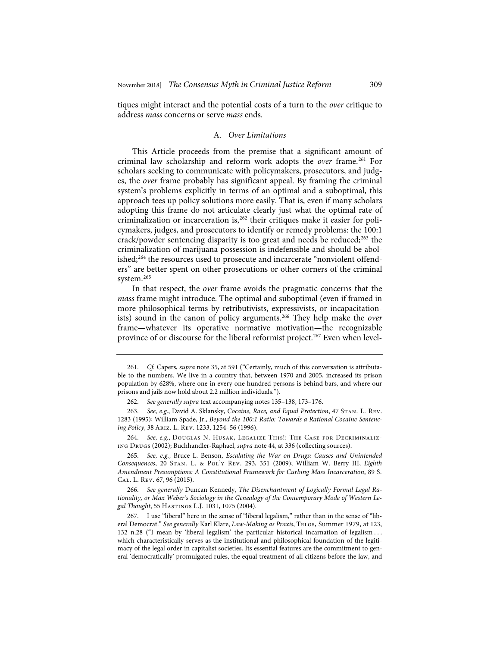tiques might interact and the potential costs of a turn to the *over* critique to address *mass* concerns or serve *mass* ends.

# A. *Over Limitations*

This Article proceeds from the premise that a significant amount of criminal law scholarship and reform work adopts the *over* frame.261 For scholars seeking to communicate with policymakers, prosecutors, and judges, the *over* frame probably has significant appeal. By framing the criminal system's problems explicitly in terms of an optimal and a suboptimal, this approach tees up policy solutions more easily. That is, even if many scholars adopting this frame do not articulate clearly just what the optimal rate of criminalization or incarceration is,<sup>262</sup> their critiques make it easier for policymakers, judges, and prosecutors to identify or remedy problems: the 100:1 crack/powder sentencing disparity is too great and needs be reduced;<sup>263</sup> the criminalization of marijuana possession is indefensible and should be abolished;264 the resources used to prosecute and incarcerate "nonviolent offenders" are better spent on other prosecutions or other corners of the criminal system.<sup>265</sup>

In that respect, the *over* frame avoids the pragmatic concerns that the *mass* frame might introduce. The optimal and suboptimal (even if framed in more philosophical terms by retributivists, expressivists, or incapacitationists) sound in the canon of policy arguments.<sup>266</sup> They help make the *over* frame—whatever its operative normative motivation—the recognizable province of or discourse for the liberal reformist project.<sup>267</sup> Even when level-

<sup>261.</sup> *Cf.* Capers, *supra* note 35, at 591 ("Certainly, much of this conversation is attributable to the numbers. We live in a country that, between 1970 and 2005, increased its prison population by 628%, where one in every one hundred persons is behind bars, and where our prisons and jails now hold about 2.2 million individuals.").

<sup>262.</sup> *See generally supra* text accompanying notes 135–138, 173–176.

<sup>263.</sup> *See, e.g.*, David A. Sklansky, *Cocaine, Race, and Equal Protection*, 47 Stan. L. Rev. 1283 (1995); William Spade, Jr., *Beyond the 100:1 Ratio: Towards a Rational Cocaine Sentencing Policy*, 38 Ariz. L. Rev. 1233, 1254–56 (1996).

<sup>264.</sup> *See, e.g.*, Douglas N. Husak, Legalize This!: The Case for Decriminalizing Drugs (2002); Buchhandler-Raphael, *supra* note 44, at 336 (collecting sources).

<sup>265.</sup> *See, e.g.*, Bruce L. Benson, *Escalating the War on Drugs: Causes and Unintended Consequences*, 20 Stan. L. & Pol'y Rev. 293, 351 (2009); William W. Berry III, *Eighth Amendment Presumptions: A Constitutional Framework for Curbing Mass Incarceration*, 89 S. Cal. L. Rev. 67, 96 (2015).

<sup>266.</sup> *See generally* Duncan Kennedy, *The Disenchantment of Logically Formal Legal Rationality, or Max Weber's Sociology in the Genealogy of the Contemporary Mode of Western Legal Thought*, 55 Hastings L.J. 1031, 1075 (2004).

<sup>267.</sup> I use "liberal" here in the sense of "liberal legalism," rather than in the sense of "liberal Democrat." *See generally* Karl Klare, *Law-Making as Praxis*, Telos, Summer 1979, at 123, 132 n.28 ("I mean by 'liberal legalism' the particular historical incarnation of legalism . . . which characteristically serves as the institutional and philosophical foundation of the legitimacy of the legal order in capitalist societies. Its essential features are the commitment to general 'democratically' promulgated rules, the equal treatment of all citizens before the law, and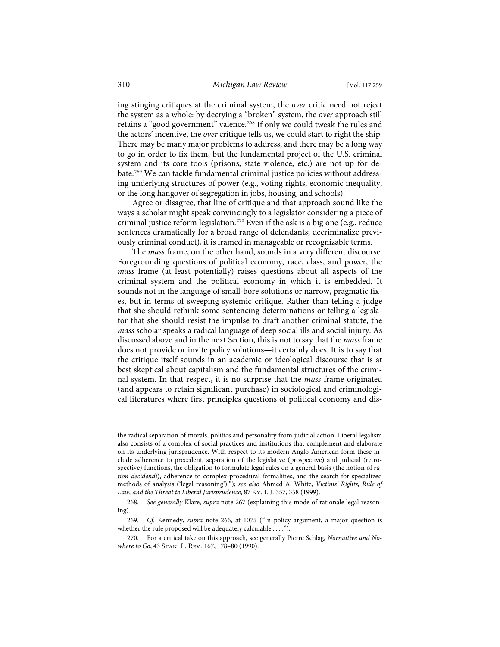ing stinging critiques at the criminal system, the *over* critic need not reject the system as a whole: by decrying a "broken" system, the *over* approach still retains a "good government" valence.<sup>268</sup> If only we could tweak the rules and the actors' incentive, the *over* critique tells us, we could start to right the ship. There may be many major problems to address, and there may be a long way to go in order to fix them, but the fundamental project of the U.S. criminal system and its core tools (prisons, state violence, etc.) are not up for debate.269 We can tackle fundamental criminal justice policies without addressing underlying structures of power (e.g., voting rights, economic inequality, or the long hangover of segregation in jobs, housing, and schools).

Agree or disagree, that line of critique and that approach sound like the ways a scholar might speak convincingly to a legislator considering a piece of criminal justice reform legislation.270 Even if the ask is a big one (e.g., reduce sentences dramatically for a broad range of defendants; decriminalize previously criminal conduct), it is framed in manageable or recognizable terms.

The *mass* frame, on the other hand, sounds in a very different discourse. Foregrounding questions of political economy, race, class, and power, the *mass* frame (at least potentially) raises questions about all aspects of the criminal system and the political economy in which it is embedded. It sounds not in the language of small-bore solutions or narrow, pragmatic fixes, but in terms of sweeping systemic critique. Rather than telling a judge that she should rethink some sentencing determinations or telling a legislator that she should resist the impulse to draft another criminal statute, the *mass* scholar speaks a radical language of deep social ills and social injury. As discussed above and in the next Section, this is not to say that the *mass* frame does not provide or invite policy solutions—it certainly does. It is to say that the critique itself sounds in an academic or ideological discourse that is at best skeptical about capitalism and the fundamental structures of the criminal system. In that respect, it is no surprise that the *mass* frame originated (and appears to retain significant purchase) in sociological and criminological literatures where first principles questions of political economy and dis-

the radical separation of morals, politics and personality from judicial action. Liberal legalism also consists of a complex of social practices and institutions that complement and elaborate on its underlying jurisprudence. With respect to its modern Anglo-American form these include adherence to precedent, separation of the legislative (prospective) and judicial (retrospective) functions, the obligation to formulate legal rules on a general basis (the notion of *ration decidendi*), adherence to complex procedural formalities, and the search for specialized methods of analysis ('legal reasoning')."); *see also* Ahmed A. White, *Victims' Rights, Rule of Law, and the Threat to Liberal Jurisprudence*, 87 Ky. L.J. 357, 358 (1999).

<sup>268.</sup> *See generally* Klare, *supra* note 267 (explaining this mode of rationale legal reasoning).

<sup>269.</sup> *Cf.* Kennedy, *supra* note 266, at 1075 ("In policy argument, a major question is whether the rule proposed will be adequately calculable . . . .").

<sup>270.</sup> For a critical take on this approach, see generally Pierre Schlag, *Normative and Nowhere to Go*, 43 Stan. L. Rev. 167, 178–80 (1990).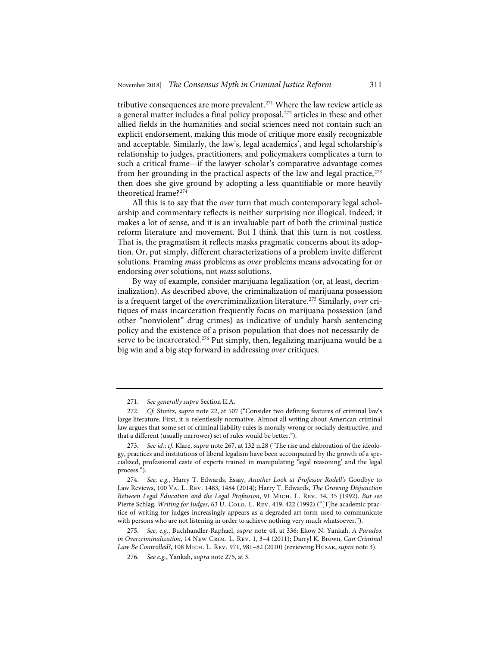tributive consequences are more prevalent.271 Where the law review article as a general matter includes a final policy proposal,<sup>272</sup> articles in these and other allied fields in the humanities and social sciences need not contain such an explicit endorsement, making this mode of critique more easily recognizable and acceptable. Similarly, the law's, legal academics', and legal scholarship's relationship to judges, practitioners, and policymakers complicates a turn to such a critical frame—if the lawyer-scholar's comparative advantage comes from her grounding in the practical aspects of the law and legal practice, $273$ then does she give ground by adopting a less quantifiable or more heavily theoretical frame?274

All this is to say that the *over* turn that much contemporary legal scholarship and commentary reflects is neither surprising nor illogical. Indeed, it makes a lot of sense, and it is an invaluable part of both the criminal justice reform literature and movement. But I think that this turn is not costless. That is, the pragmatism it reflects masks pragmatic concerns about its adoption. Or, put simply, different characterizations of a problem invite different solutions. Framing *mass* problems as *over* problems means advocating for or endorsing *over* solutions, not *mass* solutions.

By way of example, consider marijuana legalization (or, at least, decriminalization). As described above, the criminalization of marijuana possession is a frequent target of the *over*criminalization literature.275 Similarly, *over* critiques of mass incarceration frequently focus on marijuana possession (and other "nonviolent" drug crimes) as indicative of unduly harsh sentencing policy and the existence of a prison population that does not necessarily deserve to be incarcerated.<sup>276</sup> Put simply, then, legalizing marijuana would be a big win and a big step forward in addressing *over* critiques.

<sup>271.</sup> *See generally supra* Section II.A.

<sup>272.</sup> *Cf.* Stuntz, *supra* note 22, at 507 ("Consider two defining features of criminal law's large literature. First, it is relentlessly normative. Almost all writing about American criminal law argues that some set of criminal liability rules is morally wrong or socially destructive, and that a different (usually narrower) set of rules would be better.").

<sup>273.</sup> *See id.*; *cf.* Klare, *supra* note 267, at 132 n.28 ("The rise and elaboration of the ideology, practices and institutions of liberal legalism have been accompanied by the growth of a specialized, professional caste of experts trained in manipulating 'legal reasoning' and the legal process.").

<sup>274.</sup> *See, e.g.*, Harry T. Edwards, Essay, *Another Look at Professor Rodell's* Goodbye to Law Reviews, 100 Va. L. Rev. 1483, 1484 (2014); Harry T. Edwards, *The Growing Disjunction Between Legal Education and the Legal Profession*, 91 Mich. L. Rev. 34, 35 (1992). *But see* Pierre Schlag, *Writing for Judges*, 63 U. Colo. L. Rev. 419, 422 (1992) ("[T]he academic practice of writing for judges increasingly appears as a degraded art-form used to communicate with persons who are not listening in order to achieve nothing very much whatsoever.").

<sup>275.</sup> *See, e.g.*, Buchhandler-Raphael, *supra* note 44, at 336; Ekow N. Yankah, *A Paradox in Overcriminalization*, 14 New Crim. L. Rev. 1, 3–4 (2011); Darryl K. Brown, *Can Criminal Law Be Controlled?*, 108 Mich. L. Rev. 971, 981–82 (2010) (reviewing Husak, *supra* note 3).

<sup>276.</sup> *See e.g.*, Yankah, *supra* note 275, at 3.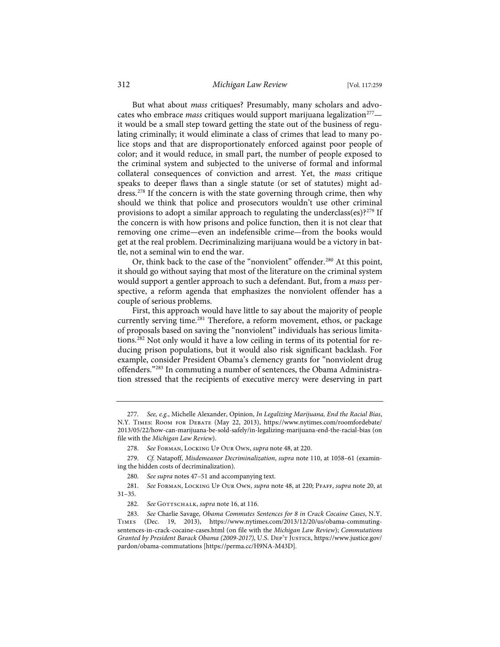# 312 *Michigan Law Review* [Vol. 117:259

But what about *mass* critiques? Presumably, many scholars and advocates who embrace *mass* critiques would support marijuana legalization<sup>277</sup> it would be a small step toward getting the state out of the business of regulating criminally; it would eliminate a class of crimes that lead to many police stops and that are disproportionately enforced against poor people of color; and it would reduce, in small part, the number of people exposed to the criminal system and subjected to the universe of formal and informal collateral consequences of conviction and arrest. Yet, the *mass* critique speaks to deeper flaws than a single statute (or set of statutes) might address.<sup>278</sup> If the concern is with the state governing through crime, then why should we think that police and prosecutors wouldn't use other criminal provisions to adopt a similar approach to regulating the underclass(es)?<sup>279</sup> If the concern is with how prisons and police function, then it is not clear that removing one crime—even an indefensible crime—from the books would get at the real problem. Decriminalizing marijuana would be a victory in battle, not a seminal win to end the war.

Or, think back to the case of the "nonviolent" offender.<sup>280</sup> At this point, it should go without saying that most of the literature on the criminal system would support a gentler approach to such a defendant. But, from a *mass* perspective, a reform agenda that emphasizes the nonviolent offender has a couple of serious problems.

First, this approach would have little to say about the majority of people currently serving time.<sup>281</sup> Therefore, a reform movement, ethos, or package of proposals based on saving the "nonviolent" individuals has serious limitations.282 Not only would it have a low ceiling in terms of its potential for reducing prison populations, but it would also risk significant backlash. For example, consider President Obama's clemency grants for "nonviolent drug offenders."283 In commuting a number of sentences, the Obama Administration stressed that the recipients of executive mercy were deserving in part

<sup>277.</sup> *See, e.g.*, Michelle Alexander, Opinion, *In Legalizing Marijuana, End the Racial Bias*, N.Y. Times: Room for Debate (May 22, 2013), https://www.nytimes.com/roomfordebate/ 2013/05/22/how-can-marijuana-be-sold-safely/in-legalizing-marijuana-end-the-racial-bias (on file with the *Michigan Law Review*).

<sup>278.</sup> *See* Forman, Locking Up Our Own, *supra* note 48, at 220.

<sup>279.</sup> *Cf.* Natapoff, *Misdemeanor Decriminalization*, *supra* note 110, at 1058–61 (examining the hidden costs of decriminalization).

<sup>280.</sup> *See supra* notes 47–51 and accompanying text.

<sup>281.</sup> *See* Forman, Locking Up Our Own, *supra* note 48, at 220; Pfaff, *supra* note 20, at 31–35.

<sup>282.</sup> See GOTTSCHALK, *supra* note 16, at 116.

<sup>283.</sup> *See* Charlie Savage, *Obama Commutes Sentences for 8 in Crack Cocaine Cases*, N.Y. Times (Dec. 19, 2013), https://www.nytimes.com/2013/12/20/us/obama-commutingsentences-in-crack-cocaine-cases.html (on file with the *Michigan Law Review*); *Commutations Granted by President Barack Obama (2009-2017)*, U.S. Dep't Justice, https://www.justice.gov/ pardon/obama-commutations [https://perma.cc/H9NA-M43D].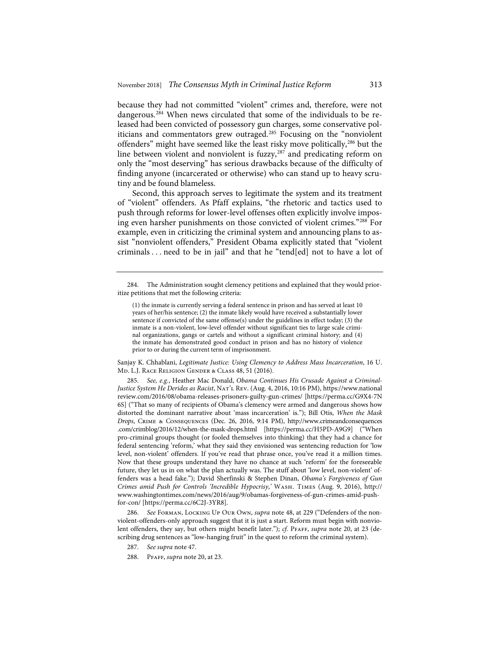because they had not committed "violent" crimes and, therefore, were not dangerous.284 When news circulated that some of the individuals to be released had been convicted of possessory gun charges, some conservative politicians and commentators grew outraged.<sup>285</sup> Focusing on the "nonviolent offenders" might have seemed like the least risky move politically,<sup>286</sup> but the line between violent and nonviolent is fuzzy,<sup>287</sup> and predicating reform on only the "most deserving" has serious drawbacks because of the difficulty of finding anyone (incarcerated or otherwise) who can stand up to heavy scrutiny and be found blameless.

Second, this approach serves to legitimate the system and its treatment of "violent" offenders. As Pfaff explains, "the rhetoric and tactics used to push through reforms for lower-level offenses often explicitly involve imposing even harsher punishments on those convicted of violent crimes."288 For example, even in criticizing the criminal system and announcing plans to assist "nonviolent offenders," President Obama explicitly stated that "violent criminals . . . need to be in jail" and that he "tend[ed] not to have a lot of

Sanjay K. Chhablani, *Legitimate Justice: Using Clemency to Address Mass Incarceration*, 16 U. Md. L.J. Race Religion Gender & Class 48, 51 (2016).

285. *See, e.g.*, Heather Mac Donald, *Obama Continues His Crusade Against a Criminal-Justice System He Derides as Racist*, Nat'l Rev. (Aug. 4, 2016, 10:16 PM), https://www.national review.com/2016/08/obama-releases-prisoners-guilty-gun-crimes/ [https://perma.cc/G9X4-7N 6S] ("That so many of recipients of Obama's clemency were armed and dangerous shows how distorted the dominant narrative about 'mass incarceration' is."); Bill Otis, *When the Mask Drops*, Crime & Consequences (Dec. 26, 2016, 9:14 PM), http://www.crimeandconsequences .com/crimblog/2016/12/when-the-mask-drops.html [https://perma.cc/H5PD-A9G9] ("When pro-criminal groups thought (or fooled themselves into thinking) that they had a chance for federal sentencing 'reform,' what they said they envisioned was sentencing reduction for 'low level, non-violent' offenders. If you've read that phrase once, you've read it a million times. Now that these groups understand they have no chance at such 'reform' for the foreseeable future, they let us in on what the plan actually was. The stuff about 'low level, non-violent' offenders was a head fake."); David Sherfinski & Stephen Dinan, *Obama's Forgiveness of Gun Crimes amid Push for Controls 'Incredible Hypocrisy*,*'* Wash. Times (Aug. 9, 2016), http:// www.washingtontimes.com/news/2016/aug/9/obamas-forgiveness-of-gun-crimes-amid-pushfor-con/ [https://perma.cc/6C2J-3YR8].

286. *See* Forman, Locking Up Our Own, *supra* note 48, at 229 ("Defenders of the nonviolent-offenders-only approach suggest that it is just a start. Reform must begin with nonviolent offenders, they say, but others might benefit later."); *cf.* PFAFF, *supra* note 20, at 23 (describing drug sentences as "low-hanging fruit" in the quest to reform the criminal system).

287. *See supra* note 47.

288. Pfaff, *supra* note 20, at 23.

<sup>284.</sup> The Administration sought clemency petitions and explained that they would prioritize petitions that met the following criteria:

<sup>(1)</sup> the inmate is currently serving a federal sentence in prison and has served at least 10 years of her/his sentence; (2) the inmate likely would have received a substantially lower sentence if convicted of the same offense(s) under the guidelines in effect today; (3) the inmate is a non-violent, low-level offender without significant ties to large scale criminal organizations, gangs or cartels and without a significant criminal history; and (4) the inmate has demonstrated good conduct in prison and has no history of violence prior to or during the current term of imprisonment.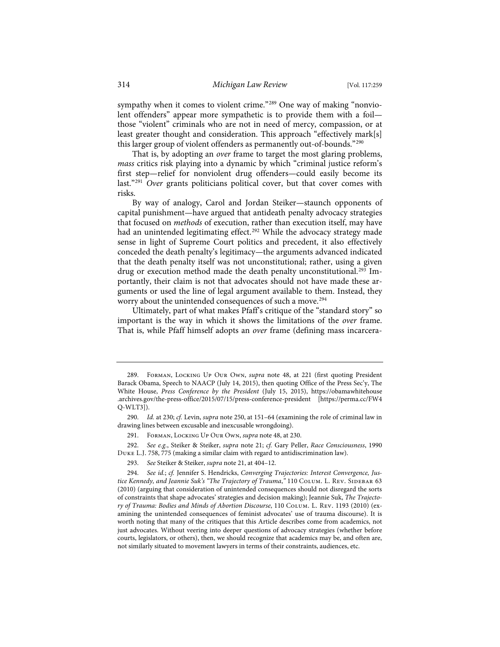sympathy when it comes to violent crime."<sup>289</sup> One way of making "nonviolent offenders" appear more sympathetic is to provide them with a foil those "violent" criminals who are not in need of mercy, compassion, or at least greater thought and consideration. This approach "effectively mark[s] this larger group of violent offenders as permanently out-of-bounds."290

That is, by adopting an *over* frame to target the most glaring problems, *mass* critics risk playing into a dynamic by which "criminal justice reform's first step—relief for nonviolent drug offenders—could easily become its last."291 *Over* grants politicians political cover, but that cover comes with risks.

By way of analogy, Carol and Jordan Steiker—staunch opponents of capital punishment—have argued that antideath penalty advocacy strategies that focused on *methods* of execution, rather than execution itself, may have had an unintended legitimating effect.<sup>292</sup> While the advocacy strategy made sense in light of Supreme Court politics and precedent, it also effectively conceded the death penalty's legitimacy—the arguments advanced indicated that the death penalty itself was not unconstitutional; rather, using a given drug or execution method made the death penalty unconstitutional.<sup>293</sup> Importantly, their claim is not that advocates should not have made these arguments or used the line of legal argument available to them. Instead, they worry about the unintended consequences of such a move.<sup>294</sup>

Ultimately, part of what makes Pfaff's critique of the "standard story" so important is the way in which it shows the limitations of the *over* frame. That is, while Pfaff himself adopts an *over* frame (defining mass incarcera-

292. *See e.g.*, Steiker & Steiker, *supra* note 21; *cf.* Gary Peller, *Race Consciousness*, 1990 Duke L.J. 758, 775 (making a similar claim with regard to antidiscrimination law).

<sup>289.</sup> Forman, Locking Up Our Own, *supra* note 48, at 221 (first quoting President Barack Obama, Speech to NAACP (July 14, 2015), then quoting Office of the Press Sec'y, The White House, *Press Conference by the President* (July 15, 2015), https://obamawhitehouse .archives.gov/the-press-office/2015/07/15/press-conference-president [https://perma.cc/FW4 Q-WLT3]).

<sup>290.</sup> *Id.* at 230; *cf.* Levin, *supra* note 250, at 151–64 (examining the role of criminal law in drawing lines between excusable and inexcusable wrongdoing).

FORMAN, LOCKING UP OUR OWN, *supra* note 48, at 230.

<sup>293.</sup> *See* Steiker & Steiker, *supra* note 21, at 404–12.

<sup>294.</sup> *See id.*; *cf.* Jennifer S. Hendricks, *Converging Trajectories: Interest Convergence, Justice Kennedy, and Jeannie Suk's "The Trajectory of Trauma," 110 COLUM. L. REV. SIDEBAR 63* (2010) (arguing that consideration of unintended consequences should not disregard the sorts of constraints that shape advocates' strategies and decision making); Jeannie Suk, *The Trajectory of Trauma: Bodies and Minds of Abortion Discourse*, 110 Colum. L. Rev. 1193 (2010) (examining the unintended consequences of feminist advocates' use of trauma discourse). It is worth noting that many of the critiques that this Article describes come from academics, not just advocates. Without veering into deeper questions of advocacy strategies (whether before courts, legislators, or others), then, we should recognize that academics may be, and often are, not similarly situated to movement lawyers in terms of their constraints, audiences, etc.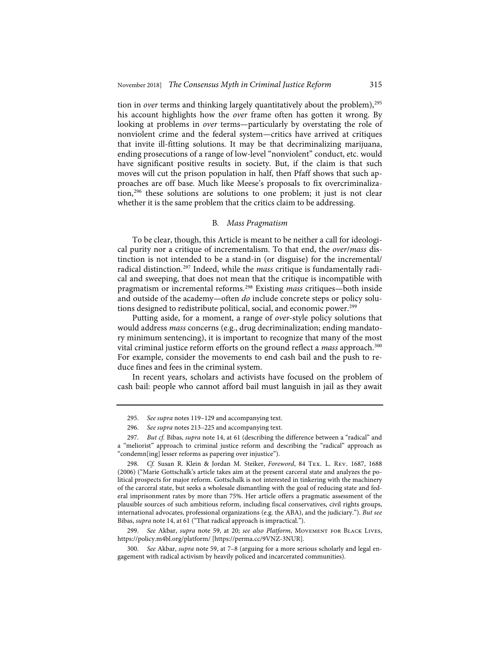tion in *over* terms and thinking largely quantitatively about the problem),<sup>295</sup> his account highlights how the *over* frame often has gotten it wrong. By looking at problems in *over* terms—particularly by overstating the role of nonviolent crime and the federal system—critics have arrived at critiques that invite ill-fitting solutions. It may be that decriminalizing marijuana, ending prosecutions of a range of low-level "nonviolent" conduct, etc. would have significant positive results in society. But, if the claim is that such moves will cut the prison population in half, then Pfaff shows that such approaches are off base. Much like Meese's proposals to fix overcriminalization,296 these solutions are solutions to one problem; it just is not clear whether it is the same problem that the critics claim to be addressing.

# B*. Mass Pragmatism*

To be clear, though, this Article is meant to be neither a call for ideological purity nor a critique of incrementalism. To that end, the *over*/*mass* distinction is not intended to be a stand-in (or disguise) for the incremental/ radical distinction.297 Indeed, while the *mass* critique is fundamentally radical and sweeping, that does not mean that the critique is incompatible with pragmatism or incremental reforms.298 Existing *mass* critiques—both inside and outside of the academy—often *do* include concrete steps or policy solutions designed to redistribute political, social, and economic power.<sup>299</sup>

Putting aside, for a moment, a range of *over*-style policy solutions that would address *mass* concerns (e.g., drug decriminalization; ending mandatory minimum sentencing), it is important to recognize that many of the most vital criminal justice reform efforts on the ground reflect a *mass* approach.300 For example, consider the movements to end cash bail and the push to reduce fines and fees in the criminal system.

In recent years, scholars and activists have focused on the problem of cash bail: people who cannot afford bail must languish in jail as they await

299. *See* Akbar, *supra* note 59, at 20; *see also Platform*, Movement for Black Lives, https://policy.m4bl.org/platform/ [https://perma.cc/9VNZ-3NUR].

300. *See* Akbar, *supra* note 59, at 7–8 (arguing for a more serious scholarly and legal engagement with radical activism by heavily policed and incarcerated communities).

<sup>295.</sup> *See supra* notes 119–129 and accompanying text.

<sup>296.</sup> *See supra* notes 213–225 and accompanying text.

<sup>297.</sup> *But cf.* Bibas, *supra* note 14, at 61 (describing the difference between a "radical" and a "meliorist" approach to criminal justice reform and describing the "radical" approach as "condemn[ing] lesser reforms as papering over injustice").

<sup>298.</sup> *Cf.* Susan R. Klein & Jordan M. Steiker, *Foreword*, 84 Tex. L. Rev. 1687, 1688 (2006) ("Marie Gottschalk's article takes aim at the present carceral state and analyzes the political prospects for major reform. Gottschalk is not interested in tinkering with the machinery of the carceral state, but seeks a wholesale dismantling with the goal of reducing state and federal imprisonment rates by more than 75%. Her article offers a pragmatic assessment of the plausible sources of such ambitious reform, including fiscal conservatives, civil rights groups, international advocates, professional organizations (e.g. the ABA), and the judiciary."). *But see* Bibas, *supra* note 14, at 61 ("That radical approach is impractical.").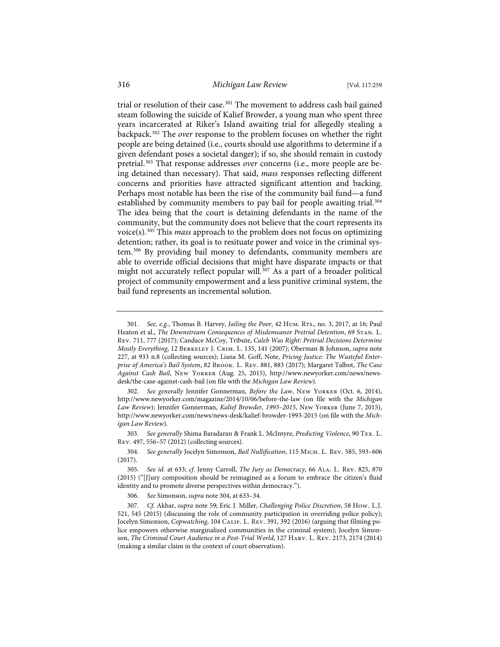# 316 *Michigan Law Review* [Vol. 117:259

trial or resolution of their case.<sup>301</sup> The movement to address cash bail gained steam following the suicide of Kalief Browder, a young man who spent three years incarcerated at Riker's Island awaiting trial for allegedly stealing a backpack.302 The *over* response to the problem focuses on whether the right people are being detained (i.e., courts should use algorithms to determine if a given defendant poses a societal danger); if so, she should remain in custody pretrial.303 That response addresses *over* concerns (i.e., more people are being detained than necessary). That said, *mass* responses reflecting different concerns and priorities have attracted significant attention and backing. Perhaps most notable has been the rise of the community bail fund—a fund established by community members to pay bail for people awaiting trial.<sup>304</sup> The idea being that the court is detaining defendants in the name of the community, but the community does not believe that the court represents its voice(s).305 This *mass* approach to the problem does not focus on optimizing detention; rather, its goal is to resituate power and voice in the criminal system.306 By providing bail money to defendants, community members are able to override official decisions that might have disparate impacts or that might not accurately reflect popular will.<sup>307</sup> As a part of a broader political project of community empowerment and a less punitive criminal system, the bail fund represents an incremental solution.

<sup>301.</sup> *See, e.g.*, Thomas B. Harvey, *Jailing the Poor*, 42 Hum. Rts., no. 3, 2017, at 16; Paul Heaton et al., *The Downstream Consequences of Misdemeanor Pretrial Detention*, 69 Stan. L. Rev. 711, 777 (2017); Candace McCoy, Tribute, *Caleb Was Right: Pretrial Decisions Determine Mostly Everything*, 12 Berkeley J. Crim. L. 135, 141 (2007); Oberman & Johnson, *supra* note 227, at 933 n.8 (collecting sources); Liana M. Goff, Note, *Pricing Justice: The Wasteful Enterprise of America's Bail System*, 82 Brook. L. Rev. 881, 883 (2017); Margaret Talbot, *The Case Against Cash Bail*, New Yorker (Aug. 25, 2015), http://www.newyorker.com/news/newsdesk/the-case-against-cash-bail (on file with the *Michigan Law Review*).

<sup>302.</sup> *See generally* Jennifer Gonnerman, *Before the Law*, New Yorker (Oct. 6, 2014), http://www.newyorker.com/magazine/2014/10/06/before-the-law (on file with the *Michigan Law Review*); Jennifer Gonnerman, *Kalief Browder, 1993–2015*, New Yorker (June 7, 2015), http://www.newyorker.com/news/news-desk/kalief-browder-1993-2015 (on file with the *Michigan Law Review*).

<sup>303.</sup> *See generally* Shima Baradaran & Frank L. McIntyre, *Predicting Violence*, 90 Tex. L. Rev. 497, 556–57 (2012) (collecting sources).

<sup>304.</sup> *See generally* Jocelyn Simonson, *Bail Nullification*, 115 Mich. L. Rev. 585, 593–606 (2017).

<sup>305.</sup> *See id.* at 633; *cf.* Jenny Carroll, *The Jury as Democracy*, 66 Ala. L. Rev. 825, 870 (2015) ("[J]ury composition should be reimagined as a forum to embrace the citizen's fluid identity and to promote diverse perspectives within democracy.").

<sup>306.</sup> *See* Simonson, *supra* note 304, at 633–34.

<sup>307.</sup> *Cf.* Akbar, *supra* note 59; Eric J. Miller, *Challenging Police Discretion*, 58 How. L.J. 521, 545 (2015) (discussing the role of community participation in overriding police policy); Jocelyn Simonson, *Copwatching*, 104 CALIF. L. REV. 391, 392 (2016) (arguing that filming police empowers otherwise marginalized communities in the criminal system); Jocelyn Simonson, *The Criminal Court Audience in a Post-Trial World*, 127 Harv. L. Rev. 2173, 2174 (2014) (making a similar claim in the context of court observation).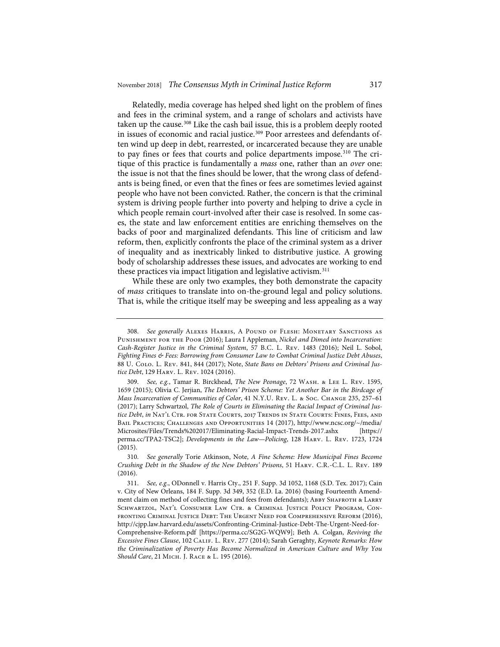Relatedly, media coverage has helped shed light on the problem of fines and fees in the criminal system, and a range of scholars and activists have taken up the cause.<sup>308</sup> Like the cash bail issue, this is a problem deeply rooted in issues of economic and racial justice.<sup>309</sup> Poor arrestees and defendants often wind up deep in debt, rearrested, or incarcerated because they are unable to pay fines or fees that courts and police departments impose.<sup>310</sup> The critique of this practice is fundamentally a *mass* one, rather than an *over* one: the issue is not that the fines should be lower, that the wrong class of defendants is being fined, or even that the fines or fees are sometimes levied against people who have not been convicted. Rather, the concern is that the criminal system is driving people further into poverty and helping to drive a cycle in which people remain court-involved after their case is resolved. In some cases, the state and law enforcement entities are enriching themselves on the backs of poor and marginalized defendants. This line of criticism and law reform, then, explicitly confronts the place of the criminal system as a driver of inequality and as inextricably linked to distributive justice. A growing body of scholarship addresses these issues, and advocates are working to end these practices via impact litigation and legislative activism.<sup>311</sup>

While these are only two examples, they both demonstrate the capacity of *mass* critiques to translate into on-the-ground legal and policy solutions. That is, while the critique itself may be sweeping and less appealing as a way

<sup>308.</sup> *See generally* Alexes Harris, A Pound of Flesh: Monetary Sanctions as Punishment for the Poor (2016); Laura I Appleman, *Nickel and Dimed into Incarceration: Cash-Register Justice in the Criminal System*, 57 B.C. L. Rev. 1483 (2016); Neil L. Sobol, *Fighting Fines & Fees: Borrowing from Consumer Law to Combat Criminal Justice Debt Abuses*, 88 U. Colo. L. Rev. 841, 844 (2017); Note, *State Bans on Debtors' Prisons and Criminal Justice Debt*, 129 Harv. L. Rev. 1024 (2016).

<sup>309.</sup> *See, e.g.*, Tamar R. Birckhead, *The New Peonage*, 72 Wash. & Lee L. Rev. 1595, 1659 (2015); Olivia C. Jerjian, *The Debtors' Prison Scheme: Yet Another Bar in the Birdcage of Mass Incarceration of Communities of Color*, 41 N.Y.U. Rev. L. & Soc. CHANGE 235, 257-61 (2017); Larry Schwartzol, *The Role of Courts in Eliminating the Racial Impact of Criminal Justice Debt*, *in* Nat'l Ctr. for State Courts, 2017 Trends in State Courts: Fines, Fees, and Bail Practices; Challenges and Opportunities 14 (2017), http://www.ncsc.org/~/media/ Microsites/Files/Trends%202017/Eliminating-Racial-Impact-Trends-2017.ashx [https:// perma.cc/TPA2-TSC2]; *Developments in the Law—Policing*, 128 Harv. L. Rev. 1723, 1724 (2015).

<sup>310.</sup> *See generally* Torie Atkinson, Note, *A Fine Scheme: How Municipal Fines Become Crushing Debt in the Shadow of the New Debtors' Prisons*, 51 Harv. C.R.-C.L. L. Rev. 189 (2016).

<sup>311.</sup> *See, e.g.*, ODonnell v. Harris Cty., 251 F. Supp. 3d 1052, 1168 (S.D. Tex. 2017); Cain v. City of New Orleans, 184 F. Supp. 3d 349, 352 (E.D. La. 2016) (basing Fourteenth Amendment claim on method of collecting fines and fees from defendants); ABBY SHAFROTH & LARRY SCHWARTZOL, NAT'L CONSUMER LAW CTR. & CRIMINAL JUSTICE POLICY PROGRAM, CONfronting Criminal Justice Debt: The Urgent Need for Comprehensive Reform (2016), http://cjpp.law.harvard.edu/assets/Confronting-Criminal-Justice-Debt-The-Urgent-Need-for-Comprehensive-Reform.pdf [https://perma.cc/SG2G-WQW9]; Beth A. Colgan, *Reviving the Excessive Fines Clause*, 102 Calif. L. Rev. 277 (2014); Sarah Geraghty, *Keynote Remarks: How the Criminalization of Poverty Has Become Normalized in American Culture and Why You Should Care*, 21 Mich. J. Race & L. 195 (2016).